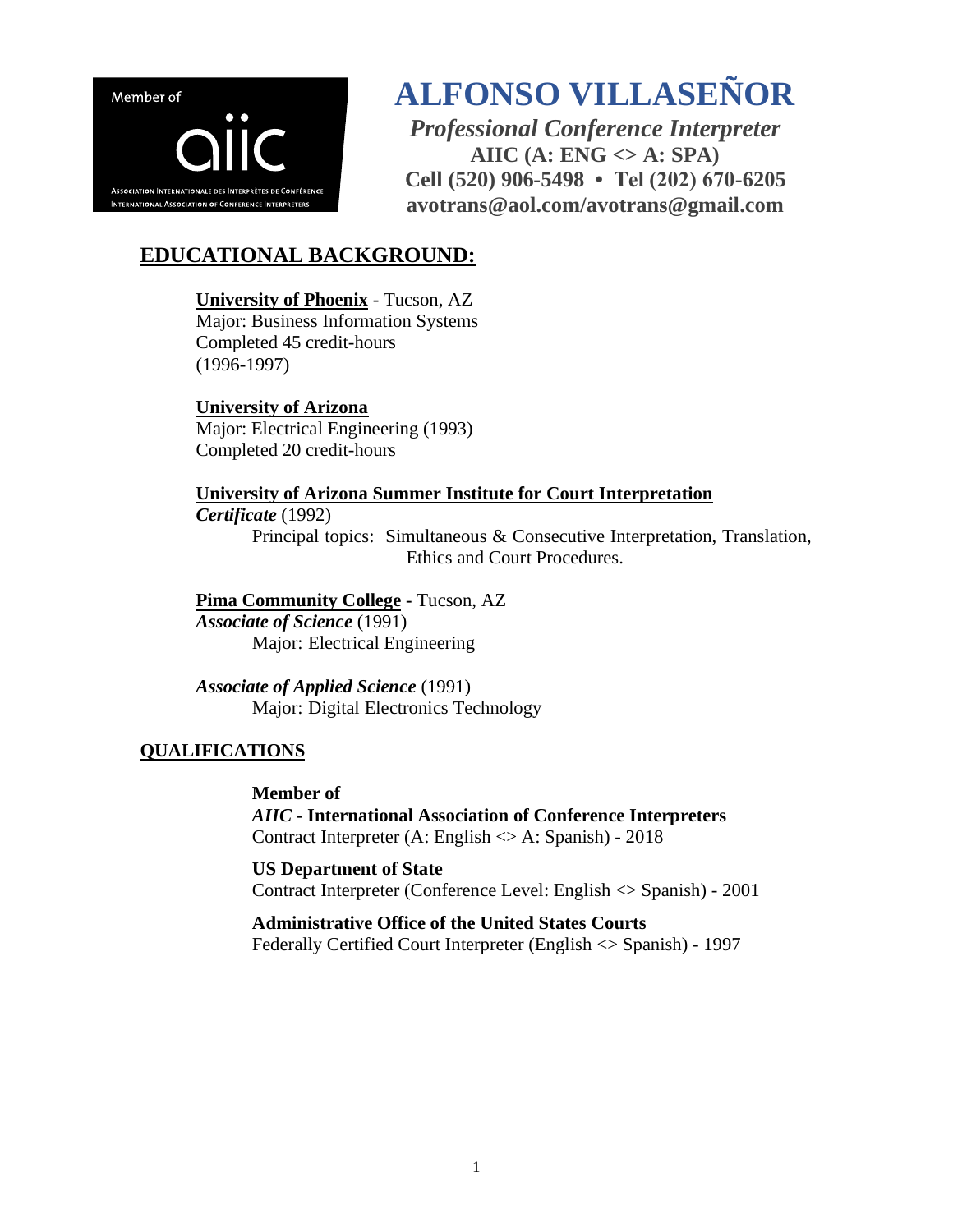

# **ALFONSO VILLASEÑOR**

*Professional Conference Interpreter* **AIIC (A: ENG <> A: SPA) Cell (520) 906-5498 • Tel (202) 670-6205 avotrans@aol.com/avotrans@gmail.com**

# **EDUCATIONAL BACKGROUND:**

# **University of Phoenix** - Tucson, AZ

Major: Business Information Systems Completed 45 credit-hours (1996-1997)

**University of Arizona** Major: Electrical Engineering (1993) Completed 20 credit-hours

### **University of Arizona Summer Institute for Court Interpretation**

#### *Certificate* (1992)

Principal topics: Simultaneous & Consecutive Interpretation, Translation, Ethics and Court Procedures.

**Pima Community College -** Tucson, AZ *Associate of Science* (1991) Major: Electrical Engineering

*Associate of Applied Science* (1991) Major: Digital Electronics Technology

## **QUALIFICATIONS**

**Member of**  *AIIC* **- International Association of Conference Interpreters** Contract Interpreter (A: English <> A: Spanish) - 2018

**US Department of State** Contract Interpreter (Conference Level: English <> Spanish) - 2001

**Administrative Office of the United States Courts** Federally Certified Court Interpreter (English <> Spanish) - 1997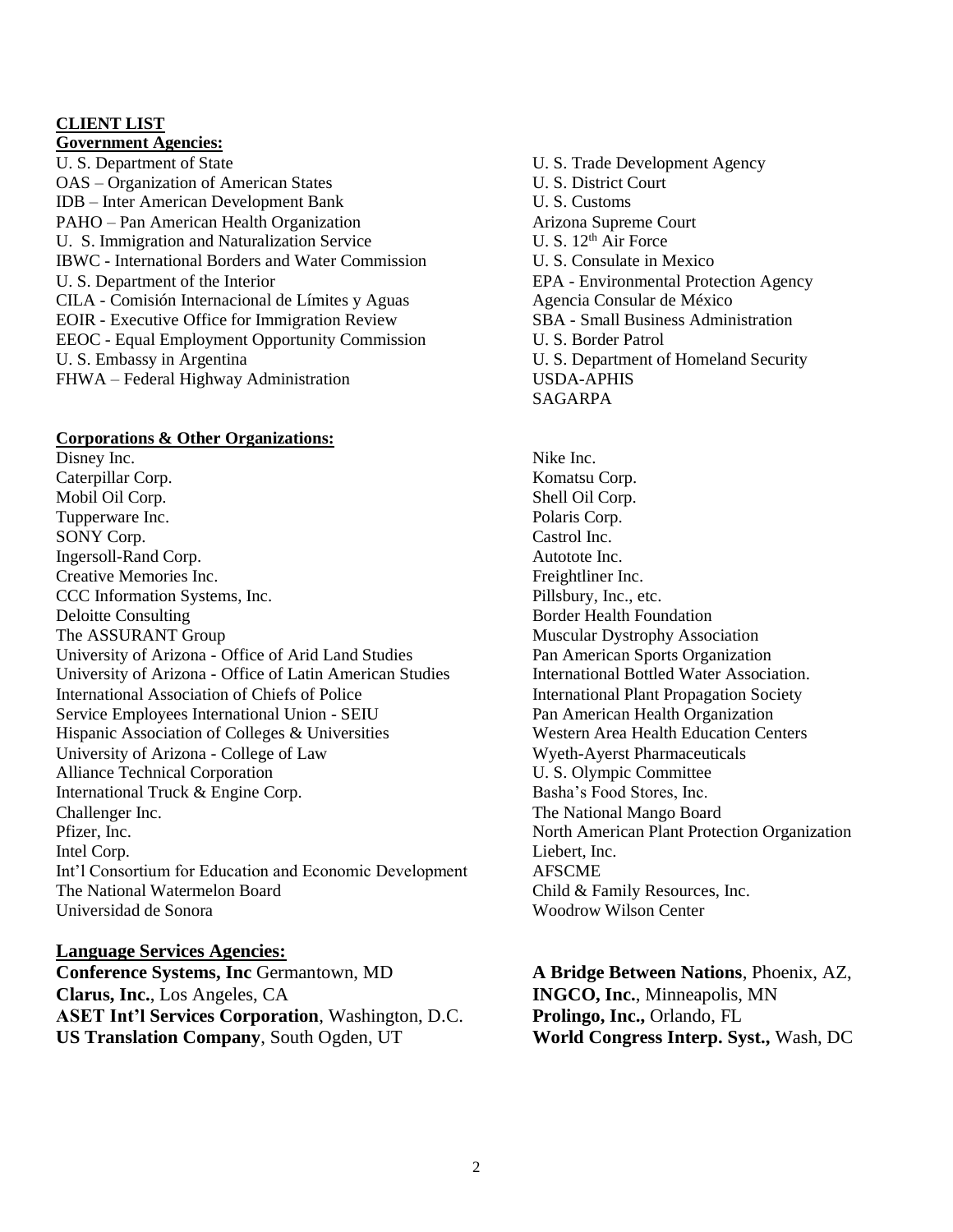#### **CLIENT LIST Government Agencies:**

U. S. Department of State U. S. Trade Development Agency OAS – Organization of American States U. S. District Court IDB – Inter American Development Bank U. S. Customs PAHO – Pan American Health Organization **Arizona** Supreme Court U. S. Immigration and Naturalization Service U. S. 12<sup>th</sup> Air Force IBWC - International Borders and Water Commission U. S. Consulate in Mexico U. S. Department of the Interior EPA - Environmental Protection Agency CILA - Comisión Internacional de Límites y Aguas Agencia Consular de México<br>
EOIR - Executive Office for Immigration Review SBA - Small Business Administration EOIR - Executive Office for Immigration Review EEOC - Equal Employment Opportunity Commission U. S. Border Patrol U. S. Embassy in Argentina U. S. Department of Homeland Security FHWA – Federal Highway Administration USDA-APHIS

#### **Corporations & Other Organizations:**

Disney Inc. Nike Inc. Caterpillar Corp. Komatsu Corp. Mobil Oil Corp. Shell Oil Corp. Tupperware Inc. **Polaris Corp.** Polaris Corp. SONY Corp. Castrol Inc. Ingersoll-Rand Corp. Autotote Inc. Creative Memories Inc. The Creative Memories Inc. CCC Information Systems, Inc. Pillsbury, Inc., etc. Deloitte Consulting and the Consulting Solid Equation Border Health Foundation The ASSURANT Group The ASSURANT Group Muscular Dystrophy Association University of Arizona - Office of Arid Land Studies Pan American Sports Organization University of Arizona - Office of Latin American Studies International Bottled Water Association. International Association of Chiefs of Police International Plant Propagation Society Service Employees International Union - SEIU Pan American Health Organization Hispanic Association of Colleges & Universities Western Area Health Education Centers University of Arizona - College of Law Wyeth-Ayerst Pharmaceuticals Alliance Technical Corporation **U. S. Olympic Committee** International Truck & Engine Corp. Basha's Food Stores, Inc. Challenger Inc. The National Mango Board Pfizer, Inc. **North American Plant Protection Organization** Intel Corp. **Liebert**, Inc. Int'l Consortium for Education and Economic Development AFSCME The National Watermelon Board **Child & Family Resources**, Inc. Universidad de Sonora Woodrow Wilson Center

**Language Services Agencies: Conference Systems, Inc** Germantown, MD **A Bridge Between Nations**, Phoenix, AZ, **Clarus, Inc.**, Los Angeles, CA **INGCO, Inc.**, Minneapolis, MN **ASET Int'l Services Corporation**, Washington, D.C. **Prolingo, Inc.,** Orlando, FL **US Translation Company**, South Ogden, UT **World Congress Interp. Syst.,** Wash, DC

SAGARPA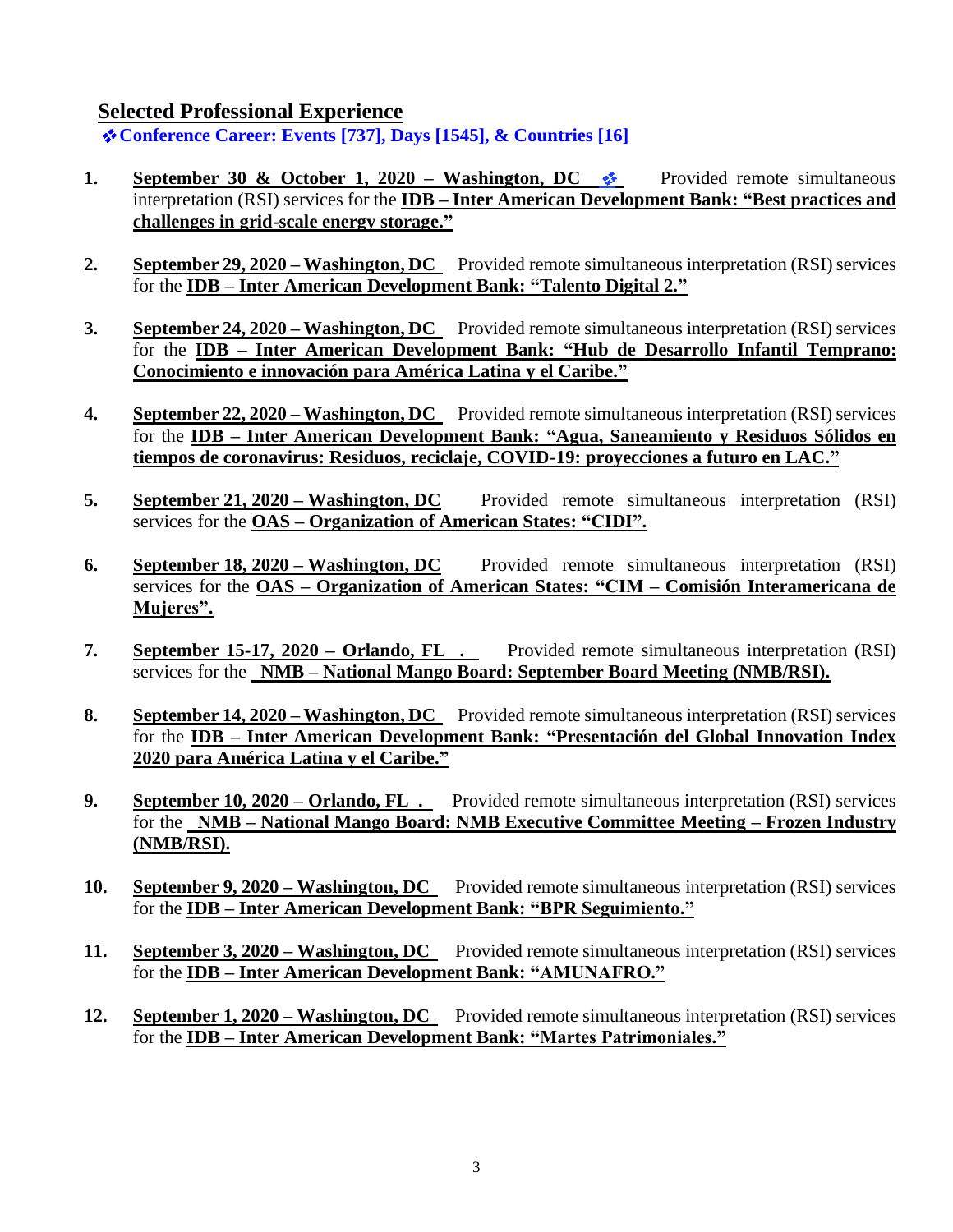**Selected Professional Experience** 

**Conference Career: Events [737], Days [1545], & Countries [16]**

- **1. September 30 & October 1, 2020 Washington, DC**  $\cdot$  **Provided remote simultaneous** interpretation (RSI) services for the **IDB – Inter American Development Bank: "Best practices and challenges in grid-scale energy storage."**
- 2. **September 29, 2020 Washington, DC** Provided remote simultaneous interpretation (RSI) services for the **IDB – Inter American Development Bank: "Talento Digital 2."**
- **3. September 24, 2020 – Washington, DC** Provided remote simultaneous interpretation (RSI) services for the **IDB – Inter American Development Bank: "Hub de Desarrollo Infantil Temprano: Conocimiento e innovación para América Latina y el Caribe."**
- **4. September 22, 2020 – Washington, DC** Provided remote simultaneous interpretation (RSI) services for the **IDB – Inter American Development Bank: "Agua, Saneamiento y Residuos Sólidos en tiempos de coronavirus: Residuos, reciclaje, COVID-19: proyecciones a futuro en LAC."**
- **5. September 21, 2020 Washington, DC** Provided remote simultaneous interpretation (RSI) services for the **OAS – Organization of American States: "CIDI".**
- **6. September 18, 2020 – Washington, DC** Provided remote simultaneous interpretation (RSI) services for the **OAS – Organization of American States: "CIM – Comisión Interamericana de Mujeres".**
- **7. September 15-17, 2020 – Orlando, FL .** Provided remote simultaneous interpretation (RSI) services for the **NMB – National Mango Board: September Board Meeting (NMB/RSI).**
- **8. September 14, 2020 – Washington, DC** Provided remote simultaneous interpretation (RSI) services for the **IDB – Inter American Development Bank: "Presentación del Global Innovation Index 2020 para América Latina y el Caribe."**
- **9. September 10, 2020 – Orlando, FL .** Provided remote simultaneous interpretation (RSI) services for the **NMB – National Mango Board: NMB Executive Committee Meeting – Frozen Industry (NMB/RSI).**
- **10. September 9, 2020 – Washington, DC** Provided remote simultaneous interpretation (RSI) services for the **IDB – Inter American Development Bank: "BPR Seguimiento."**
- **11. September 3, 2020 – Washington, DC** Provided remote simultaneous interpretation (RSI) services for the **IDB – Inter American Development Bank: "AMUNAFRO."**
- **12. September 1, 2020 – Washington, DC** Provided remote simultaneous interpretation (RSI) services for the **IDB – Inter American Development Bank: "Martes Patrimoniales."**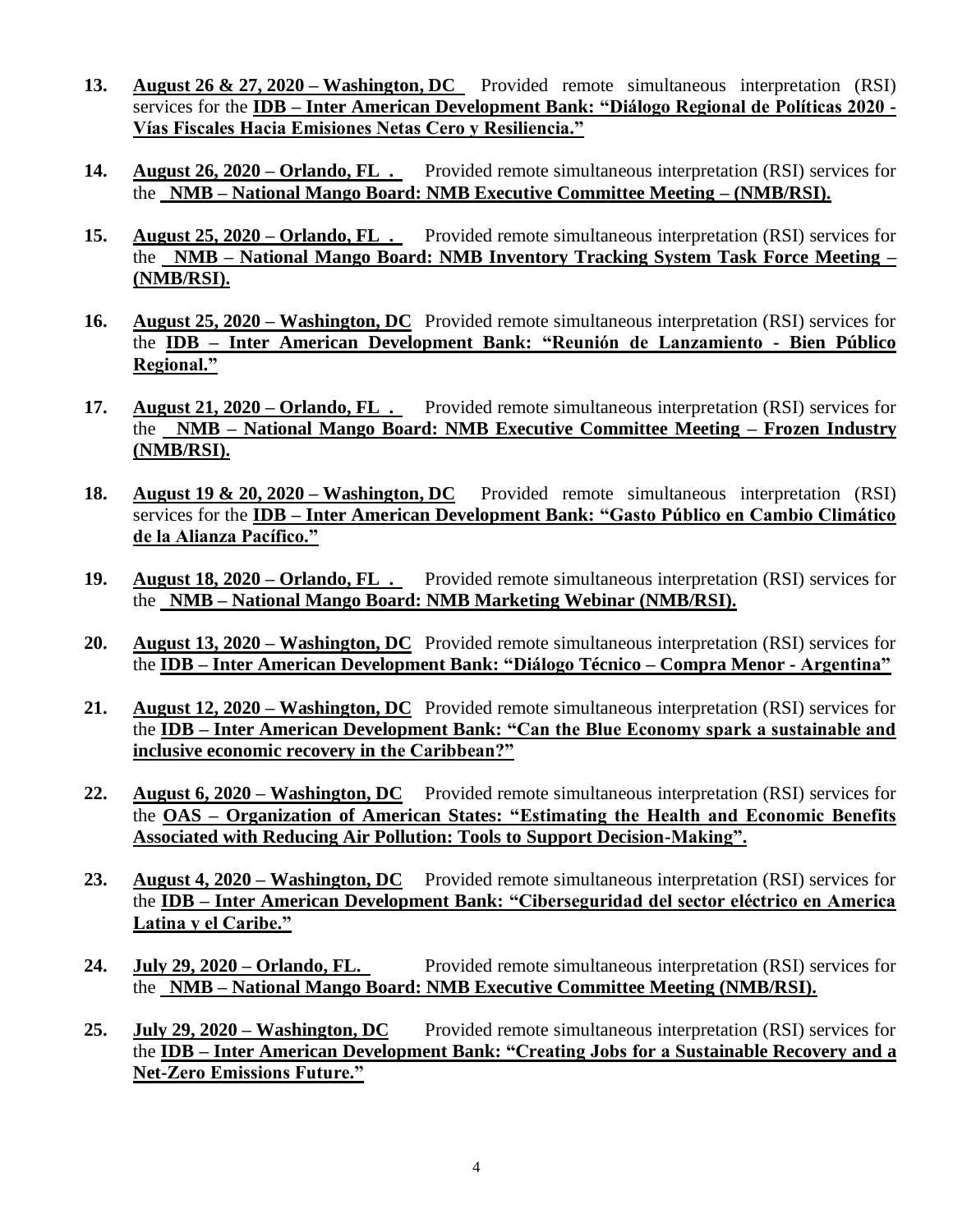- **13. August 26 & 27, 2020 – Washington, DC** Provided remote simultaneous interpretation (RSI) services for the **IDB – Inter American Development Bank: "Diálogo Regional de Políticas 2020 - Vías Fiscales Hacia Emisiones Netas Cero y Resiliencia."**
- **14. August 26, 2020 – Orlando, FL .** Provided remote simultaneous interpretation (RSI) services for the **NMB – National Mango Board: NMB Executive Committee Meeting – (NMB/RSI).**
- **15. August 25, 2020 – Orlando, FL .** Provided remote simultaneous interpretation (RSI) services for the **NMB – National Mango Board: NMB Inventory Tracking System Task Force Meeting – (NMB/RSI).**
- **16. August 25, 2020 – Washington, DC** Provided remote simultaneous interpretation (RSI) services for the **IDB – Inter American Development Bank: "Reunión de Lanzamiento - Bien Público Regional."**
- **17. August 21, 2020 – Orlando, FL .** Provided remote simultaneous interpretation (RSI) services for the **NMB – National Mango Board: NMB Executive Committee Meeting – Frozen Industry (NMB/RSI).**
- **18. August 19 & 20, 2020 – Washington, DC** Provided remote simultaneous interpretation (RSI) services for the **IDB – Inter American Development Bank: "Gasto Público en Cambio Climático de la Alianza Pacífico."**
- **19. August 18, 2020 – Orlando, FL .** Provided remote simultaneous interpretation (RSI) services for the **NMB – National Mango Board: NMB Marketing Webinar (NMB/RSI).**
- **20. August 13, 2020 – Washington, DC** Provided remote simultaneous interpretation (RSI) services for the **IDB – Inter American Development Bank: "Diálogo Técnico – Compra Menor - Argentina"**
- **21. August 12, 2020 – Washington, DC** Provided remote simultaneous interpretation (RSI) services for the **IDB – Inter American Development Bank: "Can the Blue Economy spark a sustainable and inclusive economic recovery in the Caribbean?"**
- **22. August 6, 2020 – Washington, DC** Provided remote simultaneous interpretation (RSI) services for the **OAS – Organization of American States: "Estimating the Health and Economic Benefits Associated with Reducing Air Pollution: Tools to Support Decision-Making".**
- **23. August 4, 2020 – Washington, DC** Provided remote simultaneous interpretation (RSI) services for the **IDB – Inter American Development Bank: "Ciberseguridad del sector eléctrico en America Latina y el Caribe."**
- **24. July 29, 2020 – Orlando, FL.** Provided remote simultaneous interpretation (RSI) services for the **NMB – National Mango Board: NMB Executive Committee Meeting (NMB/RSI).**
- **25. July 29, 2020 – Washington, DC** Provided remote simultaneous interpretation (RSI) services for the **IDB – Inter American Development Bank: "Creating Jobs for a Sustainable Recovery and a Net-Zero Emissions Future."**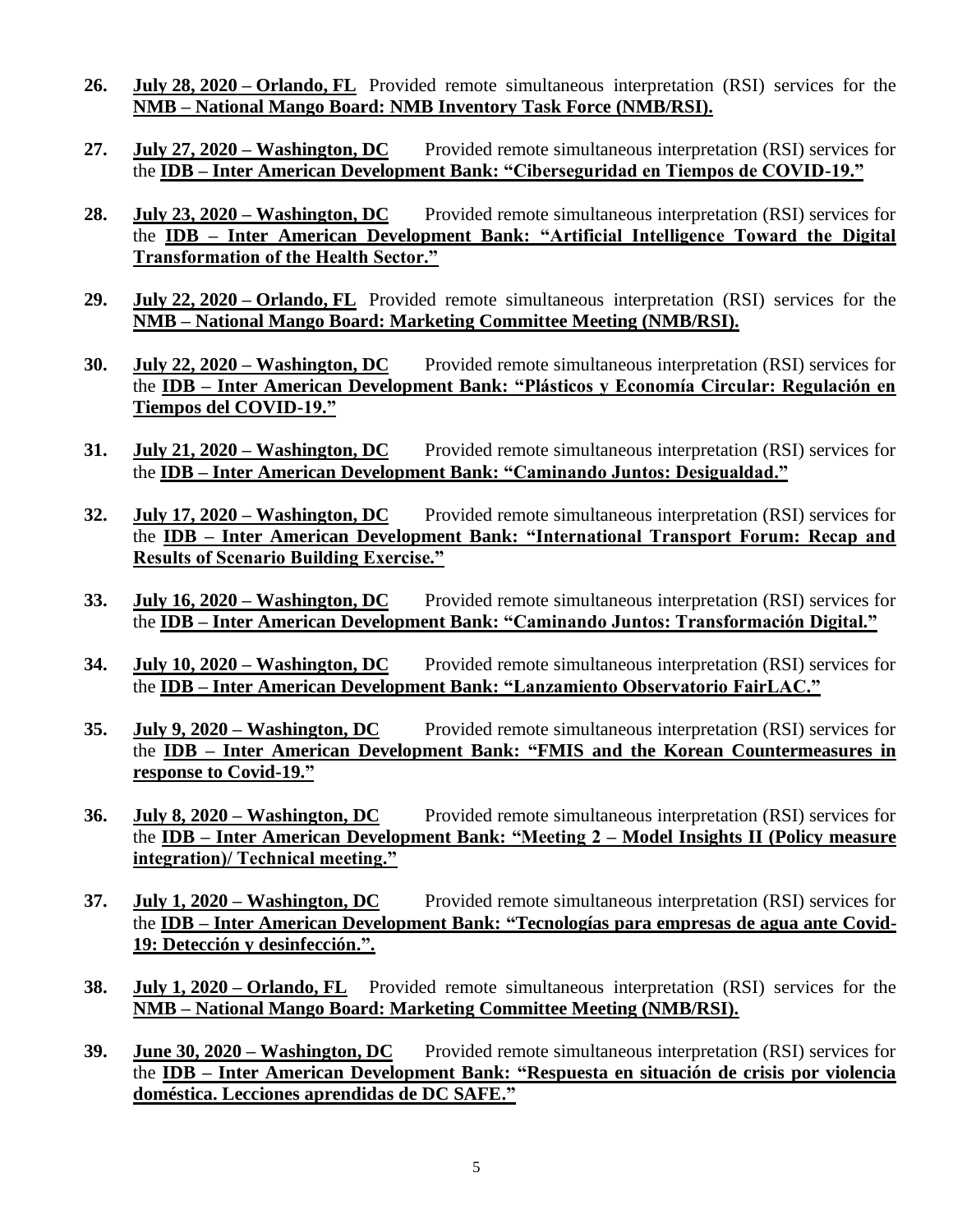- **26. July 28, 2020 – Orlando, FL** Provided remote simultaneous interpretation (RSI) services for the **NMB – National Mango Board: NMB Inventory Task Force (NMB/RSI).**
- **27. July 27, 2020 – Washington, DC** Provided remote simultaneous interpretation (RSI) services for the **IDB – Inter American Development Bank: "Ciberseguridad en Tiempos de COVID-19."**
- **28. July 23, 2020 – Washington, DC** Provided remote simultaneous interpretation (RSI) services for the **IDB – Inter American Development Bank: "Artificial Intelligence Toward the Digital Transformation of the Health Sector."**
- **29. July 22, 2020 – Orlando, FL** Provided remote simultaneous interpretation (RSI) services for the **NMB – National Mango Board: Marketing Committee Meeting (NMB/RSI).**
- **30. July 22, 2020 – Washington, DC** Provided remote simultaneous interpretation (RSI) services for the **IDB – Inter American Development Bank: "Plásticos y Economía Circular: Regulación en Tiempos del COVID-19."**
- **31. July 21, 2020 – Washington, DC** Provided remote simultaneous interpretation (RSI) services for the **IDB – Inter American Development Bank: "Caminando Juntos: Desigualdad."**
- **32. July 17, 2020 – Washington, DC** Provided remote simultaneous interpretation (RSI) services for the **IDB – Inter American Development Bank: "International Transport Forum: Recap and Results of Scenario Building Exercise."**
- **33. July 16, 2020 – Washington, DC** Provided remote simultaneous interpretation (RSI) services for the **IDB – Inter American Development Bank: "Caminando Juntos: Transformación Digital."**
- **34. July 10, 2020 – Washington, DC** Provided remote simultaneous interpretation (RSI) services for the **IDB – Inter American Development Bank: "Lanzamiento Observatorio FairLAC."**
- **35. July 9, 2020 – Washington, DC** Provided remote simultaneous interpretation (RSI) services for the **IDB – Inter American Development Bank: "FMIS and the Korean Countermeasures in response to Covid-19."**
- **36. July 8, 2020 – Washington, DC** Provided remote simultaneous interpretation (RSI) services for the **IDB – Inter American Development Bank: "Meeting 2 – Model Insights II (Policy measure integration)/ Technical meeting."**
- **37. July 1, 2020 – Washington, DC** Provided remote simultaneous interpretation (RSI) services for the **IDB – Inter American Development Bank: "Tecnologías para empresas de agua ante Covid-19: Detección y desinfección.".**
- **38. July 1, 2020 – Orlando, FL** Provided remote simultaneous interpretation (RSI) services for the **NMB – National Mango Board: Marketing Committee Meeting (NMB/RSI).**
- **39. June 30, 2020 – Washington, DC** Provided remote simultaneous interpretation (RSI) services for the **IDB – Inter American Development Bank: "Respuesta en situación de crisis por violencia doméstica. Lecciones aprendidas de DC SAFE."**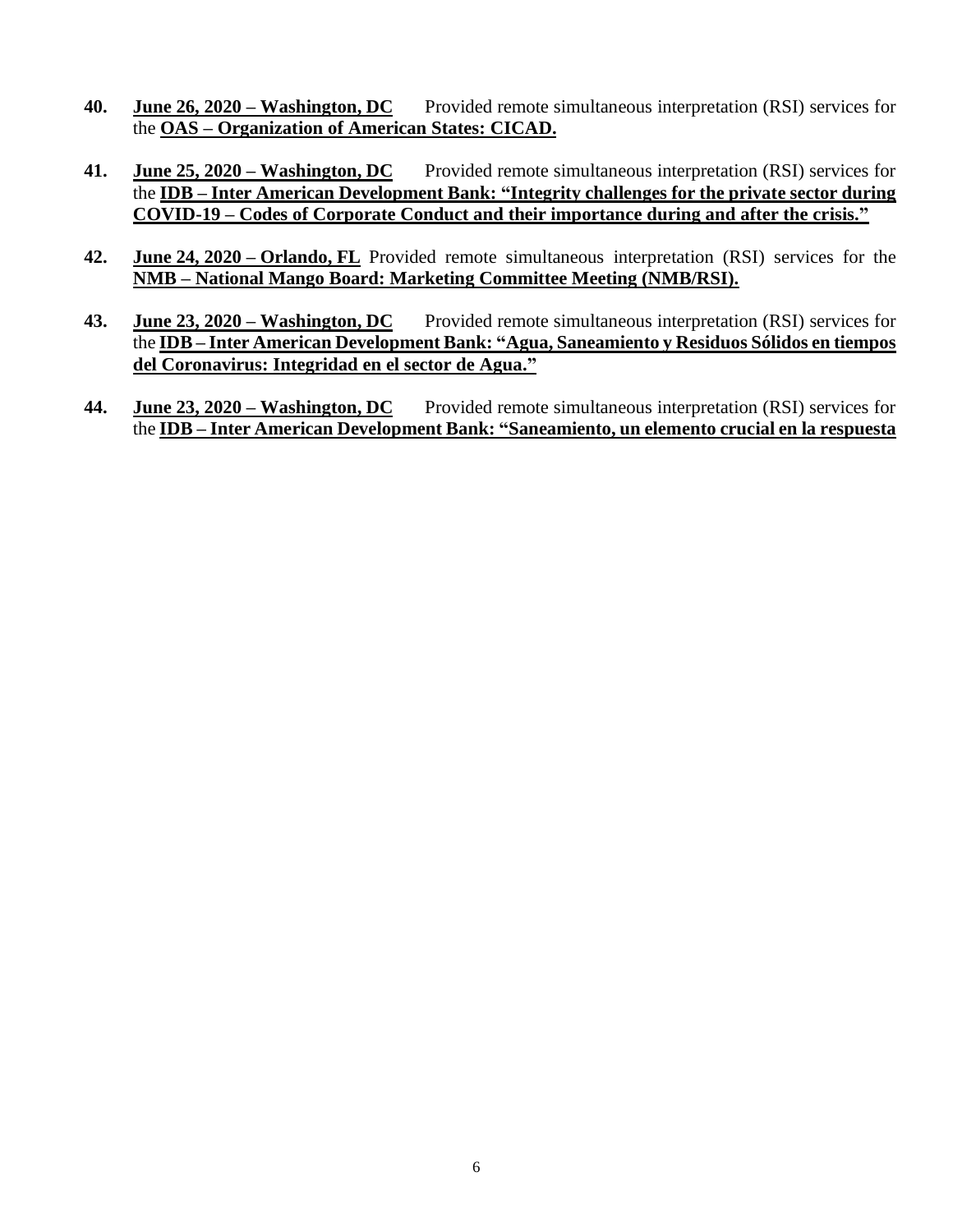- **40. June 26, 2020 – Washington, DC** Provided remote simultaneous interpretation (RSI) services for the **OAS – Organization of American States: CICAD.**
- **41. June 25, 2020 – Washington, DC** Provided remote simultaneous interpretation (RSI) services for the **IDB – Inter American Development Bank: "Integrity challenges for the private sector during COVID-19 – Codes of Corporate Conduct and their importance during and after the crisis."**
- **42. June 24, 2020 – Orlando, FL** Provided remote simultaneous interpretation (RSI) services for the **NMB – National Mango Board: Marketing Committee Meeting (NMB/RSI).**
- **43. June 23, 2020 – Washington, DC** Provided remote simultaneous interpretation (RSI) services for the **IDB – Inter American Development Bank: "Agua, Saneamiento y Residuos Sólidos en tiempos del Coronavirus: Integridad en el sector de Agua."**
- **44. June 23, 2020 – Washington, DC** Provided remote simultaneous interpretation (RSI) services for the **IDB – Inter American Development Bank: "Saneamiento, un elemento crucial en la respuesta**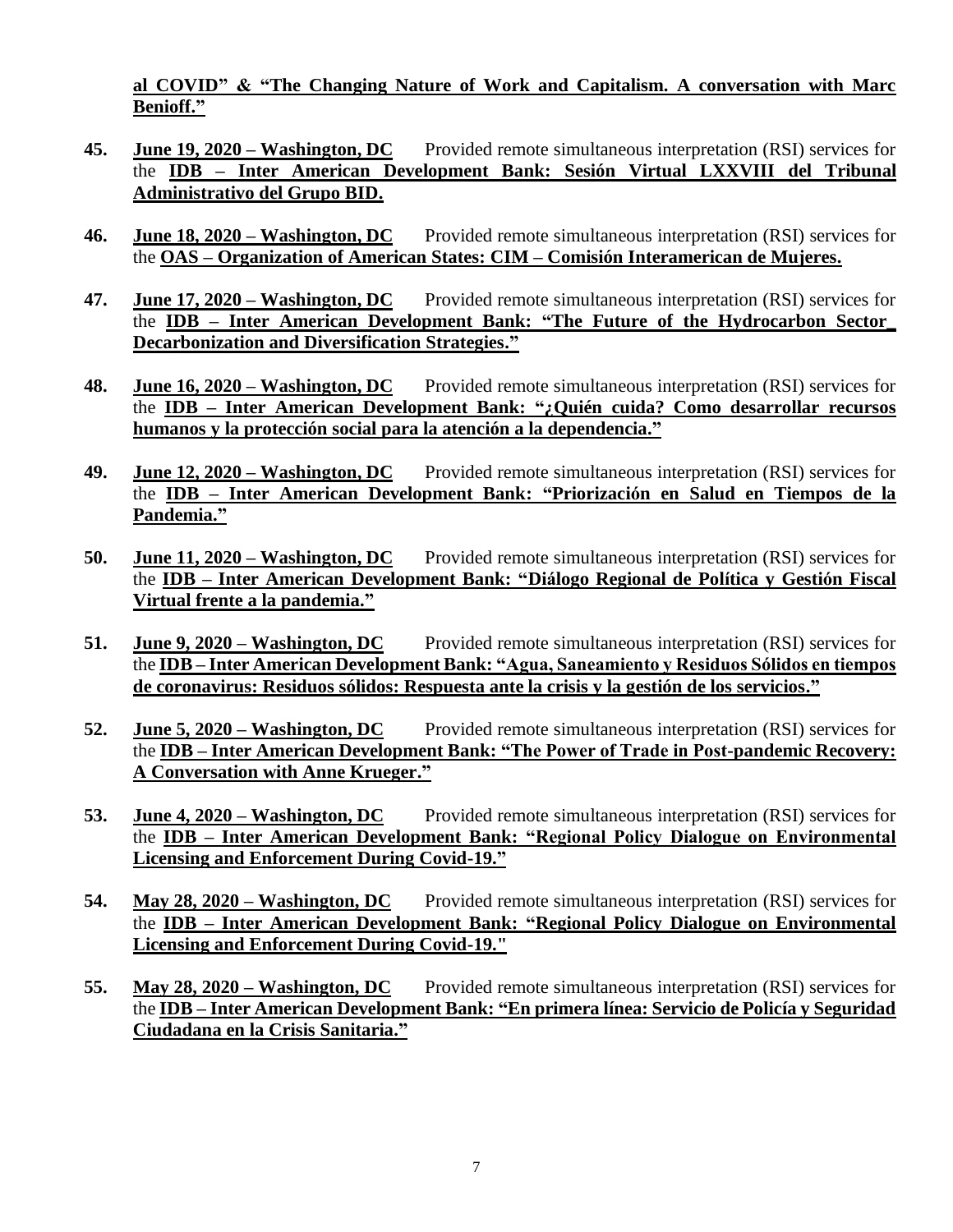**al COVID" & "The Changing Nature of Work and Capitalism. A conversation with Marc Benioff."**

- **45. June 19, 2020 – Washington, DC** Provided remote simultaneous interpretation (RSI) services for the **IDB – Inter American Development Bank: Sesión Virtual LXXVIII del Tribunal Administrativo del Grupo BID.**
- **46. June 18, 2020 – Washington, DC** Provided remote simultaneous interpretation (RSI) services for the **OAS – Organization of American States: CIM – Comisión Interamerican de Mujeres.**
- **47. June 17, 2020 – Washington, DC** Provided remote simultaneous interpretation (RSI) services for the **IDB – Inter American Development Bank: "The Future of the Hydrocarbon Sector\_ Decarbonization and Diversification Strategies."**
- **48. June 16, 2020 – Washington, DC** Provided remote simultaneous interpretation (RSI) services for the **IDB – Inter American Development Bank: "¿Quién cuida? Como desarrollar recursos humanos y la protección social para la atención a la dependencia."**
- **49. June 12, 2020 – Washington, DC** Provided remote simultaneous interpretation (RSI) services for the **IDB – Inter American Development Bank: "Priorización en Salud en Tiempos de la Pandemia."**
- **50. June 11, 2020 – Washington, DC** Provided remote simultaneous interpretation (RSI) services for the **IDB – Inter American Development Bank: "Diálogo Regional de Política y Gestión Fiscal Virtual frente a la pandemia."**
- **51. June 9, 2020 – Washington, DC** Provided remote simultaneous interpretation (RSI) services for the **IDB – Inter American Development Bank: "Agua, Saneamiento y Residuos Sólidos en tiempos de coronavirus: Residuos sólidos: Respuesta ante la crisis y la gestión de los servicios."**
- **52. June 5, 2020 – Washington, DC** Provided remote simultaneous interpretation (RSI) services for the **IDB – Inter American Development Bank: "The Power of Trade in Post-pandemic Recovery: A Conversation with Anne Krueger."**
- **53. June 4, 2020 – Washington, DC** Provided remote simultaneous interpretation (RSI) services for the **IDB – Inter American Development Bank: "Regional Policy Dialogue on Environmental Licensing and Enforcement During Covid-19."**
- **54. May 28, 2020 – Washington, DC** Provided remote simultaneous interpretation (RSI) services for the **IDB – Inter American Development Bank: "Regional Policy Dialogue on Environmental Licensing and Enforcement During Covid-19."**
- **55. May 28, 2020 – Washington, DC** Provided remote simultaneous interpretation (RSI) services for the **IDB – Inter American Development Bank: "En primera línea: Servicio de Policía y Seguridad Ciudadana en la Crisis Sanitaria."**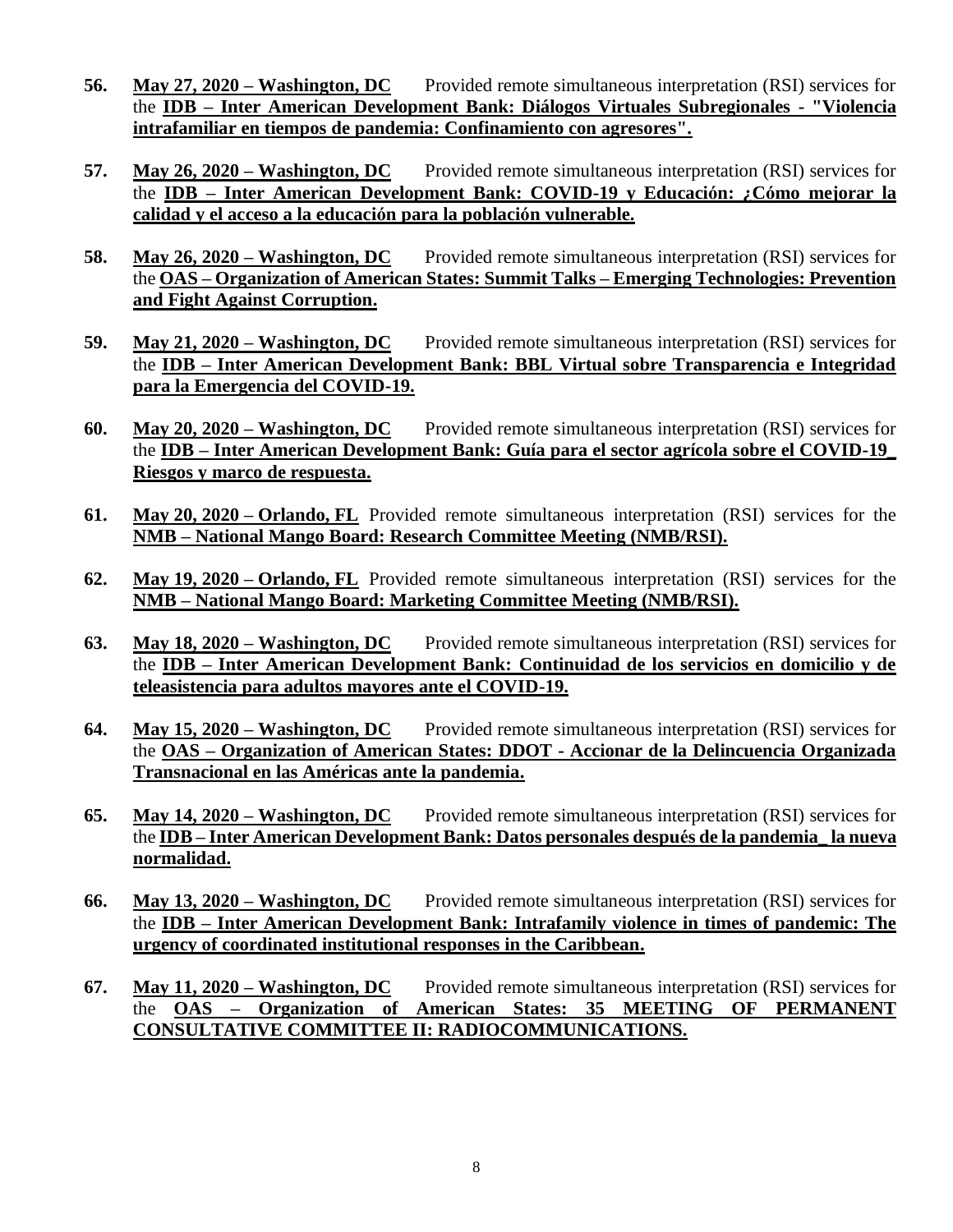- **56. May 27, 2020 – Washington, DC** Provided remote simultaneous interpretation (RSI) services for the **IDB – Inter American Development Bank: Diálogos Virtuales Subregionales - "Violencia intrafamiliar en tiempos de pandemia: Confinamiento con agresores".**
- **57. May 26, 2020 – Washington, DC** Provided remote simultaneous interpretation (RSI) services for the **IDB – Inter American Development Bank: COVID-19 y Educación: ¿Cómo mejorar la calidad y el acceso a la educación para la población vulnerable.**
- **58. May 26, 2020 – Washington, DC** Provided remote simultaneous interpretation (RSI) services for the **OAS – Organization of American States: Summit Talks – Emerging Technologies: Prevention and Fight Against Corruption.**
- **59. May 21, 2020 – Washington, DC** Provided remote simultaneous interpretation (RSI) services for the **IDB – Inter American Development Bank: BBL Virtual sobre Transparencia e Integridad para la Emergencia del COVID-19.**
- **60. May 20, 2020 – Washington, DC** Provided remote simultaneous interpretation (RSI) services for the **IDB – Inter American Development Bank: Guía para el sector agrícola sobre el COVID-19\_ Riesgos y marco de respuesta.**
- **61. May 20, 2020 – Orlando, FL** Provided remote simultaneous interpretation (RSI) services for the **NMB – National Mango Board: Research Committee Meeting (NMB/RSI).**
- **62. May 19, 2020 – Orlando, FL** Provided remote simultaneous interpretation (RSI) services for the **NMB – National Mango Board: Marketing Committee Meeting (NMB/RSI).**
- **63. May 18, 2020 – Washington, DC** Provided remote simultaneous interpretation (RSI) services for the **IDB – Inter American Development Bank: Continuidad de los servicios en domicilio y de teleasistencia para adultos mayores ante el COVID-19.**
- **64. May 15, 2020 – Washington, DC** Provided remote simultaneous interpretation (RSI) services for the **OAS – Organization of American States: DDOT - Accionar de la Delincuencia Organizada Transnacional en las Américas ante la pandemia.**
- **65. May 14, 2020 – Washington, DC** Provided remote simultaneous interpretation (RSI) services for the **IDB – Inter American Development Bank: Datos personales después de la pandemia\_ la nueva normalidad.**
- **66. May 13, 2020 – Washington, DC** Provided remote simultaneous interpretation (RSI) services for the **IDB – Inter American Development Bank: Intrafamily violence in times of pandemic: The urgency of coordinated institutional responses in the Caribbean.**
- **67. May 11, 2020 – Washington, DC** Provided remote simultaneous interpretation (RSI) services for the **OAS – Organization of American States: 35 MEETING OF PERMANENT CONSULTATIVE COMMITTEE II: RADIOCOMMUNICATIONS.**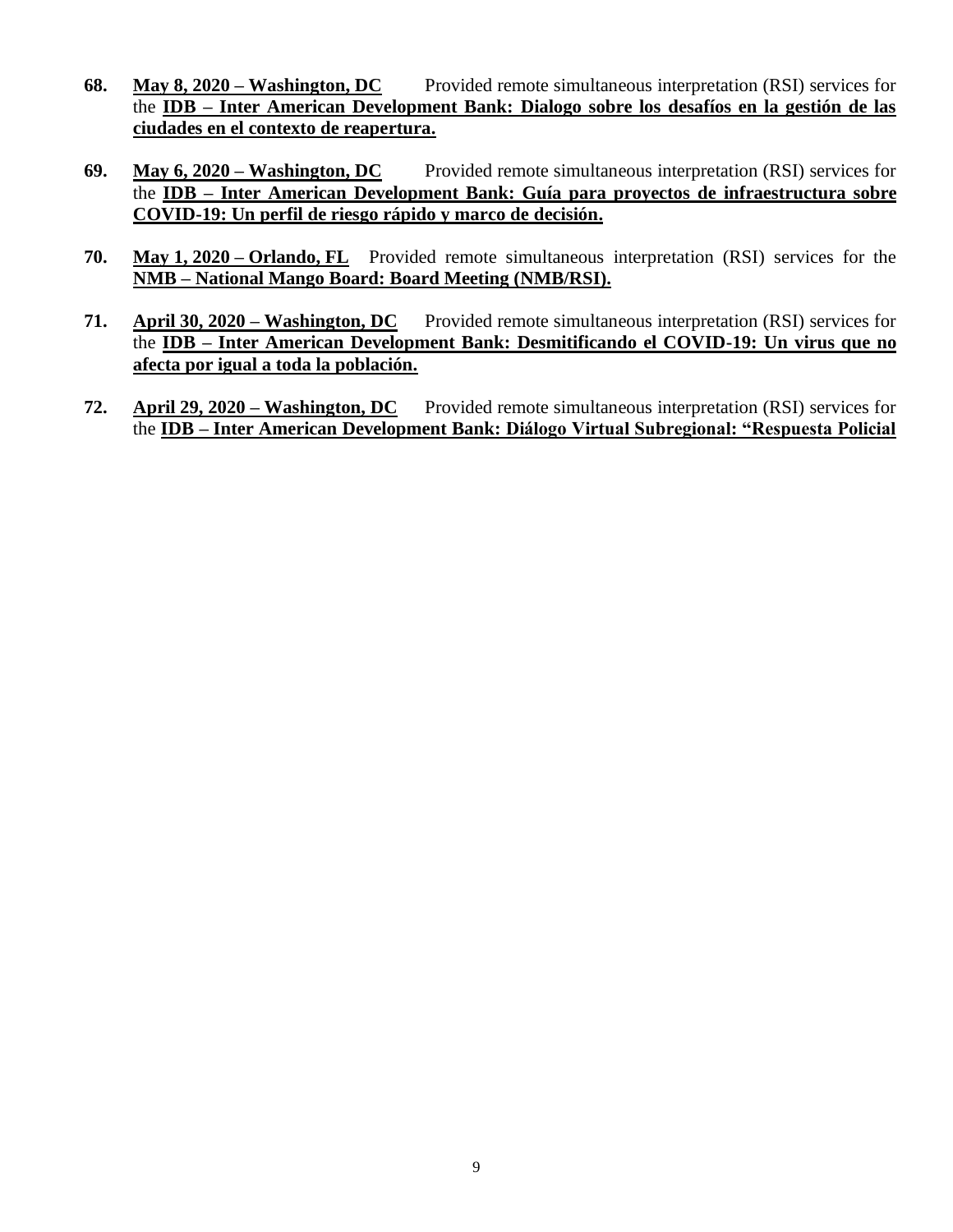- **68. May 8, 2020 – Washington, DC** Provided remote simultaneous interpretation (RSI) services for the **IDB – Inter American Development Bank: Dialogo sobre los desafíos en la gestión de las ciudades en el contexto de reapertura.**
- **69. May 6, 2020 – Washington, DC** Provided remote simultaneous interpretation (RSI) services for the **IDB – Inter American Development Bank: Guía para proyectos de infraestructura sobre COVID-19: Un perfil de riesgo rápido y marco de decisión.**
- **70. May 1, 2020 – Orlando, FL** Provided remote simultaneous interpretation (RSI) services for the **NMB – National Mango Board: Board Meeting (NMB/RSI).**
- **71. April 30, 2020 – Washington, DC** Provided remote simultaneous interpretation (RSI) services for the **IDB – Inter American Development Bank: Desmitificando el COVID-19: Un virus que no afecta por igual a toda la población.**
- **72. April 29, 2020 – Washington, DC** Provided remote simultaneous interpretation (RSI) services for the **IDB – Inter American Development Bank: Diálogo Virtual Subregional: "Respuesta Policial**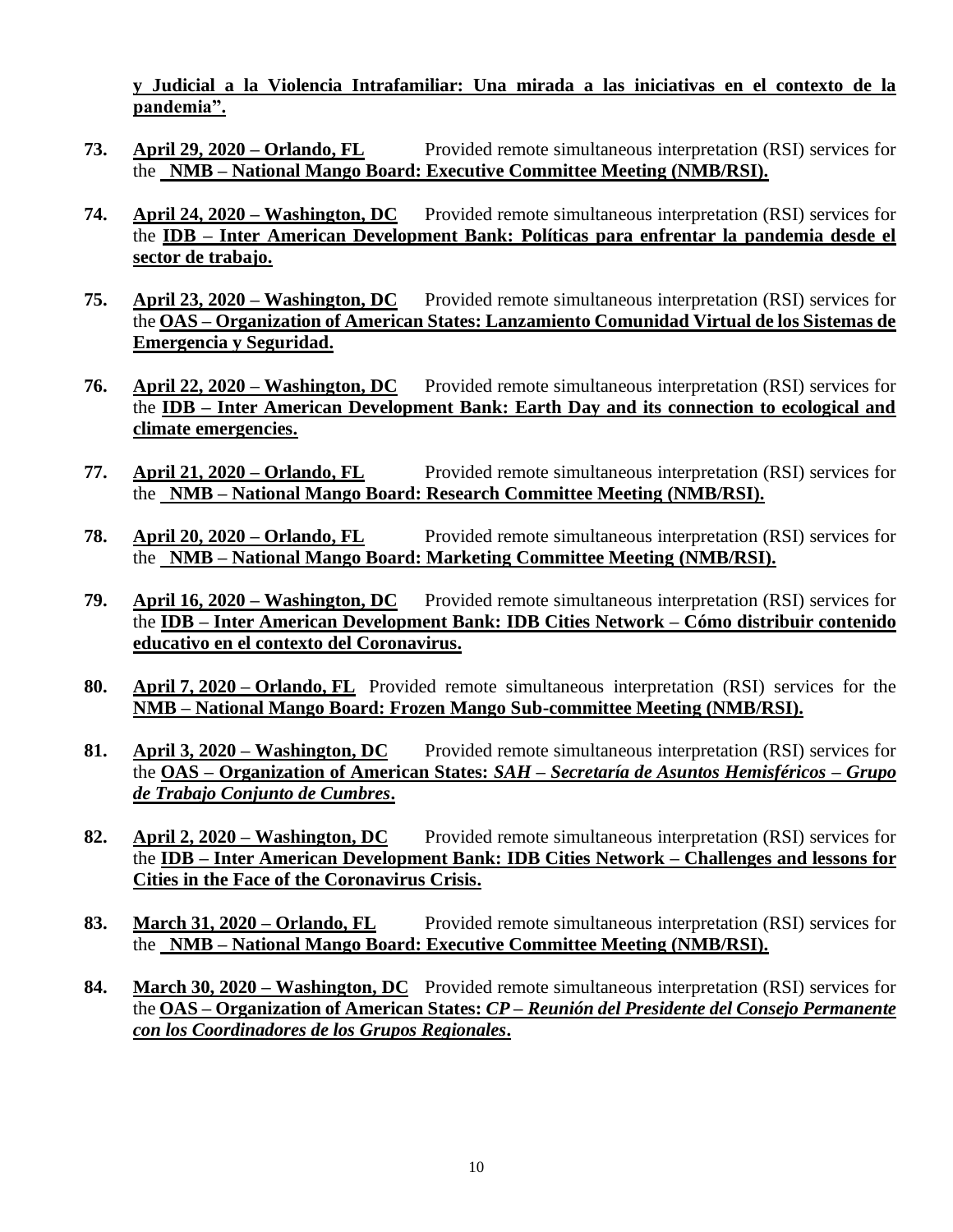**y Judicial a la Violencia Intrafamiliar: Una mirada a las iniciativas en el contexto de la pandemia".**

- **73. April 29, 2020 – Orlando, FL** Provided remote simultaneous interpretation (RSI) services for the **NMB – National Mango Board: Executive Committee Meeting (NMB/RSI).**
- **74. April 24, 2020 – Washington, DC** Provided remote simultaneous interpretation (RSI) services for the **IDB – Inter American Development Bank: Políticas para enfrentar la pandemia desde el sector de trabajo.**
- **75. April 23, 2020 – Washington, DC** Provided remote simultaneous interpretation (RSI) services for the **OAS – Organization of American States: Lanzamiento Comunidad Virtual de los Sistemas de Emergencia y Seguridad.**
- **76. April 22, 2020 – Washington, DC** Provided remote simultaneous interpretation (RSI) services for the **IDB – Inter American Development Bank: Earth Day and its connection to ecological and climate emergencies.**
- **77. April 21, 2020 – Orlando, FL** Provided remote simultaneous interpretation (RSI) services for the **NMB – National Mango Board: Research Committee Meeting (NMB/RSI).**
- **78. April 20, 2020 – Orlando, FL** Provided remote simultaneous interpretation (RSI) services for the **NMB – National Mango Board: Marketing Committee Meeting (NMB/RSI).**
- **79. April 16, 2020 – Washington, DC** Provided remote simultaneous interpretation (RSI) services for the **IDB – Inter American Development Bank: IDB Cities Network – Cómo distribuir contenido educativo en el contexto del Coronavirus.**
- **80. April 7, 2020 – Orlando, FL** Provided remote simultaneous interpretation (RSI) services for the **NMB – National Mango Board: Frozen Mango Sub-committee Meeting (NMB/RSI).**
- **81. April 3, 2020 – Washington, DC** Provided remote simultaneous interpretation (RSI) services for the **OAS – Organization of American States:** *SAH – Secretaría de Asuntos Hemisféricos – Grupo de Trabajo Conjunto de Cumbres***.**
- **82. April 2, 2020 – Washington, DC** Provided remote simultaneous interpretation (RSI) services for the **IDB – Inter American Development Bank: IDB Cities Network – Challenges and lessons for Cities in the Face of the Coronavirus Crisis.**
- **83. March 31, 2020 – Orlando, FL** Provided remote simultaneous interpretation (RSI) services for the **NMB – National Mango Board: Executive Committee Meeting (NMB/RSI).**
- **84. March 30, 2020 – Washington, DC** Provided remote simultaneous interpretation (RSI) services for the **OAS – Organization of American States:** *CP – Reunión del Presidente del Consejo Permanente con los Coordinadores de los Grupos Regionales***.**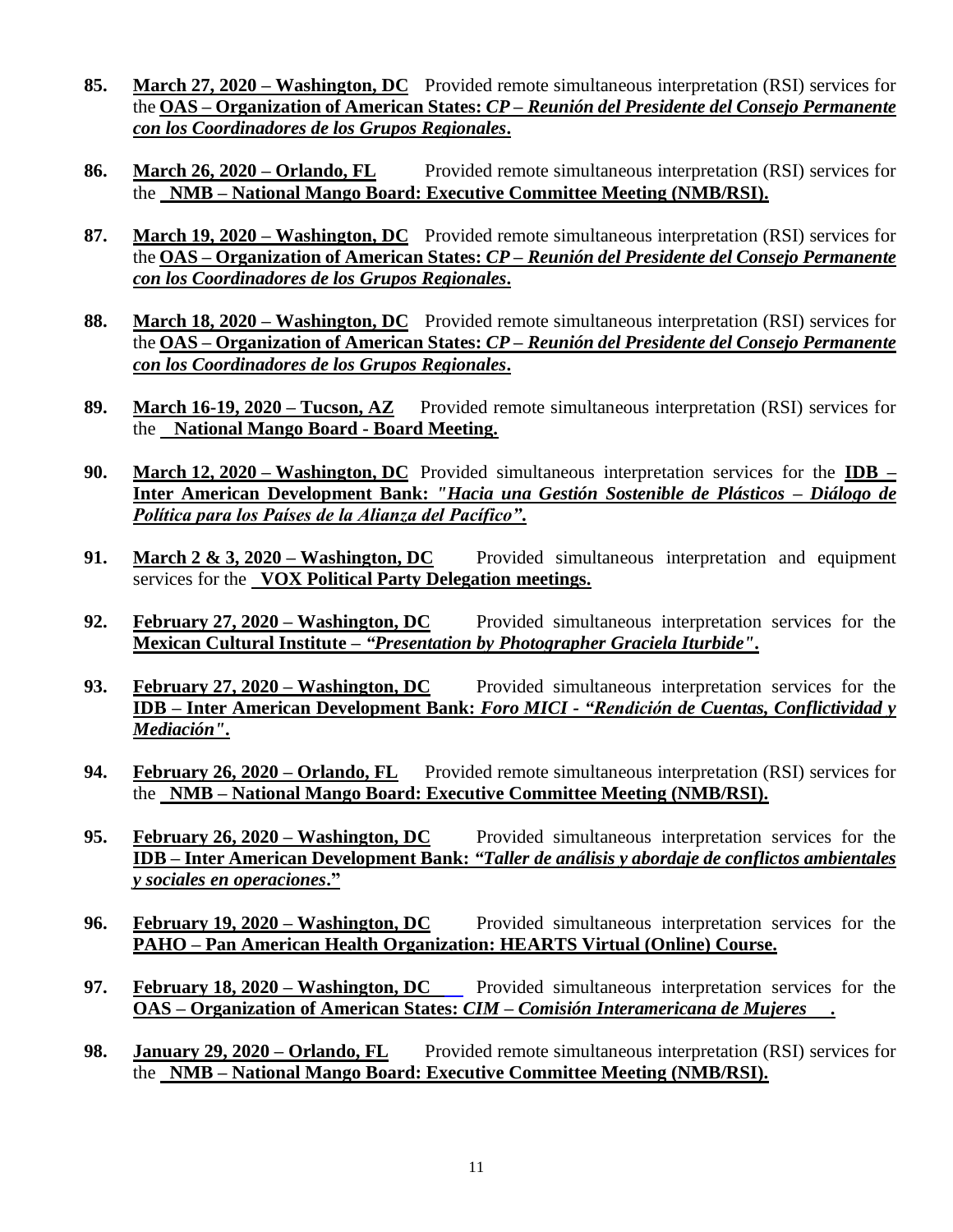- **85. March 27, 2020 – Washington, DC** Provided remote simultaneous interpretation (RSI) services for the **OAS – Organization of American States:** *CP – Reunión del Presidente del Consejo Permanente con los Coordinadores de los Grupos Regionales***.**
- **86. March 26, 2020 – Orlando, FL** Provided remote simultaneous interpretation (RSI) services for the **NMB – National Mango Board: Executive Committee Meeting (NMB/RSI).**
- **87. March 19, 2020 – Washington, DC** Provided remote simultaneous interpretation (RSI) services for the **OAS – Organization of American States:** *CP – Reunión del Presidente del Consejo Permanente con los Coordinadores de los Grupos Regionales***.**
- **88. March 18, 2020 – Washington, DC** Provided remote simultaneous interpretation (RSI) services for the **OAS – Organization of American States:** *CP – Reunión del Presidente del Consejo Permanente con los Coordinadores de los Grupos Regionales***.**
- **89. March 16-19, 2020 – Tucson, AZ** Provided remote simultaneous interpretation (RSI) services for the **National Mango Board - Board Meeting.**
- **90. March 12, 2020 – Washington, DC** Provided simultaneous interpretation services for the **IDB – Inter American Development Bank:** *"Hacia una Gestión Sostenible de Plásticos – Diálogo de Política para los Países de la Alianza del Pacífico"***.**
- **91. March 2 & 3, 2020 – Washington, DC** Provided simultaneous interpretation and equipment services for the **VOX Political Party Delegation meetings.**
- **92. February 27, 2020 – Washington, DC** Provided simultaneous interpretation services for the **Mexican Cultural Institute –** *"Presentation by Photographer Graciela Iturbide"***.**
- **93. February 27, 2020 – Washington, DC** Provided simultaneous interpretation services for the **IDB – Inter American Development Bank:** *Foro MICI - "Rendición de Cuentas, Conflictividad y Mediación"***.**
- **94. February 26, 2020 – Orlando, FL** Provided remote simultaneous interpretation (RSI) services for the **NMB – National Mango Board: Executive Committee Meeting (NMB/RSI).**
- **95. February 26, 2020 – Washington, DC** Provided simultaneous interpretation services for the **IDB – Inter American Development Bank:** *"Taller de análisis y abordaje de conflictos ambientales y sociales en operaciones***."**
- **96. February 19, 2020 – Washington, DC** Provided simultaneous interpretation services for the **PAHO – Pan American Health Organization: HEARTS Virtual (Online) Course.**
- **97. February 18, 2020 – Washington, DC** Provided simultaneous interpretation services for the **OAS – Organization of American States:** *CIM – Comisión Interamericana de Mujeres* **.**
- **98. January 29, 2020 – Orlando, FL** Provided remote simultaneous interpretation (RSI) services for the **NMB – National Mango Board: Executive Committee Meeting (NMB/RSI).**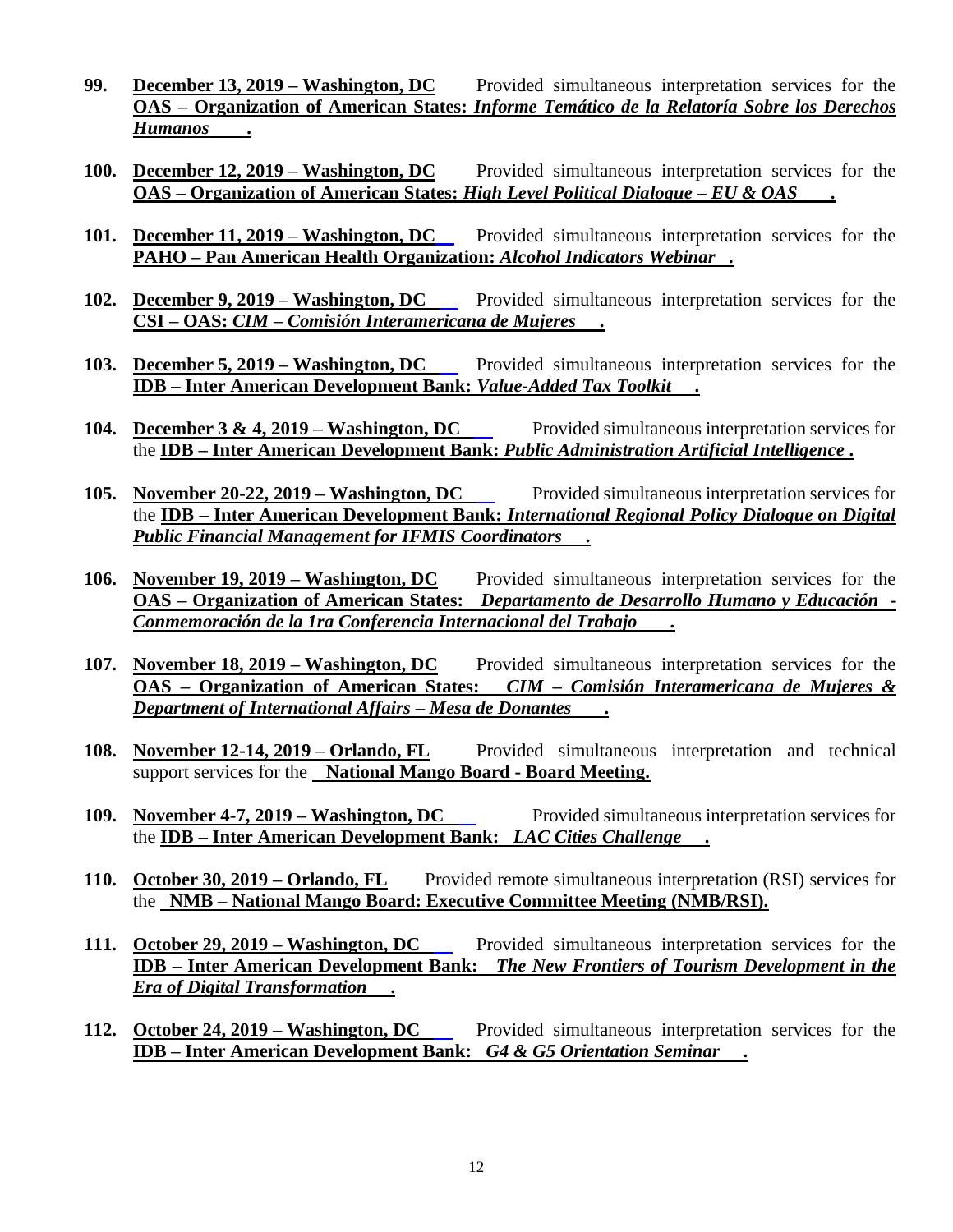- **99. December 13, 2019 – Washington, DC** Provided simultaneous interpretation services for the **OAS – Organization of American States:** *Informe Temático de la Relatoría Sobre los Derechos Humanos* **.**
- **100. December 12, 2019 – Washington, DC** Provided simultaneous interpretation services for the **OAS – Organization of American States:** *High Level Political Dialogue – EU & OAS* **.**
- **101. December 11, 2019 – Washington, DC** Provided simultaneous interpretation services for the **PAHO – Pan American Health Organization:** *Alcohol Indicators Webinar .*
- **102. December 9, 2019 – Washington, DC** Provided simultaneous interpretation services for the **CSI – OAS:** *CIM – Comisión Interamericana de Mujeres* **.**
- **103. December 5, 2019 Washington, DC** Provided simultaneous interpretation services for the **IDB – Inter American Development Bank:** *Value-Added Tax Toolkit* **.**
- **104. December 3 & 4, 2019 Washington, DC** Provided simultaneous interpretation services for the **IDB – Inter American Development Bank:** *Public Administration Artificial Intelligence* **.**
- **105.** November 20-22, 2019 Washington, DC Provided simultaneous interpretation services for the **IDB – Inter American Development Bank:** *International Regional Policy Dialogue on Digital Public Financial Management for IFMIS Coordinators* **.**
- **106. November 19, 2019 – Washington, DC** Provided simultaneous interpretation services for the **OAS – Organization of American States:** *Departamento de Desarrollo Humano y Educación - Conmemoración de la 1ra Conferencia Internacional del Trabajo* **.**
- **107. November 18, 2019 – Washington, DC** Provided simultaneous interpretation services for the **OAS – Organization of American States:** *CIM – Comisión Interamericana de Mujeres & Department of International Affairs – Mesa de Donantes* **.**
- **108. November 12-14, 2019 – Orlando, FL** Provided simultaneous interpretation and technical support services for the **National Mango Board - Board Meeting.**
- **109. November 4-7, 2019 Washington, DC** Provided simultaneous interpretation services for the **IDB – Inter American Development Bank:** *LAC Cities Challenge* **.**
- **110. October 30, 2019 – Orlando, FL** Provided remote simultaneous interpretation (RSI) services for the **NMB – National Mango Board: Executive Committee Meeting (NMB/RSI).**
- **111. October 29, 2019 – Washington, DC** Provided simultaneous interpretation services for the **IDB – Inter American Development Bank:** *The New Frontiers of Tourism Development in the Era of Digital Transformation* **.**
- **112. October 24, 2019 – Washington, DC** Provided simultaneous interpretation services for the **IDB – Inter American Development Bank:** *G4 & G5 Orientation Seminar* **.**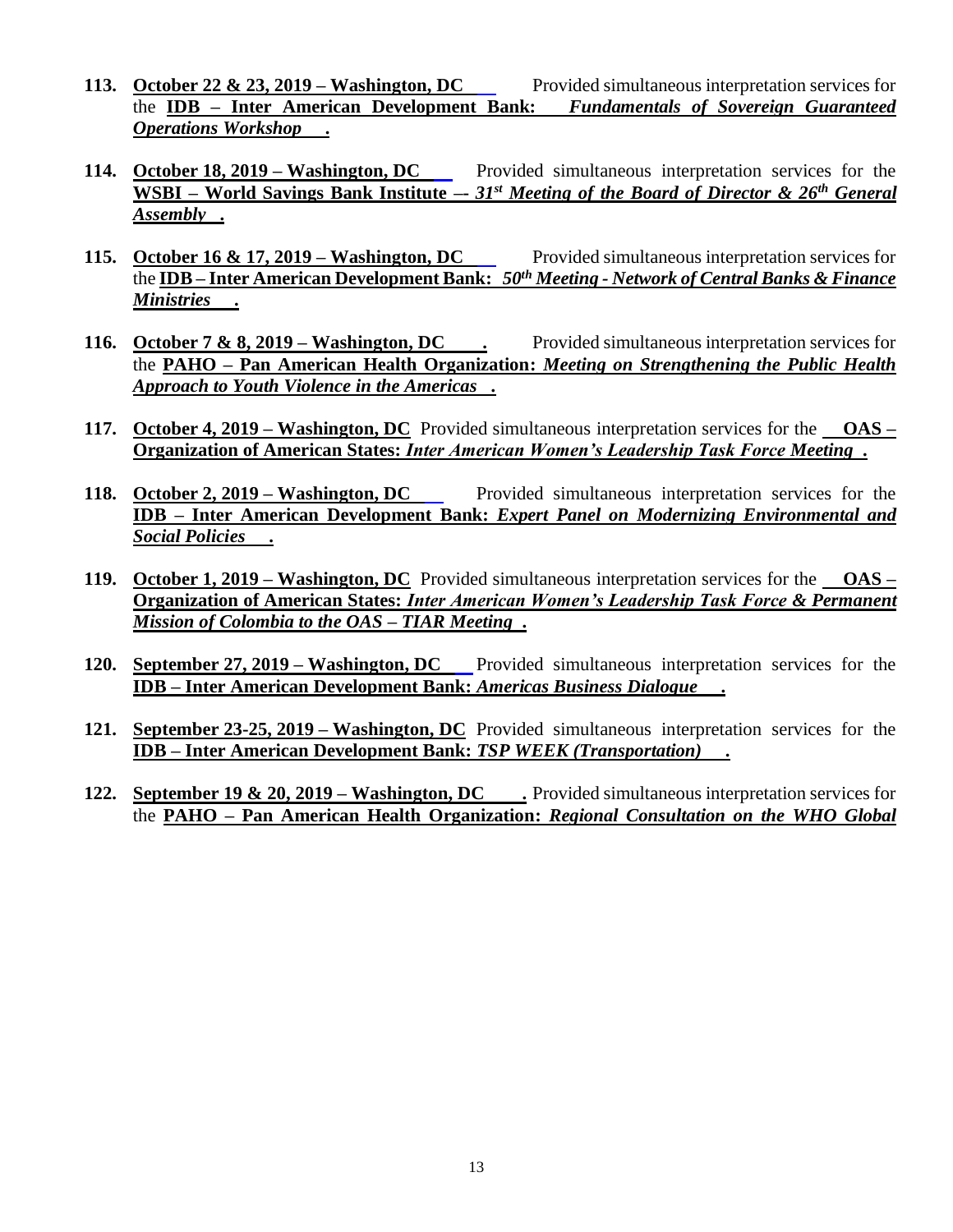- **113.** October 22 & 23, 2019 Washington, DC Provided simultaneous interpretation services for the **IDB – Inter American Development Bank:** *Fundamentals of Sovereign Guaranteed Operations Workshop* **.**
- **114. October 18, 2019 Washington, DC** Provided simultaneous interpretation services for the **WSBI – World Savings Bank Institute –-** *31st Meeting of the Board of Director & 26th General Assembly* **.**
- **115.** October 16 & 17, 2019 Washington, DC Provided simultaneous interpretation services for the **IDB – Inter American Development Bank:** *50th Meeting - Network of Central Banks & Finance Ministries* **.**
- **116. October 7 & 8, 2019 – Washington, DC .** Provided simultaneous interpretation services for the **PAHO – Pan American Health Organization:** *Meeting on Strengthening the Public Health Approach to Youth Violence in the Americas .*
- **117. October 4, 2019 – Washington, DC** Provided simultaneous interpretation services for the **OAS – Organization of American States:** *Inter American Women's Leadership Task Force Meeting* **.**
- **118. October 2, 2019 – Washington, DC** Provided simultaneous interpretation services for the **IDB – Inter American Development Bank:** *Expert Panel on Modernizing Environmental and Social Policies* **.**
- **119. October 1, 2019 – Washington, DC** Provided simultaneous interpretation services for the **OAS – Organization of American States:** *Inter American Women's Leadership Task Force & Permanent Mission of Colombia to the OAS* **–** *TIAR Meeting* **.**
- **120. September 27, 2019 Washington, DC** Provided simultaneous interpretation services for the **IDB – Inter American Development Bank:** *Americas Business Dialogue* **.**
- **121. September 23-25, 2019 – Washington, DC** Provided simultaneous interpretation services for the **IDB – Inter American Development Bank:** *TSP WEEK (Transportation)* **.**
- **122. September 19 & 20, 2019 Washington, DC** . Provided simultaneous interpretation services for the **PAHO – Pan American Health Organization:** *Regional Consultation on the WHO Global*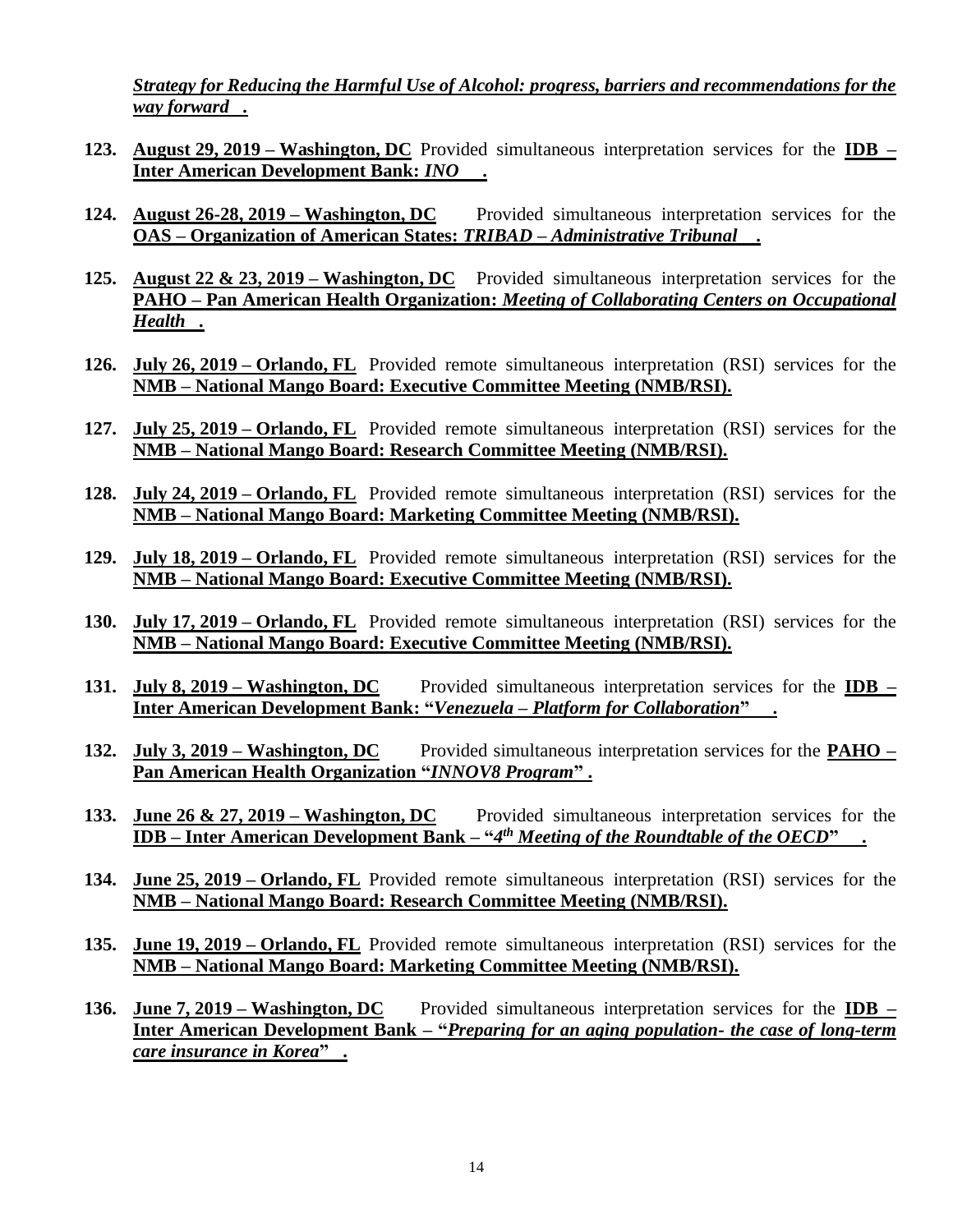*Strategy for Reducing the Harmful Use of Alcohol: progress, barriers and recommendations for the way forward .*

- **123. August 29, 2019 – Washington, DC** Provided simultaneous interpretation services for the **IDB – Inter American Development Bank:** *INO* **.**
- **124. August 26-28, 2019 – Washington, DC** Provided simultaneous interpretation services for the **OAS – Organization of American States:** *TRIBAD – Administrative Tribunal* **.**
- **125. August 22 & 23, 2019 – Washington, DC** Provided simultaneous interpretation services for the **PAHO – Pan American Health Organization:** *Meeting of Collaborating Centers on Occupational Health .*
- **126. July 26, 2019 – Orlando, FL** Provided remote simultaneous interpretation (RSI) services for the **NMB – National Mango Board: Executive Committee Meeting (NMB/RSI).**
- **127. July 25, 2019 – Orlando, FL** Provided remote simultaneous interpretation (RSI) services for the **NMB – National Mango Board: Research Committee Meeting (NMB/RSI).**
- **128. July 24, 2019 – Orlando, FL** Provided remote simultaneous interpretation (RSI) services for the **NMB – National Mango Board: Marketing Committee Meeting (NMB/RSI).**
- **129. July 18, 2019 – Orlando, FL** Provided remote simultaneous interpretation (RSI) services for the **NMB – National Mango Board: Executive Committee Meeting (NMB/RSI).**
- **130. July 17, 2019 – Orlando, FL** Provided remote simultaneous interpretation (RSI) services for the **NMB – National Mango Board: Executive Committee Meeting (NMB/RSI).**
- **131. July 8, 2019 – Washington, DC** Provided simultaneous interpretation services for the **IDB – Inter American Development Bank: "***Venezuela – Platform for Collaboration***" .**
- **132. July 3, 2019 – Washington, DC** Provided simultaneous interpretation services for the **PAHO – Pan American Health Organization "***INNOV8 Program***" .**
- **133. June 26 & 27, 2019 – Washington, DC** Provided simultaneous interpretation services for the **IDB – Inter American Development Bank – "***4 th Meeting of the Roundtable of the OECD***" .**
- **134. June 25, 2019 – Orlando, FL** Provided remote simultaneous interpretation (RSI) services for the **NMB – National Mango Board: Research Committee Meeting (NMB/RSI).**
- **135. June 19, 2019 – Orlando, FL** Provided remote simultaneous interpretation (RSI) services for the **NMB – National Mango Board: Marketing Committee Meeting (NMB/RSI).**
- **136. June 7, 2019 – Washington, DC** Provided simultaneous interpretation services for the **IDB – Inter American Development Bank – "***Preparing for an aging population- the case of long-term care insurance in Korea***" .**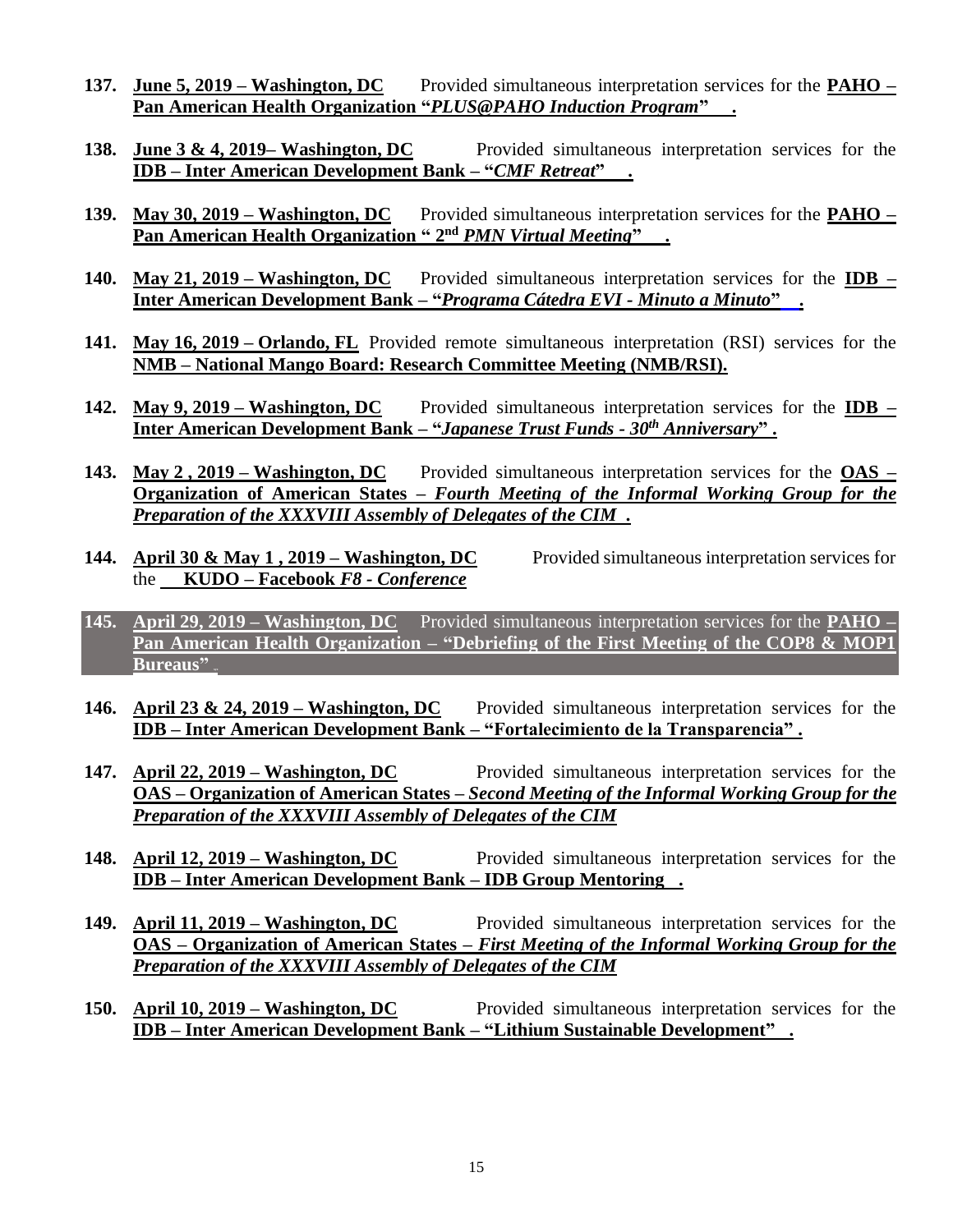- **137. June 5, 2019 – Washington, DC** Provided simultaneous interpretation services for the **PAHO – Pan American Health Organization "***PLUS@PAHO Induction Program***" .**
- **138. June 3 & 4, 2019– Washington, DC** Provided simultaneous interpretation services for the **IDB – Inter American Development Bank – "***CMF Retreat***" .**
- **139. May 30, 2019 – Washington, DC** Provided simultaneous interpretation services for the **PAHO –** *Pan American Health Organization* "  $2<sup>nd</sup>$  *PMN Virtual Meeting*" .
- **140. May 21, 2019 – Washington, DC** Provided simultaneous interpretation services for the **IDB – Inter American Development Bank – "***Programa Cátedra EVI - Minuto a Minuto***" .**
- **141. May 16, 2019 – Orlando, FL** Provided remote simultaneous interpretation (RSI) services for the **NMB – National Mango Board: Research Committee Meeting (NMB/RSI).**
- **142. May 9, 2019 – Washington, DC** Provided simultaneous interpretation services for the **IDB – Inter American Development Bank – "***Japanese Trust Funds - 30th Anniversary***" .**
- **143. May 2 , 2019 – Washington, DC** Provided simultaneous interpretation services for the **OAS – Organization of American States –** *Fourth Meeting of the Informal Working Group for the Preparation of the XXXVIII Assembly of Delegates of the CIM .*
- **144. April 30 & May 1 , 2019 – Washington, DC** Provided simultaneous interpretation services for the **KUDO – Facebook** *F8 - Conference*
- **145. April 29, 2019 – Washington, DC** Provided simultaneous interpretation services for the **PAHO – Pan American Health Organization – "Debriefing of the First Meeting of the COP8 & MOP1 Bureaus**"
- **146. April 23 & 24, 2019 – Washington, DC** Provided simultaneous interpretation services for the **IDB – Inter American Development Bank – "Fortalecimiento de la Transparencia" .**
- **147. April 22, 2019 – Washington, DC** Provided simultaneous interpretation services for the **OAS – Organization of American States –** *Second Meeting of the Informal Working Group for the Preparation of the XXXVIII Assembly of Delegates of the CIM*
- **148. April 12, 2019 – Washington, DC** Provided simultaneous interpretation services for the **IDB – Inter American Development Bank – IDB Group Mentoring .**
- **149. April 11, 2019 – Washington, DC** Provided simultaneous interpretation services for the **OAS – Organization of American States –** *First Meeting of the Informal Working Group for the Preparation of the XXXVIII Assembly of Delegates of the CIM*
- **150. April 10, 2019 – Washington, DC** Provided simultaneous interpretation services for the **IDB – Inter American Development Bank – "Lithium Sustainable Development" .**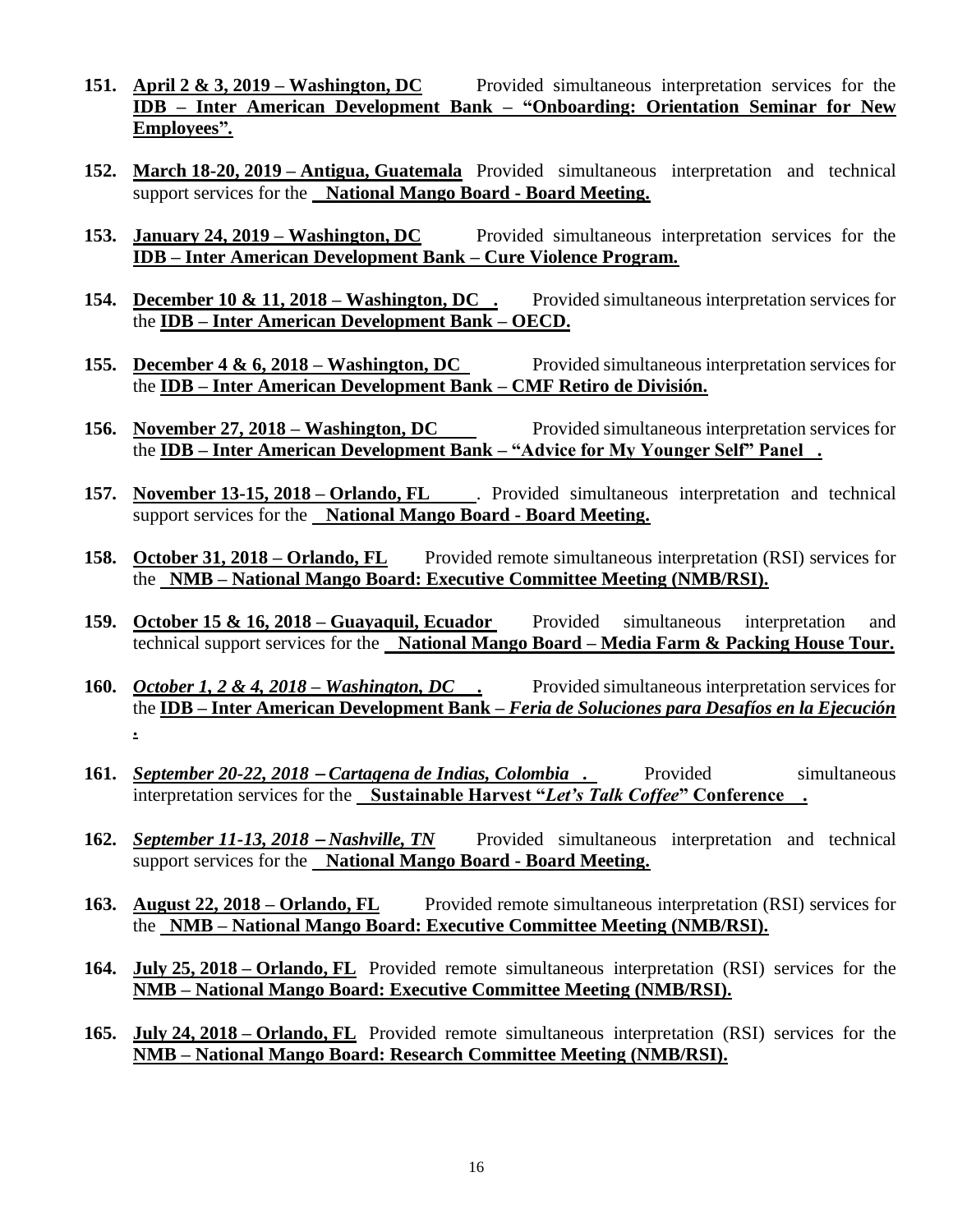- **151. April 2 & 3, 2019 – Washington, DC** Provided simultaneous interpretation services for the **IDB – Inter American Development Bank – "Onboarding: Orientation Seminar for New Employees"***.*
- **152. March 18-20, 2019 – Antigua, Guatemala** Provided simultaneous interpretation and technical support services for the **National Mango Board - Board Meeting.**
- **153. January 24, 2019 – Washington, DC** Provided simultaneous interpretation services for the **IDB – Inter American Development Bank – Cure Violence Program***.*
- **154. December 10 & 11, 2018 – Washington, DC .** Provided simultaneous interpretation services for the **IDB – Inter American Development Bank – OECD.**
- **155. December 4 & 6, 2018 Washington, DC** Provided simultaneous interpretation services for the **IDB – Inter American Development Bank – CMF Retiro de División.**
- 156. **November 27, 2018 Washington, DC** Provided simultaneous interpretation services for the **IDB – Inter American Development Bank – "Advice for My Younger Self" Panel .**
- **157. November 13-15, 2018 – Orlando, FL** . Provided simultaneous interpretation and technical support services for the **National Mango Board - Board Meeting.**
- **158. October 31, 2018 – Orlando, FL** Provided remote simultaneous interpretation (RSI) services for the **NMB – National Mango Board: Executive Committee Meeting (NMB/RSI).**
- **159.** October 15 & 16, 2018 Guayaquil, Ecuador Provided simultaneous interpretation and technical support services for the **National Mango Board – Media Farm & Packing House Tour.**
- **160.** *October 1, 2 & 4, 2018 – Washington, DC .* Provided simultaneous interpretation services for the **IDB – Inter American Development Bank –** *Feria de Soluciones para Desafíos en la Ejecución* **.**
- **161.** *<u>September 20-22, 2018 − Cartagena de Indias, Colombia .* Provided simultaneous</u> interpretation services for the **Sustainable Harvest "***Let's Talk Coffee***" Conference .**
- **162.** *September 11-13, 2018* <sup>−</sup> *Nashville, TN* Provided simultaneous interpretation and technical support services for the **National Mango Board - Board Meeting.**
- **163. August 22, 2018 – Orlando, FL** Provided remote simultaneous interpretation (RSI) services for the **NMB – National Mango Board: Executive Committee Meeting (NMB/RSI).**
- **164. July 25, 2018 – Orlando, FL** Provided remote simultaneous interpretation (RSI) services for the **NMB – National Mango Board: Executive Committee Meeting (NMB/RSI).**
- **165. July 24, 2018 – Orlando, FL** Provided remote simultaneous interpretation (RSI) services for the **NMB – National Mango Board: Research Committee Meeting (NMB/RSI).**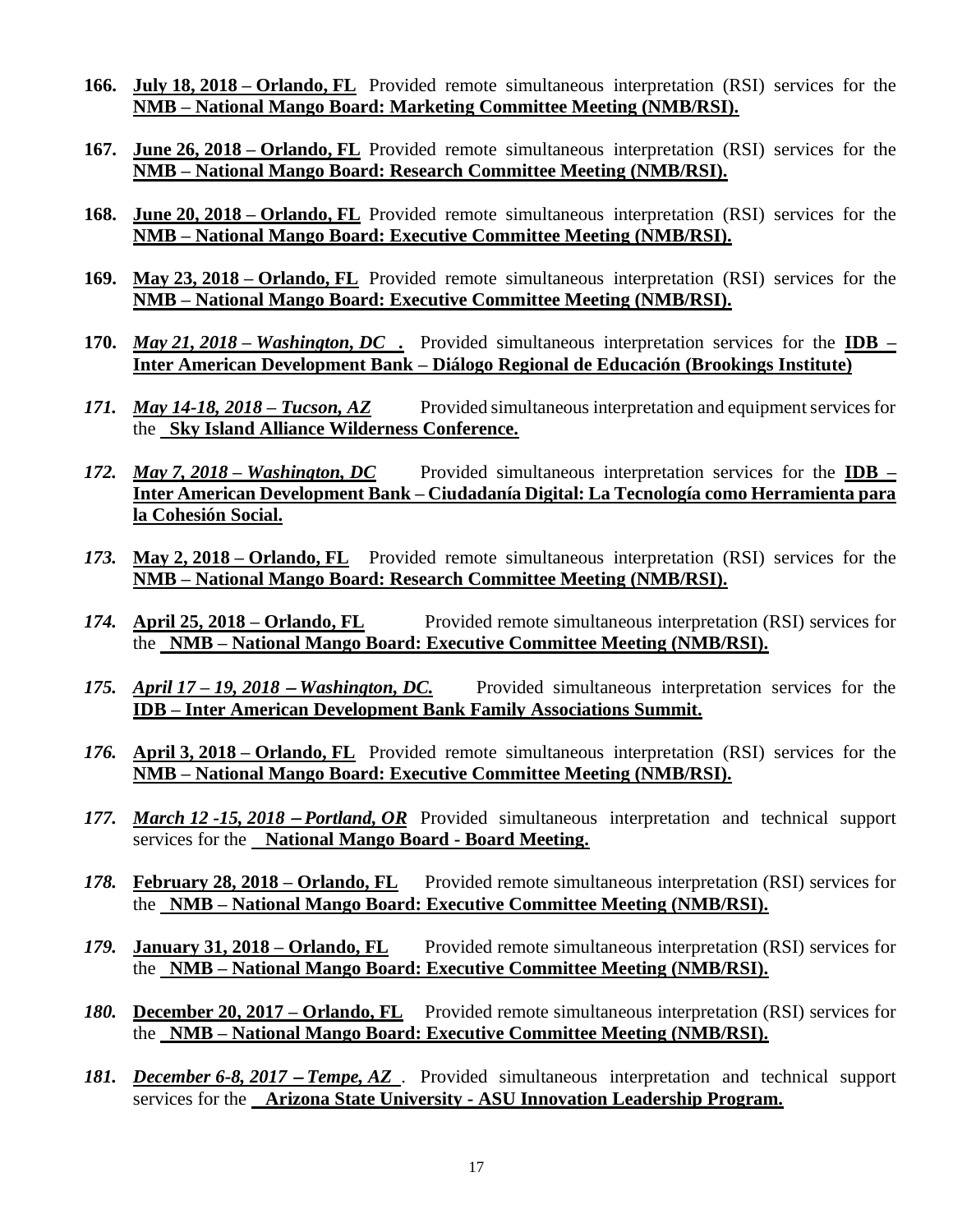- **166. July 18, 2018 – Orlando, FL** Provided remote simultaneous interpretation (RSI) services for the **NMB – National Mango Board: Marketing Committee Meeting (NMB/RSI).**
- **167. June 26, 2018 – Orlando, FL** Provided remote simultaneous interpretation (RSI) services for the **NMB – National Mango Board: Research Committee Meeting (NMB/RSI).**
- **168. June 20, 2018 – Orlando, FL** Provided remote simultaneous interpretation (RSI) services for the **NMB – National Mango Board: Executive Committee Meeting (NMB/RSI).**
- **169. May 23, 2018 – Orlando, FL** Provided remote simultaneous interpretation (RSI) services for the **NMB – National Mango Board: Executive Committee Meeting (NMB/RSI).**
- **170.** *May 21, 2018 – Washington, DC .* Provided simultaneous interpretation services for the **IDB – Inter American Development Bank – Diálogo Regional de Educación (Brookings Institute)**
- 171. *May 14-18, 2018 Tucson, AZ* Provided simultaneous interpretation and equipment services for the **Sky Island Alliance Wilderness Conference.**
- *172. May 7, 2018 – Washington, DC* Provided simultaneous interpretation services for the **IDB – Inter American Development Bank – Ciudadanía Digital: La Tecnología como Herramienta para la Cohesión Social.**
- *173.* **May 2, 2018 – Orlando, FL** Provided remote simultaneous interpretation (RSI) services for the **NMB – National Mango Board: Research Committee Meeting (NMB/RSI).**
- *174.* **April 25, 2018 – Orlando, FL** Provided remote simultaneous interpretation (RSI) services for the **NMB – National Mango Board: Executive Committee Meeting (NMB/RSI).**
- *175. April 17 – 19, 2018* <sup>−</sup> *Washington, DC.* Provided simultaneous interpretation services for the **IDB – Inter American Development Bank Family Associations Summit.**
- *176.* **April 3, 2018 – Orlando, FL** Provided remote simultaneous interpretation (RSI) services for the **NMB – National Mango Board: Executive Committee Meeting (NMB/RSI).**
- *177. March 12 -15, 2018 − Portland, OR* Provided simultaneous interpretation and technical support services for the **National Mango Board - Board Meeting.**
- *178.* **February 28, 2018 – Orlando, FL** Provided remote simultaneous interpretation (RSI) services for the **NMB – National Mango Board: Executive Committee Meeting (NMB/RSI).**
- *179.* **January 31, 2018 – Orlando, FL** Provided remote simultaneous interpretation (RSI) services for the **NMB – National Mango Board: Executive Committee Meeting (NMB/RSI).**
- *180.* **December 20, 2017 – Orlando, FL** Provided remote simultaneous interpretation (RSI) services for the **NMB – National Mango Board: Executive Committee Meeting (NMB/RSI).**
- *181. December 6-8, 2017 − Tempe, AZ*. Provided simultaneous interpretation and technical support services for the **Arizona State University - ASU Innovation Leadership Program.**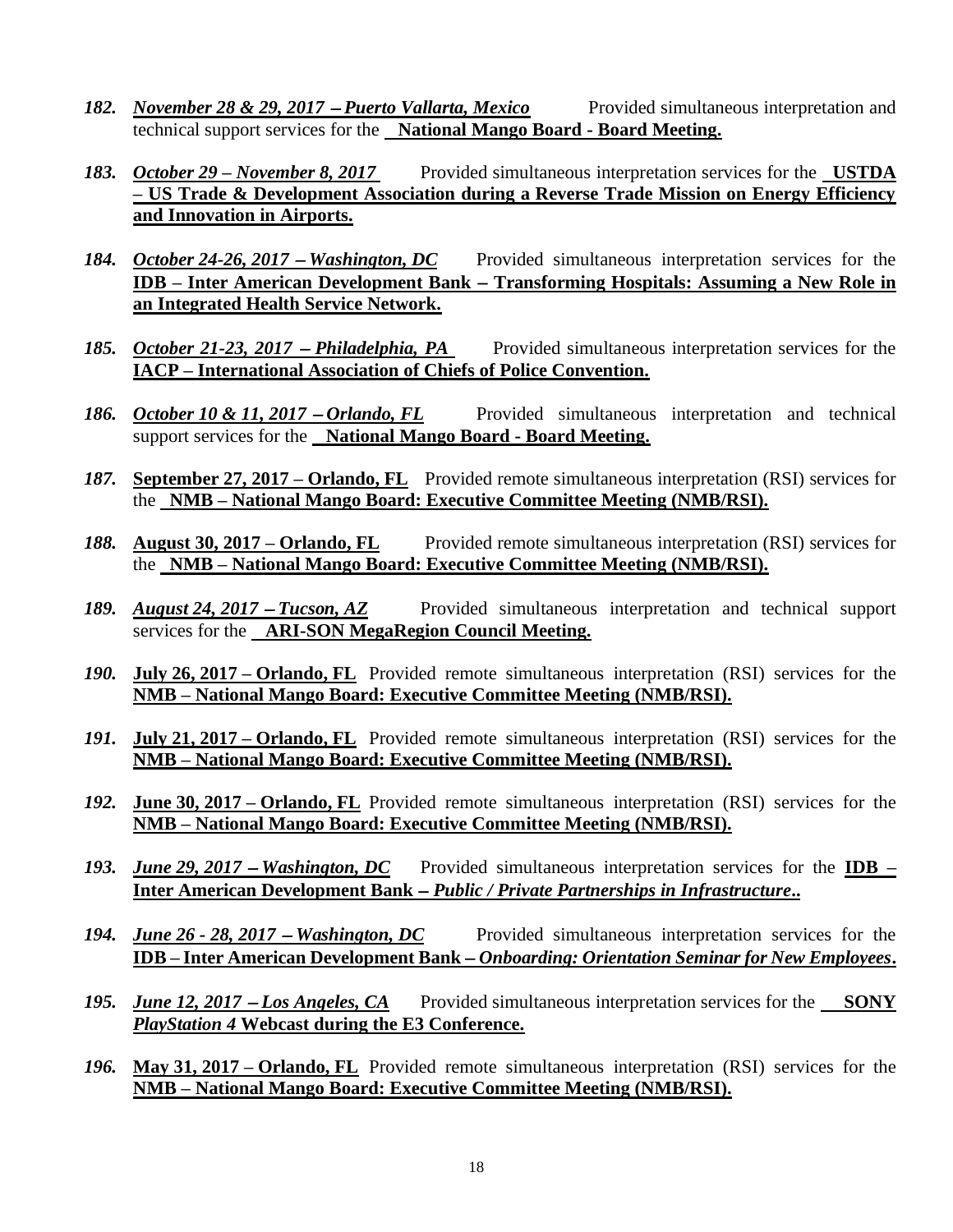- *182. November 28 & 29, 2017 − Puerto Vallarta, Mexico* Provided simultaneous interpretation and technical support services for the **National Mango Board - Board Meeting.**
- *183. October 29 – November 8, 2017* Provided simultaneous interpretation services for the **USTDA – US Trade & Development Association during a Reverse Trade Mission on Energy Efficiency and Innovation in Airports.**
- *184. October 24-26, 2017 Washington, DC* Provided simultaneous interpretation services for the **IDB – Inter American Development Bank** − **Transforming Hospitals: Assuming a New Role in an Integrated Health Service Network.**
- *185. October 21-23, 2017 − Philadelphia, PA* Provided simultaneous interpretation services for the **IACP – International Association of Chiefs of Police Convention.**
- *186. October 10 & 11, 2017 − Orlando, FL* Provided simultaneous interpretation and technical support services for the **National Mango Board - Board Meeting.**
- *187.* **September 27, 2017 – Orlando, FL** Provided remote simultaneous interpretation (RSI) services for the **NMB – National Mango Board: Executive Committee Meeting (NMB/RSI).**
- *188.* **August 30, 2017 – Orlando, FL** Provided remote simultaneous interpretation (RSI) services for the **NMB – National Mango Board: Executive Committee Meeting (NMB/RSI).**
- *189. August 24, 2017* <sup>−</sup> *Tucson, AZ* Provided simultaneous interpretation and technical support services for the **ARI-SON MegaRegion Council Meeting.**
- *190.* **July 26, 2017 – Orlando, FL** Provided remote simultaneous interpretation (RSI) services for the **NMB – National Mango Board: Executive Committee Meeting (NMB/RSI).**
- *191.* **July 21, 2017 – Orlando, FL** Provided remote simultaneous interpretation (RSI) services for the **NMB – National Mango Board: Executive Committee Meeting (NMB/RSI).**
- *192.* **June 30, 2017 – Orlando, FL** Provided remote simultaneous interpretation (RSI) services for the **NMB – National Mango Board: Executive Committee Meeting (NMB/RSI).**
- *193. June 29, 2017* <sup>−</sup> *Washington, DC* Provided simultaneous interpretation services for the **IDB – Inter American Development Bank** − *Public / Private Partnerships in Infrastructure***..**
- *194. June 26 - 28, 2017* <sup>−</sup> *Washington, DC* Provided simultaneous interpretation services for the **IDB – Inter American Development Bank** − *Onboarding: Orientation Seminar for New Employees***.**
- *195. June 12, 2017 − Los Angeles, CA* Provided simultaneous interpretation services for the SONY *PlayStation 4* **Webcast during the E3 Conference.**
- *196.* **May 31, 2017 – Orlando, FL** Provided remote simultaneous interpretation (RSI) services for the **NMB – National Mango Board: Executive Committee Meeting (NMB/RSI).**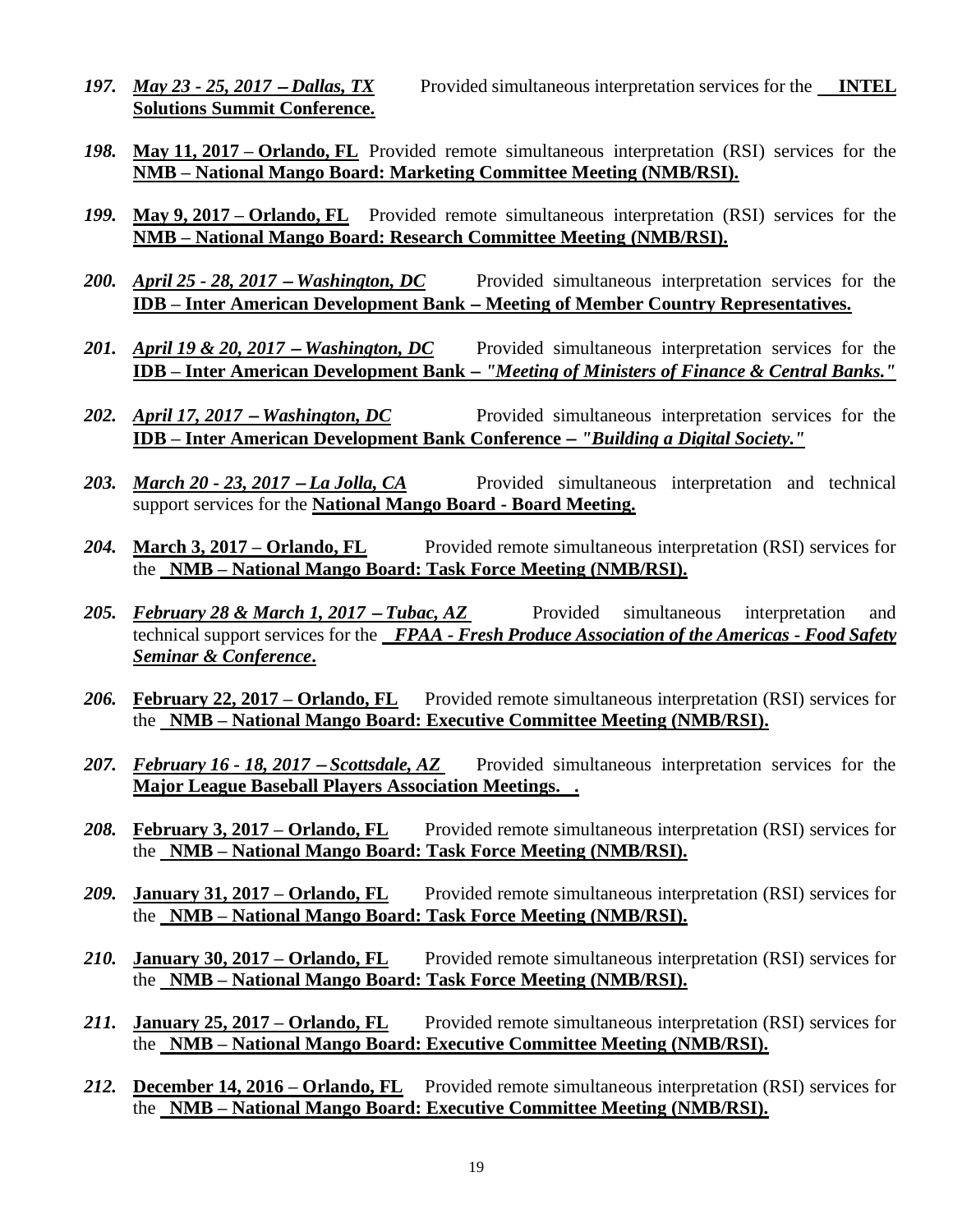- *197. May 23 - 25, 2017* <sup>−</sup> *Dallas, TX* Provided simultaneous interpretation services for the **INTEL Solutions Summit Conference.**
- *198.* **May 11, 2017 – Orlando, FL** Provided remote simultaneous interpretation (RSI) services for the **NMB – National Mango Board: Marketing Committee Meeting (NMB/RSI).**
- *199.* **May 9, 2017 – Orlando, FL** Provided remote simultaneous interpretation (RSI) services for the **NMB – National Mango Board: Research Committee Meeting (NMB/RSI).**
- 200. *April 25 28, 2017 Washington, DC* Provided simultaneous interpretation services for the **IDB – Inter American Development Bank** − **Meeting of Member Country Representatives.**
- 201. *April 19 & 20, 2017 Washington, DC* Provided simultaneous interpretation services for the **IDB – Inter American Development Bank** − *"Meeting of Ministers of Finance & Central Banks."*
- 202. *April 17, 2017 Washington, DC* Provided simultaneous interpretation services for the **IDB – Inter American Development Bank Conference** − *"Building a Digital Society."*
- 203. *March 20 23, 2017 La Jolla, CA* Provided simultaneous interpretation and technical support services for the **National Mango Board - Board Meeting.**
- *204.* **March 3, 2017 – Orlando, FL** Provided remote simultaneous interpretation (RSI) services for the **NMB – National Mango Board: Task Force Meeting (NMB/RSI).**
- 205. *February* 28 & March 1, 2017 Tubac, AZ Provided simultaneous interpretation and technical support services for the*FPAA - Fresh Produce Association of the Americas - Food Safety Seminar & Conference***.**
- *206.* **February 22, 2017 – Orlando, FL** Provided remote simultaneous interpretation (RSI) services for the **NMB – National Mango Board: Executive Committee Meeting (NMB/RSI).**
- 207. February 16 18, 2017 Scottsdale, AZ Provided simultaneous interpretation services for the **Major League Baseball Players Association Meetings. .**
- 208. **February 3, 2017 Orlando, FL** Provided remote simultaneous interpretation (RSI) services for the **NMB – National Mango Board: Task Force Meeting (NMB/RSI).**
- *209.* **January 31, 2017 – Orlando, FL** Provided remote simultaneous interpretation (RSI) services for the **NMB – National Mango Board: Task Force Meeting (NMB/RSI).**
- *210.* **January 30, 2017 – Orlando, FL** Provided remote simultaneous interpretation (RSI) services for the **NMB – National Mango Board: Task Force Meeting (NMB/RSI).**
- 211. **January 25, 2017 Orlando, FL** Provided remote simultaneous interpretation (RSI) services for the **NMB – National Mango Board: Executive Committee Meeting (NMB/RSI).**
- *212.* **December 14, 2016 – Orlando, FL** Provided remote simultaneous interpretation (RSI) services for the **NMB – National Mango Board: Executive Committee Meeting (NMB/RSI).**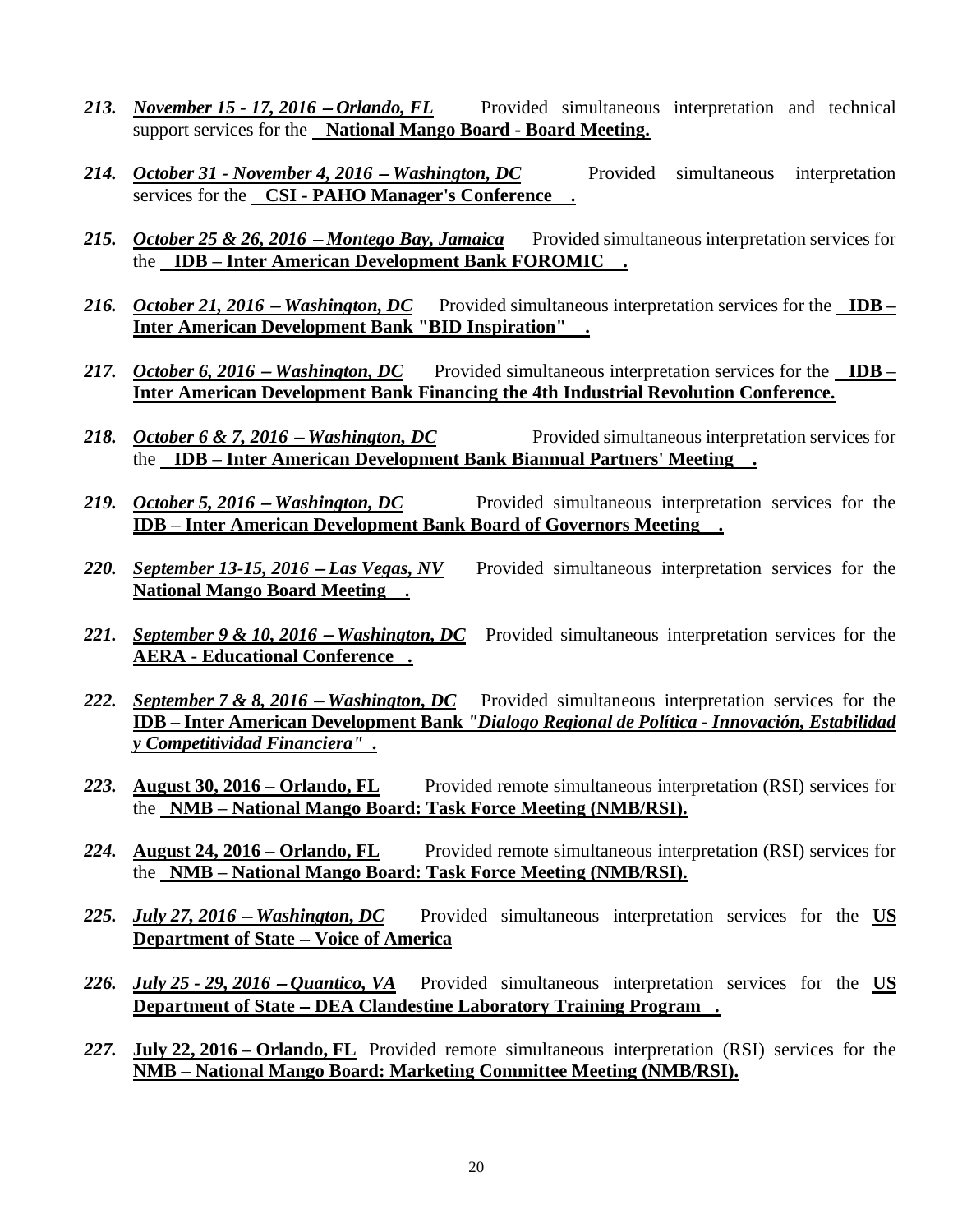- 213. *November 15 17, 2016 Orlando, FL* Provided simultaneous interpretation and technical support services for the **National Mango Board - Board Meeting.**
- 214. *October 31 November 4, 2016 Washington, DC* Provided simultaneous interpretation services for the **CSI - PAHO Manager's Conference .**
- 215. October 25 & 26, 2016 Montego Bay, Jamaica Provided simultaneous interpretation services for the **IDB – Inter American Development Bank FOROMIC .**
- *216. October 21, 2016 − Washington, DC* Provided simultaneous interpretation services for the IDB **Inter American Development Bank "BID Inspiration" .**
- *217. October 6, 2016* − *Washington, DC* Provided simultaneous interpretation services for the IDB − **Inter American Development Bank Financing the 4th Industrial Revolution Conference.**
- 218. *October 6 & 7, 2016 Washington, DC* Provided simultaneous interpretation services for the **IDB – Inter American Development Bank Biannual Partners' Meeting .**
- 219. *October 5, 2016* **−** *Washington, DC* Provided simultaneous interpretation services for the **IDB – Inter American Development Bank Board of Governors Meeting .**
- 220. *September 13-15, 2016 − Las Vegas, NV* Provided simultaneous interpretation services for the **National Mango Board Meeting .**
- *221. September 9 & 10, 2016 Washington, DC* Provided simultaneous interpretation services for the **AERA - Educational Conference .**
- 222. *September 7 & 8, 2016 − Washington, DC* Provided simultaneous interpretation services for the **IDB – Inter American Development Bank** *"Dialogo Regional de Política - Innovación, Estabilidad y Competitividad Financiera" .*
- *223.* **August 30, 2016 – Orlando, FL** Provided remote simultaneous interpretation (RSI) services for the **NMB – National Mango Board: Task Force Meeting (NMB/RSI).**
- *224.* **August 24, 2016 – Orlando, FL** Provided remote simultaneous interpretation (RSI) services for the **NMB – National Mango Board: Task Force Meeting (NMB/RSI).**
- 225. *July 27, 2016 Washington, DC* Provided simultaneous interpretation services for the US **Department of State** − **Voice of America**
- *226. July 25 - 29, 2016* <sup>−</sup> *Quantico, VA* Provided simultaneous interpretation services for the **US Department of State** − **DEA Clandestine Laboratory Training Program .**
- *227.* **July 22, 2016 – Orlando, FL** Provided remote simultaneous interpretation (RSI) services for the **NMB – National Mango Board: Marketing Committee Meeting (NMB/RSI).**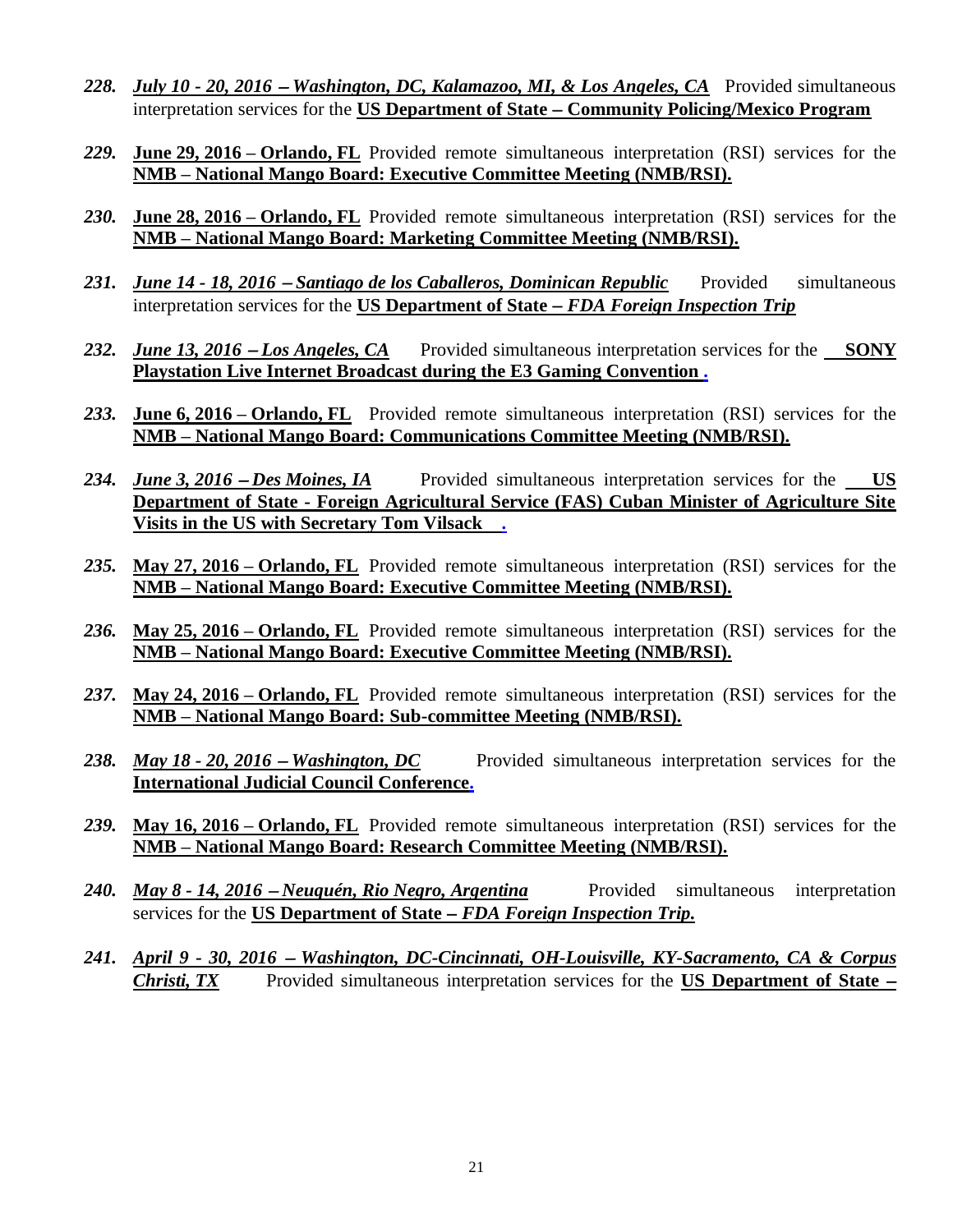- *228. July 10 - 20, 2016* <sup>−</sup> *Washington, DC, Kalamazoo, MI, & Los Angeles, CA* Provided simultaneous interpretation services for the **US Department of State** − **Community Policing/Mexico Program**
- *229.* **June 29, 2016 – Orlando, FL** Provided remote simultaneous interpretation (RSI) services for the **NMB – National Mango Board: Executive Committee Meeting (NMB/RSI).**
- *230.* **June 28, 2016 – Orlando, FL** Provided remote simultaneous interpretation (RSI) services for the **NMB – National Mango Board: Marketing Committee Meeting (NMB/RSI).**
- 231. *June 14 18, 2016 Santiago de los Caballeros, Dominican Republic* Provided simultaneous interpretation services for the **US Department of State** − *FDA Foreign Inspection Trip*
- 232. *June 13, 2016 − Los Angeles, CA* Provided simultaneous interpretation services for the SONY **Playstation Live Internet Broadcast during the E3 Gaming Convention .**
- *233.* **June 6, 2016 – Orlando, FL** Provided remote simultaneous interpretation (RSI) services for the **NMB – National Mango Board: Communications Committee Meeting (NMB/RSI).**
- 234. *June 3, 2016 − Des Moines, IA* Provided simultaneous interpretation services for the US **Department of State - Foreign Agricultural Service (FAS) Cuban Minister of Agriculture Site Visits in the US with Secretary Tom Vilsack .**
- *235.* **May 27, 2016 – Orlando, FL** Provided remote simultaneous interpretation (RSI) services for the **NMB – National Mango Board: Executive Committee Meeting (NMB/RSI).**
- *236.* **May 25, 2016 – Orlando, FL** Provided remote simultaneous interpretation (RSI) services for the **NMB – National Mango Board: Executive Committee Meeting (NMB/RSI).**
- *237.* **May 24, 2016 – Orlando, FL** Provided remote simultaneous interpretation (RSI) services for the **NMB – National Mango Board: Sub-committee Meeting (NMB/RSI).**
- 238. *May 18 20, 2016 Washington, DC* Provided simultaneous interpretation services for the **International Judicial Council Conference.**
- *239.* **May 16, 2016 – Orlando, FL** Provided remote simultaneous interpretation (RSI) services for the **NMB – National Mango Board: Research Committee Meeting (NMB/RSI).**
- *240. May 8 - 14, 2016* <sup>−</sup> *Neuquén, Rio Negro, Argentina* Provided simultaneous interpretation services for the **US Department of State** − *FDA Foreign Inspection Trip.*
- *241. April 9 - 30, 2016* <sup>−</sup> *Washington, DC-Cincinnati, OH-Louisville, KY-Sacramento, CA & Corpus Christi, TX* Provided simultaneous interpretation services for the **US Department of State** −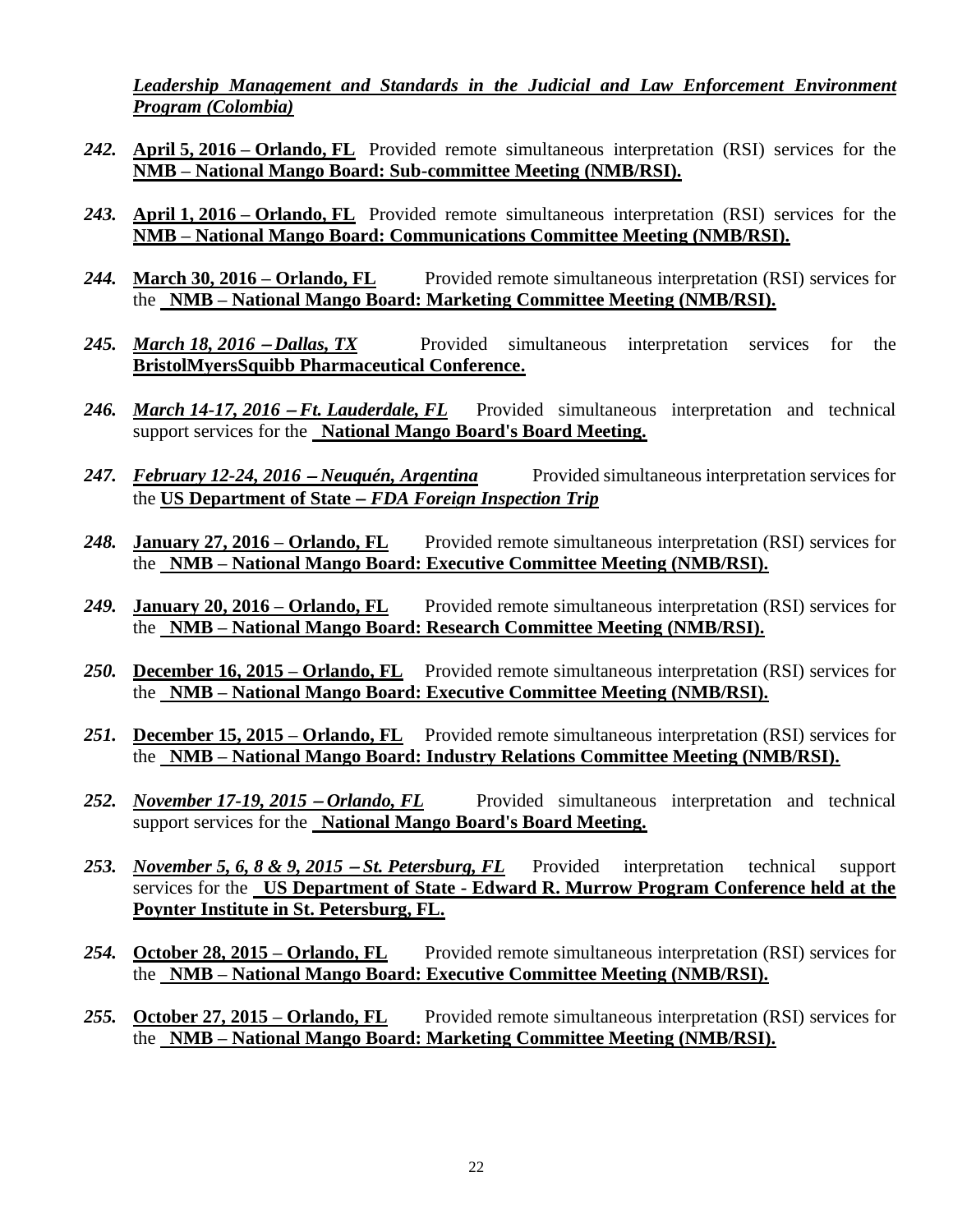*Leadership Management and Standards in the Judicial and Law Enforcement Environment Program (Colombia)*

- *242.* **April 5, 2016 – Orlando, FL** Provided remote simultaneous interpretation (RSI) services for the **NMB – National Mango Board: Sub-committee Meeting (NMB/RSI).**
- *243.* **April 1, 2016 – Orlando, FL** Provided remote simultaneous interpretation (RSI) services for the **NMB – National Mango Board: Communications Committee Meeting (NMB/RSI).**
- *244.* **March 30, 2016 – Orlando, FL** Provided remote simultaneous interpretation (RSI) services for the **NMB – National Mango Board: Marketing Committee Meeting (NMB/RSI).**
- 245. *March 18, 2016 − Dallas, TX* Provided simultaneous interpretation services for the **BristolMyersSquibb Pharmaceutical Conference.**
- *246. March 14-17, 2016 − Ft. Lauderdale, FL* Provided simultaneous interpretation and technical support services for the **National Mango Board's Board Meeting.**
- 247. *February 12-24, 2016 Neuquén, Argentina* Provided simultaneous interpretation services for the **US Department of State** − *FDA Foreign Inspection Trip*
- *248.* **January 27, 2016 – Orlando, FL** Provided remote simultaneous interpretation (RSI) services for the **NMB – National Mango Board: Executive Committee Meeting (NMB/RSI).**
- *249.* **January 20, 2016 – Orlando, FL** Provided remote simultaneous interpretation (RSI) services for the **NMB – National Mango Board: Research Committee Meeting (NMB/RSI).**
- *250.* **December 16, 2015 – Orlando, FL** Provided remote simultaneous interpretation (RSI) services for the **NMB – National Mango Board: Executive Committee Meeting (NMB/RSI).**
- *251.* **December 15, 2015 – Orlando, FL** Provided remote simultaneous interpretation (RSI) services for the **NMB – National Mango Board: Industry Relations Committee Meeting (NMB/RSI).**
- 252. *November 17-19, 2015 Orlando, FL* Provided simultaneous interpretation and technical support services for the **National Mango Board's Board Meeting.**
- 253. *November* 5, 6, 8 & 9, 2015 − *St. Petersburg, FL* Provided interpretation technical support services for the **US Department of State - Edward R. Murrow Program Conference held at the Poynter Institute in St. Petersburg, FL.**
- *254.* **October 28, 2015 – Orlando, FL** Provided remote simultaneous interpretation (RSI) services for the **NMB – National Mango Board: Executive Committee Meeting (NMB/RSI).**
- *255.* **October 27, 2015 – Orlando, FL** Provided remote simultaneous interpretation (RSI) services for the **NMB – National Mango Board: Marketing Committee Meeting (NMB/RSI).**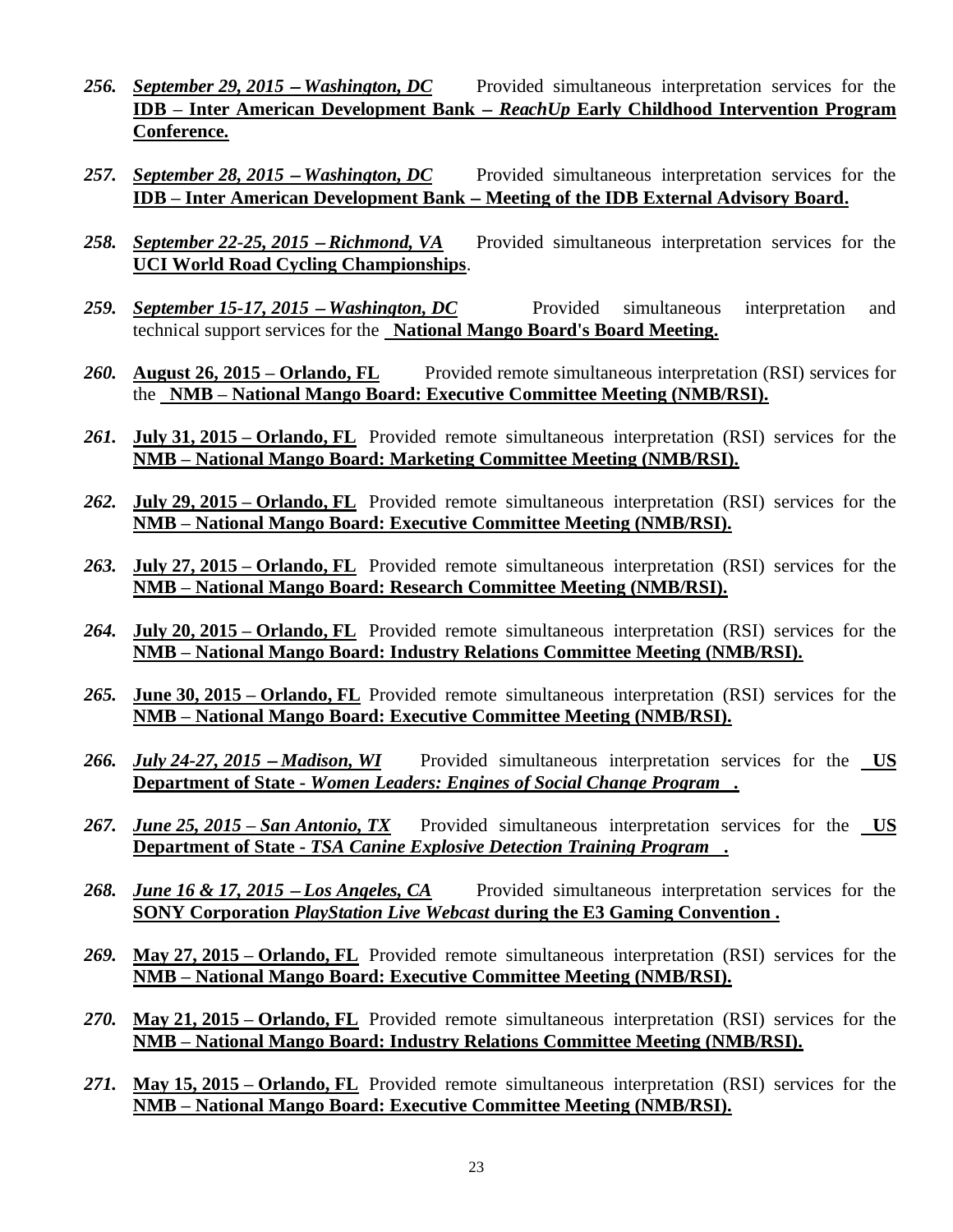- 256. *September 29, 2015* − *Washington, DC* Provided simultaneous interpretation services for the **IDB – Inter American Development Bank** − *ReachUp* **Early Childhood Intervention Program Conference.**
- 257. *<u>September 28, 2015 − Washington, DC</u> Provided simultaneous interpretation services for the* **IDB – Inter American Development Bank** − **Meeting of the IDB External Advisory Board.**
- 258. *September 22-25, 2015 − Richmond, VA* Provided simultaneous interpretation services for the **UCI World Road Cycling Championships**.
- 259. *September 15-17, 2015 − Washington, DC* Provided simultaneous interpretation and technical support services for the **National Mango Board's Board Meeting.**
- *260.* **August 26, 2015 – Orlando, FL** Provided remote simultaneous interpretation (RSI) services for the **NMB – National Mango Board: Executive Committee Meeting (NMB/RSI).**
- *261.* **July 31, 2015 – Orlando, FL** Provided remote simultaneous interpretation (RSI) services for the **NMB – National Mango Board: Marketing Committee Meeting (NMB/RSI).**
- *262.* **July 29, 2015 – Orlando, FL** Provided remote simultaneous interpretation (RSI) services for the **NMB – National Mango Board: Executive Committee Meeting (NMB/RSI).**
- *263.* **July 27, 2015 – Orlando, FL** Provided remote simultaneous interpretation (RSI) services for the **NMB – National Mango Board: Research Committee Meeting (NMB/RSI).**
- *264.* **July 20, 2015 – Orlando, FL** Provided remote simultaneous interpretation (RSI) services for the **NMB – National Mango Board: Industry Relations Committee Meeting (NMB/RSI).**
- *265.* **June 30, 2015 – Orlando, FL** Provided remote simultaneous interpretation (RSI) services for the **NMB – National Mango Board: Executive Committee Meeting (NMB/RSI).**
- 266. *July 24-27, 2015 Madison, WI* Provided simultaneous interpretation services for the <u>US</u> **Department of State -** *Women Leaders: Engines of Social Change Program .*
- *267. June 25, 2015 – San Antonio, TX* Provided simultaneous interpretation services for the **US Department of State -** *TSA Canine Explosive Detection Training Program* **.**
- 268. *June 16 & 17, 2015 − Los Angeles, CA* Provided simultaneous interpretation services for the **SONY Corporation** *PlayStation Live Webcast* **during the E3 Gaming Convention .**
- *269.* **May 27, 2015 – Orlando, FL** Provided remote simultaneous interpretation (RSI) services for the **NMB – National Mango Board: Executive Committee Meeting (NMB/RSI).**
- *270.* **May 21, 2015 – Orlando, FL** Provided remote simultaneous interpretation (RSI) services for the **NMB – National Mango Board: Industry Relations Committee Meeting (NMB/RSI).**
- *271.* **May 15, 2015 – Orlando, FL** Provided remote simultaneous interpretation (RSI) services for the **NMB – National Mango Board: Executive Committee Meeting (NMB/RSI).**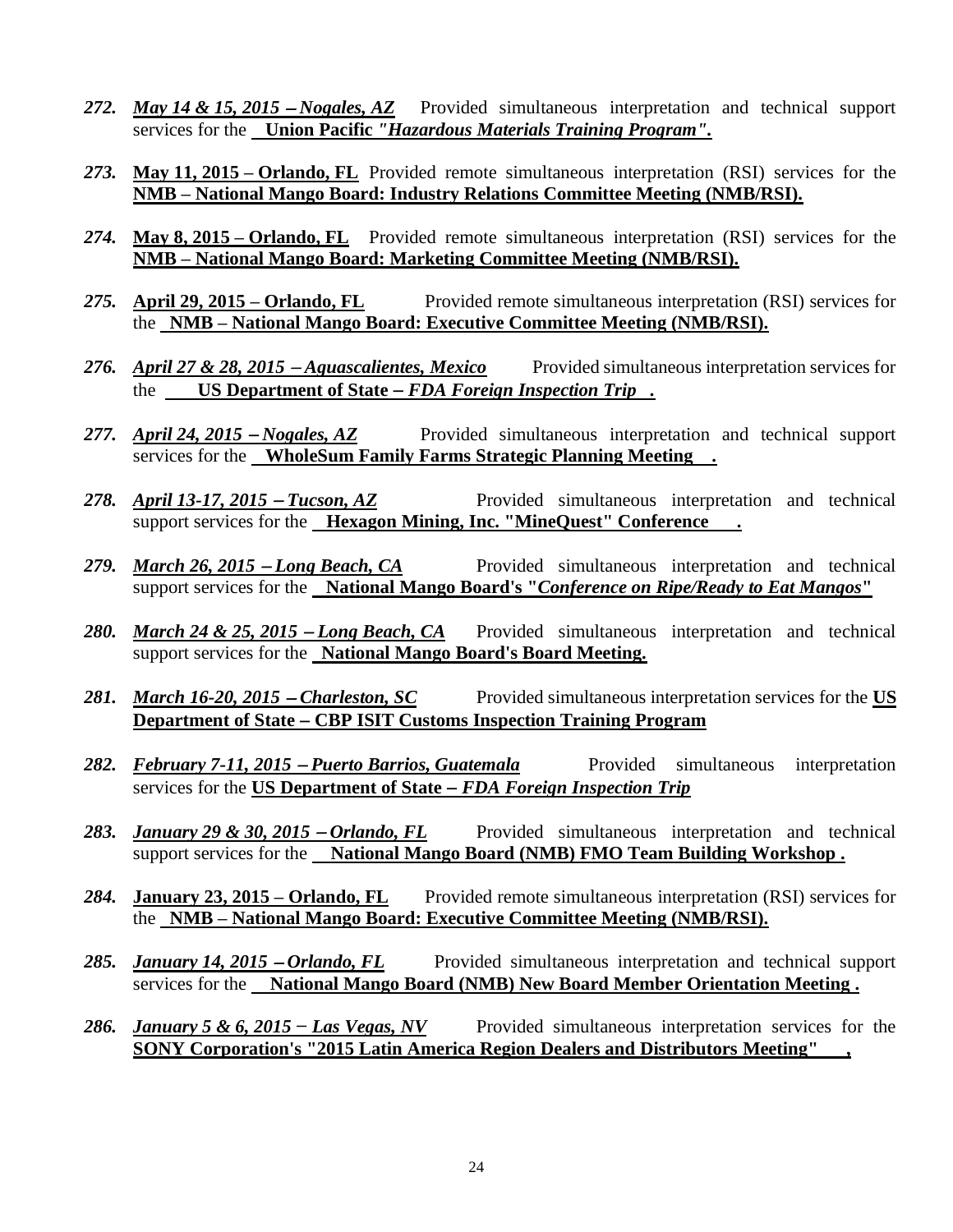- 272. *May 14 & 15, 2015 − Nogales, AZ* Provided simultaneous interpretation and technical support services for the **Union Pacific** *"Hazardous Materials Training Program".*
- *273.* **May 11, 2015 – Orlando, FL** Provided remote simultaneous interpretation (RSI) services for the **NMB – National Mango Board: Industry Relations Committee Meeting (NMB/RSI).**
- *274.* **May 8, 2015 – Orlando, FL** Provided remote simultaneous interpretation (RSI) services for the **NMB – National Mango Board: Marketing Committee Meeting (NMB/RSI).**
- *275.* **April 29, 2015 – Orlando, FL** Provided remote simultaneous interpretation (RSI) services for the **NMB – National Mango Board: Executive Committee Meeting (NMB/RSI).**
- 276. *April 27 & 28, 2015* − *Aguascalientes, Mexico* Provided simultaneous interpretation services for the **US Department of State** − *FDA Foreign Inspection Trip .*
- 277. *April 24, 2015 − Nogales, AZ* Provided simultaneous interpretation and technical support services for the **WholeSum Family Farms Strategic Planning Meeting .**
- 278. *April 13-17, 2015 − Tucson, AZ* Provided simultaneous interpretation and technical support services for the **Hexagon Mining, Inc. "MineQuest" Conference** .
- 279. *March 26, 2015 − Long Beach, CA* Provided simultaneous interpretation and technical support services for the **National Mango Board's "***Conference on Ripe/Ready to Eat Mangos***"**
- 280. *March 24 & 25, 2015 − Long Beach, CA* Provided simultaneous interpretation and technical support services for the **National Mango Board's Board Meeting.**
- 281. *March 16-20, 2015 − Charleston, SC* Provided simultaneous interpretation services for the US **Department of State** − **CBP ISIT Customs Inspection Training Program**
- 282. *February 7-11, 2015 Puerto Barrios, Guatemala* Provided simultaneous interpretation services for the **US Department of State** − *FDA Foreign Inspection Trip*
- 283. *January 29 & 30, 2015 − Orlando, FL* Provided simultaneous interpretation and technical support services for the **National Mango Board (NMB) FMO Team Building Workshop .**
- *284.* **January 23, 2015 – Orlando, FL** Provided remote simultaneous interpretation (RSI) services for the **NMB – National Mango Board: Executive Committee Meeting (NMB/RSI).**
- 285. *January 14, 2015 − Orlando, FL* Provided simultaneous interpretation and technical support services for the **National Mango Board (NMB) New Board Member Orientation Meeting .**
- 286. *January 5 & 6, 2015 Las Vegas, NV* Provided simultaneous interpretation services for the **SONY Corporation's "2015 Latin America Region Dealers and Distributors Meeting" ,**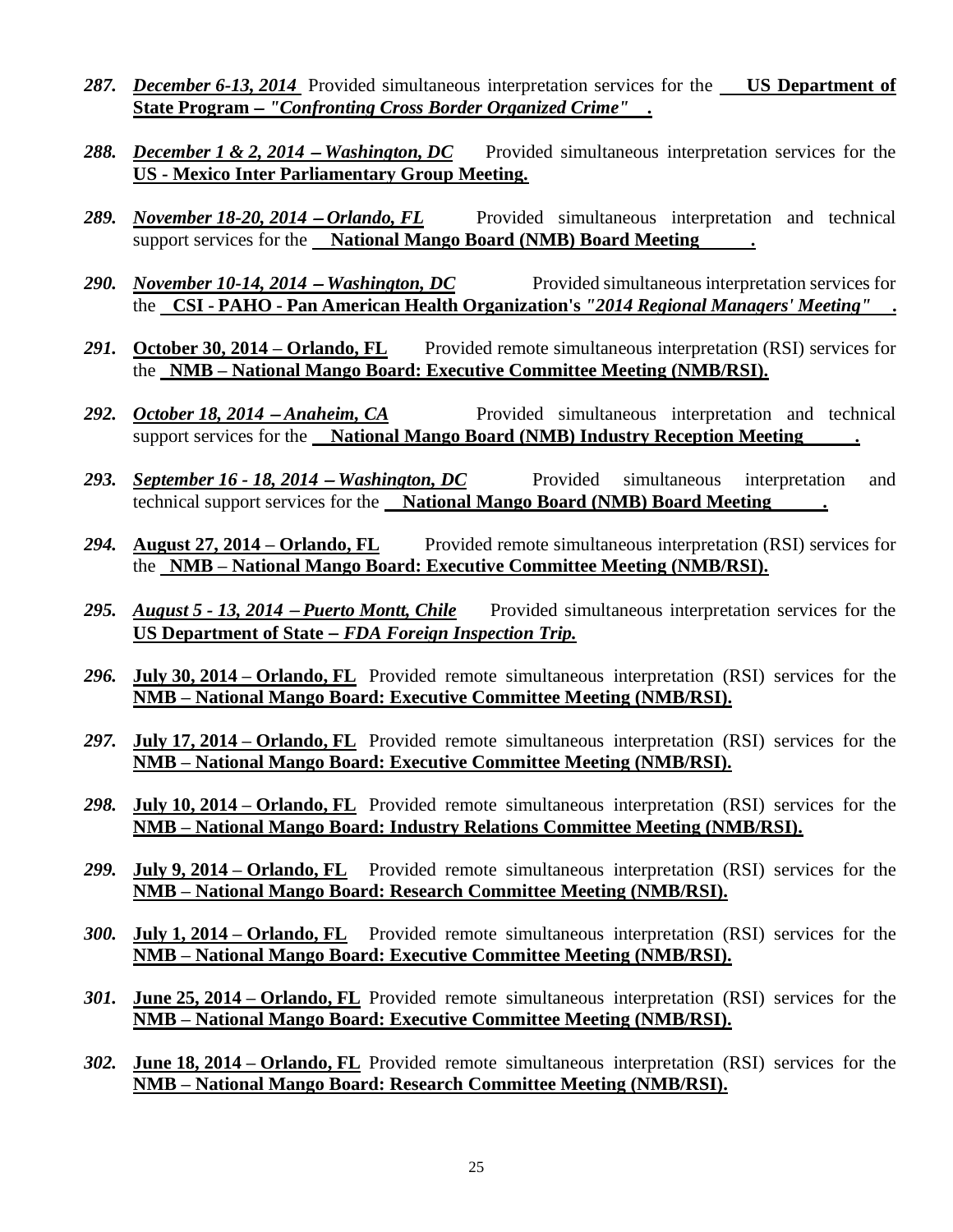- *287. December 6-13, 2014* Provided simultaneous interpretation services for the **US Department of State Program** − *"Confronting Cross Border Organized Crime" .*
- 288. *December 1 & 2, 2014 Washington, DC* Provided simultaneous interpretation services for the **US - Mexico Inter Parliamentary Group Meeting.**
- 289. *November 18-20, 2014 − Orlando, FL* Provided simultaneous interpretation and technical support services for the **National Mango Board (NMB) Board Meeting .**
- 290. *November 10-14, 2014* − *Washington, DC* Provided simultaneous interpretation services for the **CSI - PAHO - Pan American Health Organization's** *"2014 Regional Managers' Meeting"* **.**
- 291. **October 30, 2014 Orlando, FL** Provided remote simultaneous interpretation (RSI) services for the **NMB – National Mango Board: Executive Committee Meeting (NMB/RSI).**
- 292. *October 18, 2014 − Anaheim, CA* Provided simultaneous interpretation and technical support services for the **National Mango Board (NMB) Industry Reception Meeting**
- 293. *September 16 18, 2014* − *Washington, DC* Provided simultaneous interpretation and technical support services for the **National Mango Board (NMB) Board Meeting .**
- *294.* **August 27, 2014 – Orlando, FL** Provided remote simultaneous interpretation (RSI) services for the **NMB – National Mango Board: Executive Committee Meeting (NMB/RSI).**
- 295. *August 5 13, 2014 Puerto Montt, Chile* Provided simultaneous interpretation services for the **US Department of State** − *FDA Foreign Inspection Trip.*
- *296.* **July 30, 2014 – Orlando, FL** Provided remote simultaneous interpretation (RSI) services for the **NMB – National Mango Board: Executive Committee Meeting (NMB/RSI).**
- *297.* **July 17, 2014 – Orlando, FL** Provided remote simultaneous interpretation (RSI) services for the **NMB – National Mango Board: Executive Committee Meeting (NMB/RSI).**
- *298.* **July 10, 2014 – Orlando, FL** Provided remote simultaneous interpretation (RSI) services for the **NMB – National Mango Board: Industry Relations Committee Meeting (NMB/RSI).**
- *299.* **July 9, 2014 – Orlando, FL** Provided remote simultaneous interpretation (RSI) services for the **NMB – National Mango Board: Research Committee Meeting (NMB/RSI).**
- *300.* **July 1, 2014 – Orlando, FL** Provided remote simultaneous interpretation (RSI) services for the **NMB – National Mango Board: Executive Committee Meeting (NMB/RSI).**
- *301.* **June 25, 2014 – Orlando, FL** Provided remote simultaneous interpretation (RSI) services for the **NMB – National Mango Board: Executive Committee Meeting (NMB/RSI).**
- *302.* **June 18, 2014 – Orlando, FL** Provided remote simultaneous interpretation (RSI) services for the **NMB – National Mango Board: Research Committee Meeting (NMB/RSI).**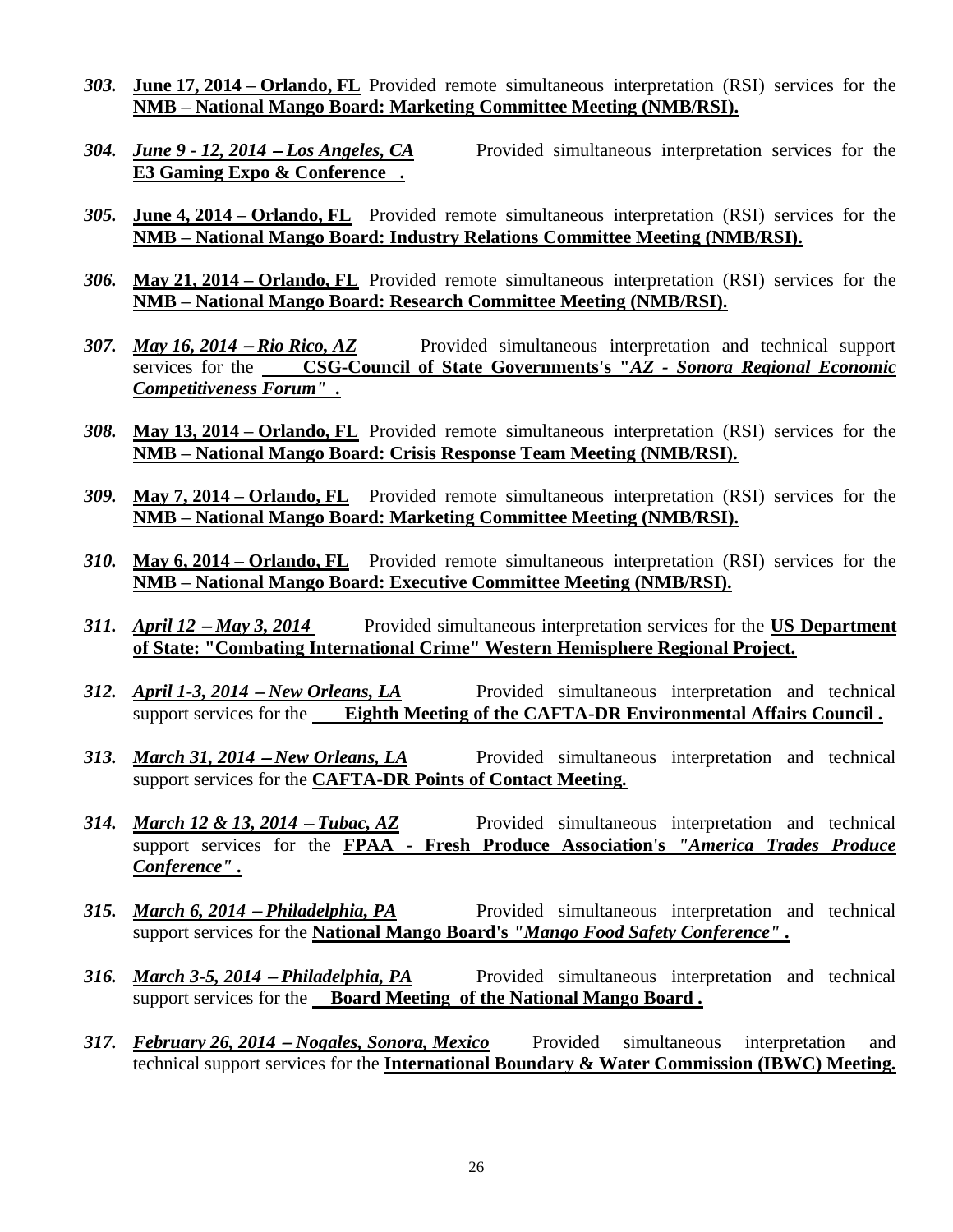- *303.* **June 17, 2014 – Orlando, FL** Provided remote simultaneous interpretation (RSI) services for the **NMB – National Mango Board: Marketing Committee Meeting (NMB/RSI).**
- *304. June 9 - 12, 2014* <sup>−</sup> *Los Angeles, CA* Provided simultaneous interpretation services for the **E3 Gaming Expo & Conference .**
- *305.* **June 4, 2014 – Orlando, FL** Provided remote simultaneous interpretation (RSI) services for the **NMB – National Mango Board: Industry Relations Committee Meeting (NMB/RSI).**
- *306.* **May 21, 2014 – Orlando, FL** Provided remote simultaneous interpretation (RSI) services for the **NMB – National Mango Board: Research Committee Meeting (NMB/RSI).**
- *307. May 16, 2014* <sup>−</sup> *Rio Rico, AZ* Provided simultaneous interpretation and technical support services for the **CSG-Council of State Governments's "***AZ - Sonora Regional Economic Competitiveness Forum" .*
- *308.* **May 13, 2014 – Orlando, FL** Provided remote simultaneous interpretation (RSI) services for the **NMB – National Mango Board: Crisis Response Team Meeting (NMB/RSI).**
- *309.* **May 7, 2014 – Orlando, FL** Provided remote simultaneous interpretation (RSI) services for the **NMB – National Mango Board: Marketing Committee Meeting (NMB/RSI).**
- *310.* **May 6, 2014 – Orlando, FL** Provided remote simultaneous interpretation (RSI) services for the **NMB – National Mango Board: Executive Committee Meeting (NMB/RSI).**
- *311. April 12* <sup>−</sup> *May 3, 2014* Provided simultaneous interpretation services for the **US Department of State: "Combating International Crime" Western Hemisphere Regional Project.**
- *312. April 1-3, 2014 − New Orleans, LA* Provided simultaneous interpretation and technical support services for the **Eighth Meeting of the CAFTA-DR Environmental Affairs Council** *.*
- *313. March 31, 2014 − New Orleans, LA* Provided simultaneous interpretation and technical support services for the **CAFTA-DR Points of Contact Meeting***.*
- *314. March 12 & 13, 2014 − Tubac, AZ* Provided simultaneous interpretation and technical support services for the **FPAA - Fresh Produce Association's** *"America Trades Produce Conference" .*
- **315.** *March* 6, 2014 − *Philadelphia, PA* Provided simultaneous interpretation and technical support services for the **National Mango Board's** *"Mango Food Safety Conference" .*
- *316. March* 3-5, 2014 − *Philadelphia, PA* Provided simultaneous interpretation and technical support services for the **Board Meeting of the National Mango Board** *.*
- *317. February 26, 2014* <sup>−</sup> *Nogales, Sonora, Mexico* Provided simultaneous interpretation and technical support services for the **International Boundary & Water Commission (IBWC) Meeting***.*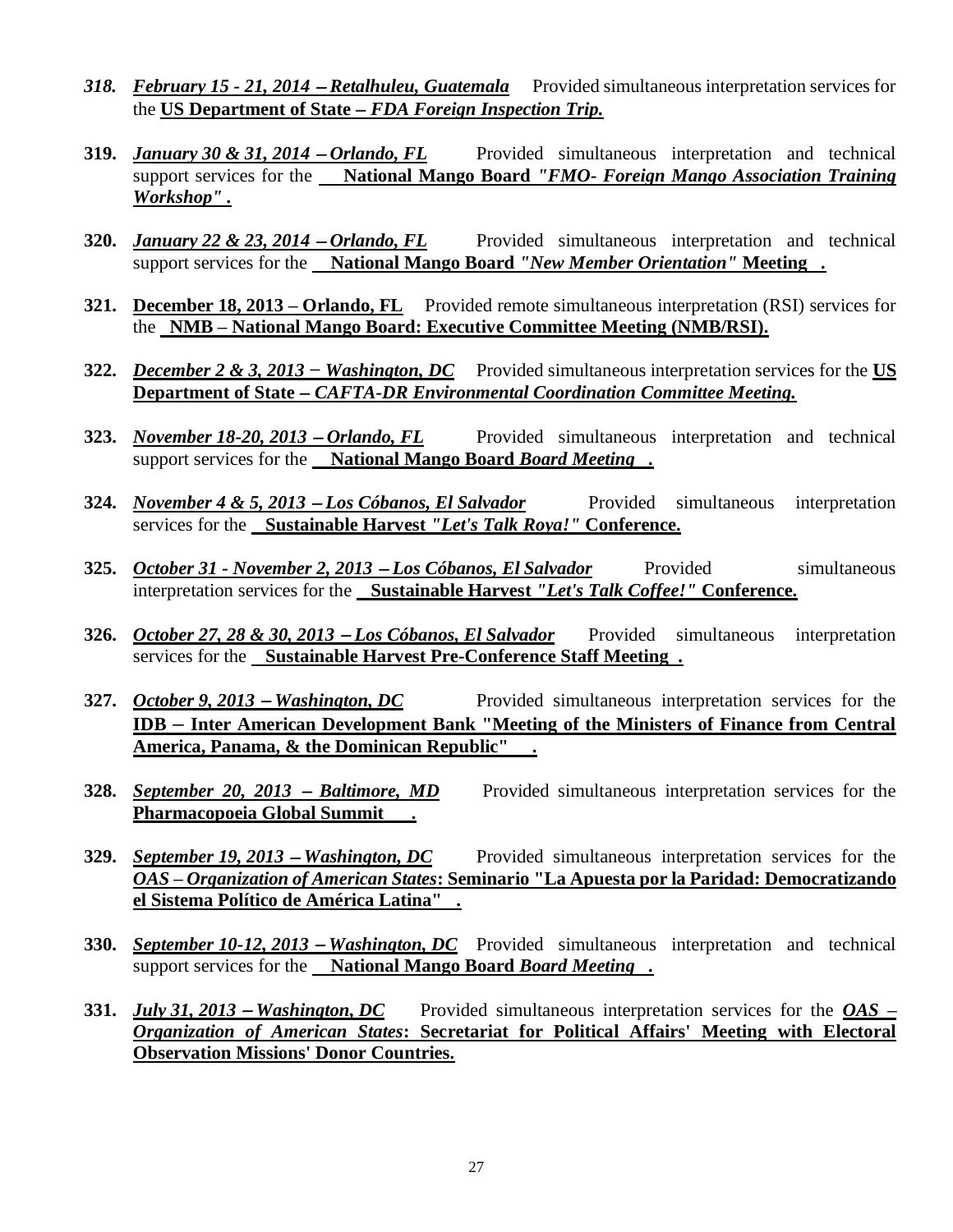- *318. February 15 - 21, 2014* <sup>−</sup> *Retalhuleu, Guatemala* Provided simultaneous interpretation services for the **US Department of State** − *FDA Foreign Inspection Trip.*
- **319.** *January 30 & 31, 2014* <sup>−</sup> *Orlando, FL* Provided simultaneous interpretation and technical support services for the **National Mango Board** *"FMO- Foreign Mango Association Training Workshop" .*
- **320.** *January 22 & 23, 2014* <sup>−</sup> *Orlando, FL* Provided simultaneous interpretation and technical support services for the **National Mango Board** *"New Member Orientation"* **Meeting** *.*
- **321. December 18, 2013 – Orlando, FL** Provided remote simultaneous interpretation (RSI) services for the **NMB – National Mango Board: Executive Committee Meeting (NMB/RSI).**
- **322.** *December 2 & 3, 2013 − Washington, DC* Provided simultaneous interpretation services for the **US Department of State** − *CAFTA-DR Environmental Coordination Committee Meeting.*
- **323.** *November 18-20, 2013* <sup>−</sup> *Orlando, FL* Provided simultaneous interpretation and technical support services for the **National Mango Board** *Board Meeting .*
- **324.** *November 4 & 5, 2013* <sup>−</sup> *Los Cóbanos, El Salvador* Provided simultaneous interpretation services for the **Sustainable Harvest** *"Let's Talk Roya!"* **Conference.**
- **325.** *October 31 - November 2, 2013* <sup>−</sup> *Los Cóbanos, El Salvador* Provided simultaneous interpretation services for the **Sustainable Harvest** *"Let's Talk Coffee!"* **Conference.**
- **326.** *October 27, 28 & 30, 2013* <sup>−</sup> *Los Cóbanos, El Salvador* Provided simultaneous interpretation services for the **Sustainable Harvest Pre-Conference Staff Meeting .**
- **327.** *October 9, 2013* <sup>−</sup> *Washington, DC* Provided simultaneous interpretation services for the **IDB** *–* **Inter American Development Bank "Meeting of the Ministers of Finance from Central America, Panama, & the Dominican Republic" .**
- **328.** *September 20, 2013* <sup>−</sup> *Baltimore, MD* Provided simultaneous interpretation services for the **Pharmacopoeia Global Summit** *.*
- **329.** *September 19, 2013* <sup>−</sup> *Washington, DC* Provided simultaneous interpretation services for the *OAS – Organization of American States***: Seminario "La Apuesta por la Paridad: Democratizando el Sistema Político de América Latina" .**
- **330.** *September 10-12, 2013* <sup>−</sup> *Washington, DC* Provided simultaneous interpretation and technical support services for the **National Mango Board** *Board Meeting .*
- **331.** *July 31, 2013* <sup>−</sup> *Washington, DC* Provided simultaneous interpretation services for the *OAS – Organization of American States***: Secretariat for Political Affairs' Meeting with Electoral Observation Missions' Donor Countries.**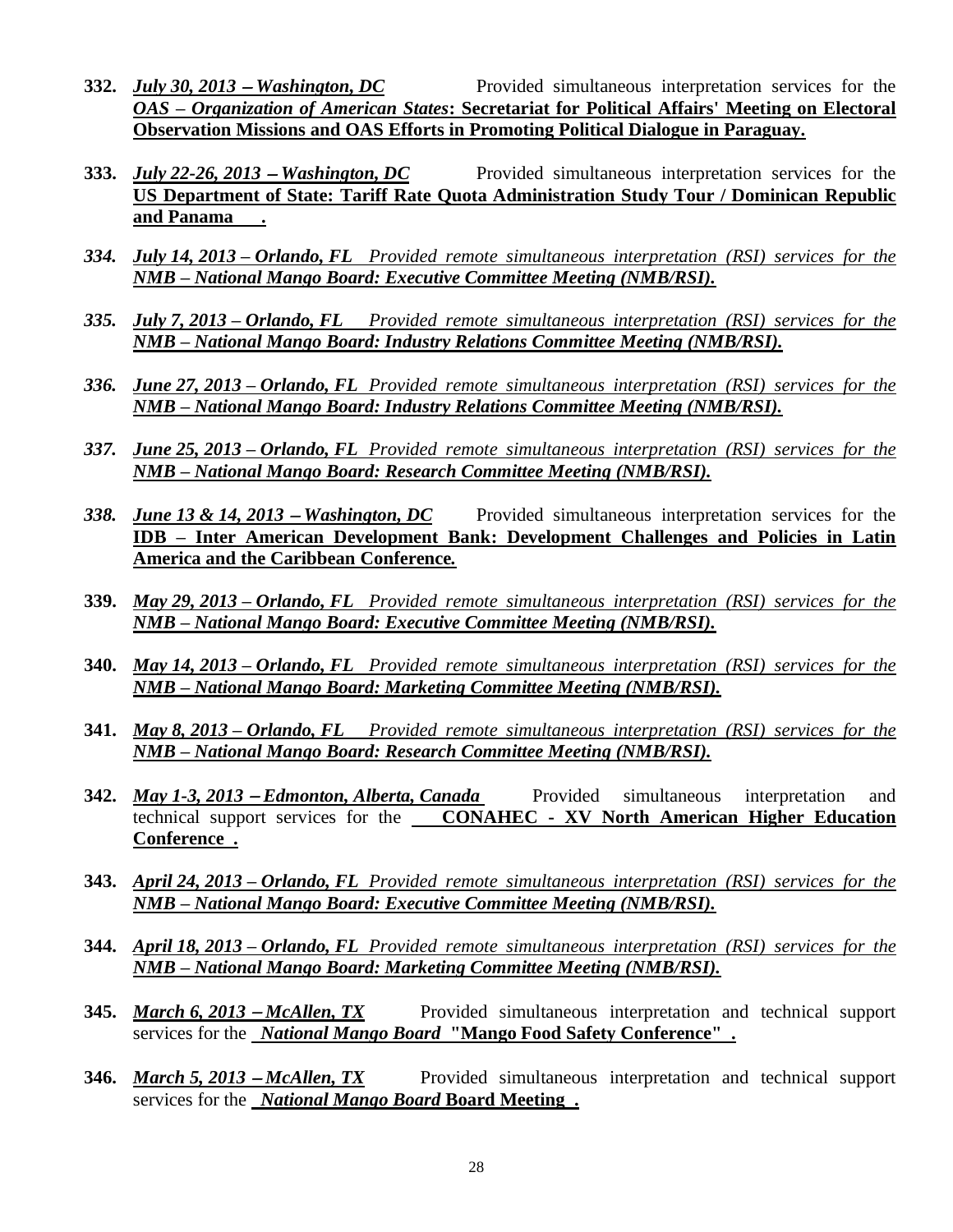- **332.** *July 30, 2013* <sup>−</sup> *Washington, DC* Provided simultaneous interpretation services for the *OAS – Organization of American States***: Secretariat for Political Affairs' Meeting on Electoral Observation Missions and OAS Efforts in Promoting Political Dialogue in Paraguay.**
- **333.** *July 22-26, 2013* <sup>−</sup> *Washington, DC* Provided simultaneous interpretation services for the **US Department of State: Tariff Rate Quota Administration Study Tour / Dominican Republic and Panama .**
- *334. July 14, 2013 – Orlando, FL Provided remote simultaneous interpretation (RSI) services for the NMB – National Mango Board: Executive Committee Meeting (NMB/RSI).*
- *335. July 7, 2013 – Orlando, FL Provided remote simultaneous interpretation (RSI) services for the NMB – National Mango Board: Industry Relations Committee Meeting (NMB/RSI).*
- *336. June 27, 2013 – Orlando, FL Provided remote simultaneous interpretation (RSI) services for the NMB – National Mango Board: Industry Relations Committee Meeting (NMB/RSI).*
- *337. June 25, 2013 – Orlando, FL Provided remote simultaneous interpretation (RSI) services for the NMB – National Mango Board: Research Committee Meeting (NMB/RSI).*
- *338. June 13 & 14, 2013* <sup>−</sup> *Washington, DC* Provided simultaneous interpretation services for the **IDB – Inter American Development Bank: Development Challenges and Policies in Latin America and the Caribbean Conference***.*
- **339.** *May 29, 2013 – Orlando, FL Provided remote simultaneous interpretation (RSI) services for the NMB – National Mango Board: Executive Committee Meeting (NMB/RSI).*
- **340.** *May 14, 2013 – Orlando, FL Provided remote simultaneous interpretation (RSI) services for the NMB – National Mango Board: Marketing Committee Meeting (NMB/RSI).*
- **341.** *May 8, 2013 – Orlando, FL Provided remote simultaneous interpretation (RSI) services for the NMB – National Mango Board: Research Committee Meeting (NMB/RSI).*
- **342.** *May 1-3, 2013 − Edmonton, Alberta, Canada* Provided simultaneous interpretation and technical support services for the **CONAHEC - XV North American Higher Education Conference .**
- **343.** *April 24, 2013 – Orlando, FL Provided remote simultaneous interpretation (RSI) services for the NMB – National Mango Board: Executive Committee Meeting (NMB/RSI).*
- **344.** *April 18, 2013 – Orlando, FL Provided remote simultaneous interpretation (RSI) services for the NMB – National Mango Board: Marketing Committee Meeting (NMB/RSI).*
- **345.** *March 6, 2013* <sup>−</sup> *McAllen, TX* Provided simultaneous interpretation and technical support services for the *National Mango Board* **"Mango Food Safety Conference" .**
- **346.** *March 5, 2013* <sup>−</sup> *McAllen, TX* Provided simultaneous interpretation and technical support services for the *National Mango Board* **Board Meeting .**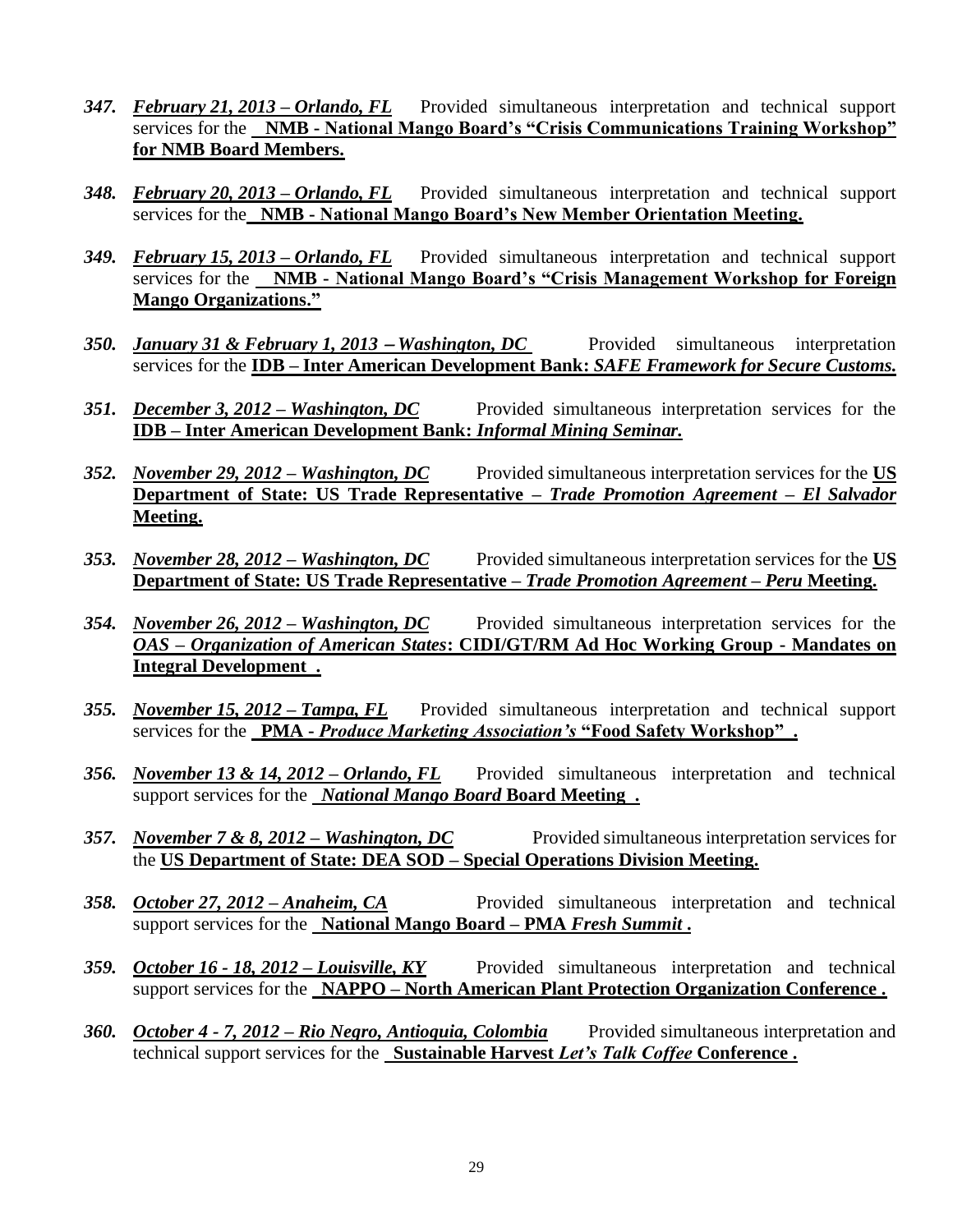- *347. February 21, 2013 – Orlando, FL* Provided simultaneous interpretation and technical support services for the **NMB - National Mango Board's "Crisis Communications Training Workshop" for NMB Board Members.**
- *348. February 20, 2013 – Orlando, FL* Provided simultaneous interpretation and technical support services for the **NMB - National Mango Board's New Member Orientation Meeting.**
- *349. February 15, 2013 – Orlando, FL* Provided simultaneous interpretation and technical support services for the **NMB - National Mango Board's "Crisis Management Workshop for Foreign Mango Organizations."**
- *350. January 31 & February 1, 2013 − Washington, DC* Provided simultaneous interpretation services for the **IDB – Inter American Development Bank:** *SAFE Framework for Secure Customs.*
- *351. December 3, 2012 – Washington, DC* Provided simultaneous interpretation services for the **IDB – Inter American Development Bank:** *Informal Mining Seminar.*
- *352. November 29, 2012 – Washington, DC* Provided simultaneous interpretation services for the **US Department of State: US Trade Representative –** *Trade Promotion Agreement – El Salvador* **Meeting.**
- *353. November 28, 2012 – Washington, DC* Provided simultaneous interpretation services for the **US Department of State: US Trade Representative –** *Trade Promotion Agreement – Peru* **Meeting.**
- *354. November 26, 2012 – Washington, DC* Provided simultaneous interpretation services for the *OAS – Organization of American States***: CIDI/GT/RM Ad Hoc Working Group - Mandates on Integral Development .**
- *355. November 15, 2012 – Tampa, FL* Provided simultaneous interpretation and technical support services for the **PMA -** *Produce Marketing Association's* **"Food Safety Workshop" .**
- *356. November 13 & 14, 2012 – Orlando, FL* Provided simultaneous interpretation and technical support services for the *National Mango Board* **Board Meeting .**
- *357. November 7 & 8, 2012 – Washington, DC* Provided simultaneous interpretation services for the **US Department of State: DEA SOD – Special Operations Division Meeting.**
- *358. October 27, 2012 – Anaheim, CA* Provided simultaneous interpretation and technical support services for the **National Mango Board – PMA** *Fresh Summit* **.**
- *359. October 16 - 18, 2012 – Louisville, KY* Provided simultaneous interpretation and technical support services for the **NAPPO – North American Plant Protection Organization Conference .**
- *360. October 4 - 7, 2012 – Rio Negro, Antioquia, Colombia* Provided simultaneous interpretation and technical support services for the **Sustainable Harvest** *Let's Talk Coffee* **Conference .**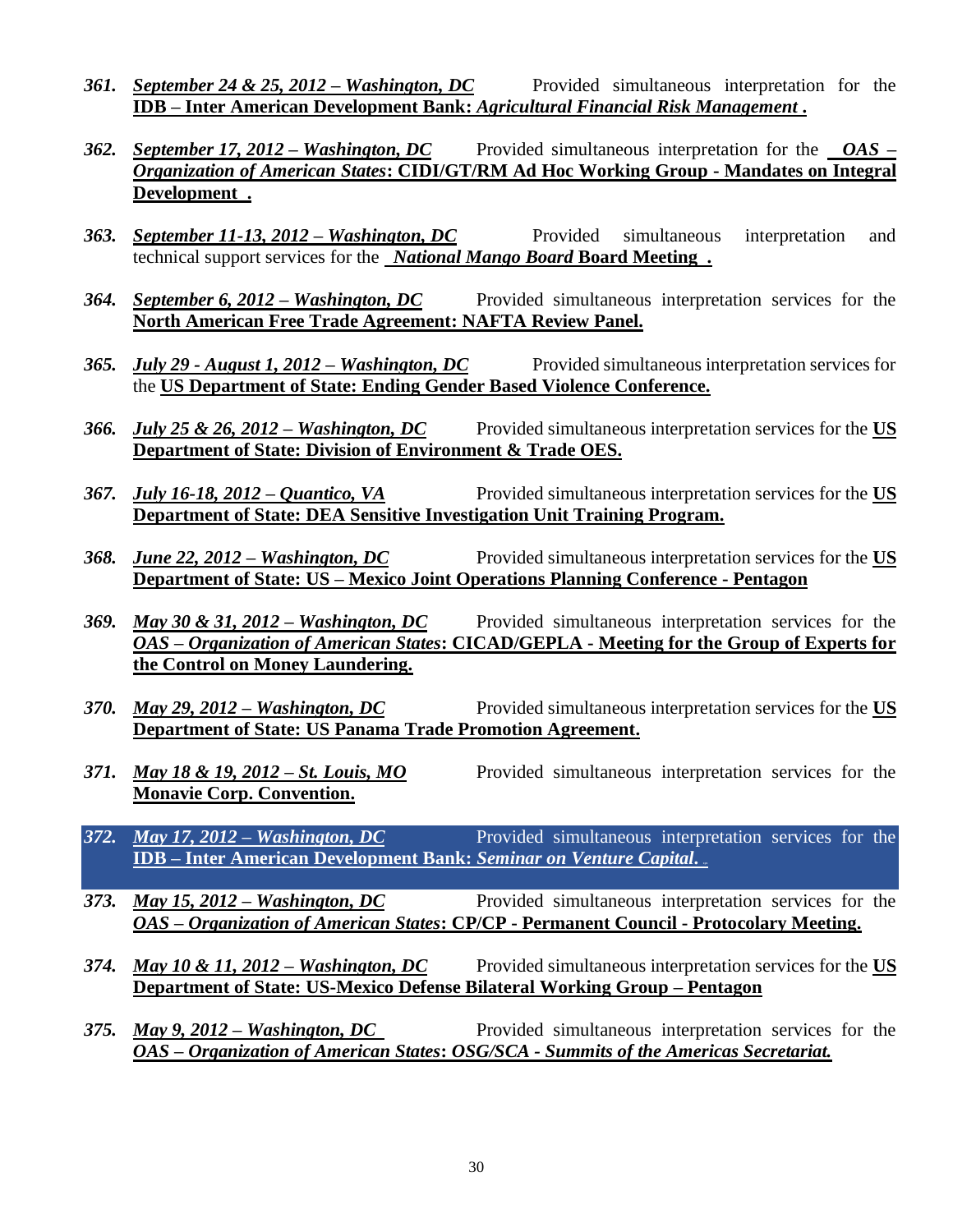- *361. September 24 & 25, 2012 – Washington, DC* Provided simultaneous interpretation for the **IDB – Inter American Development Bank:** *Agricultural Financial Risk Management* **.**
- *362. September 17, 2012 – Washington, DC* Provided simultaneous interpretation for the *OAS – Organization of American States***: CIDI/GT/RM Ad Hoc Working Group - Mandates on Integral Development .**
- *363. September 11-13, 2012 – Washington, DC* Provided simultaneous interpretation and technical support services for the *National Mango Board* **Board Meeting .**
- *364. September 6, 2012 – Washington, DC* Provided simultaneous interpretation services for the **North American Free Trade Agreement: NAFTA Review Panel.**
- *365. July 29 - August 1, 2012 – Washington, DC* Provided simultaneous interpretation services for the **US Department of State: Ending Gender Based Violence Conference.**
- *366. July 25 & 26, 2012 – Washington, DC* Provided simultaneous interpretation services for the **US Department of State: Division of Environment & Trade OES.**
- *367. July 16-18, 2012 – Quantico, VA* Provided simultaneous interpretation services for the **US Department of State: DEA Sensitive Investigation Unit Training Program.**
- *368. June 22, 2012 – Washington, DC* Provided simultaneous interpretation services for the **US Department of State: US – Mexico Joint Operations Planning Conference - Pentagon**
- *369. May 30 & 31, 2012 – Washington, DC* Provided simultaneous interpretation services for the *OAS – Organization of American States***: CICAD/GEPLA - Meeting for the Group of Experts for the Control on Money Laundering.**
- *370. May 29, 2012 – Washington, DC* Provided simultaneous interpretation services for the **US Department of State: US Panama Trade Promotion Agreement.**
- *371. May 18 & 19, 2012 – St. Louis, MO* Provided simultaneous interpretation services for the **Monavie Corp. Convention.**
- *372. May 17, 2012 – Washington, DC* Provided simultaneous interpretation services for the **IDB – Inter American Development Bank:** *Seminar on Venture Capital***. xyz**
- *373. May 15, 2012 – Washington, DC* Provided simultaneous interpretation services for the *OAS – Organization of American States***: CP/CP - Permanent Council - Protocolary Meeting.**
- *374. May 10 & 11, 2012 – Washington, DC* Provided simultaneous interpretation services for the **US Department of State: US-Mexico Defense Bilateral Working Group – Pentagon**
- *375. May 9, 2012 – Washington, DC* Provided simultaneous interpretation services for the *OAS – Organization of American States***:** *OSG/SCA - Summits of the Americas Secretariat.*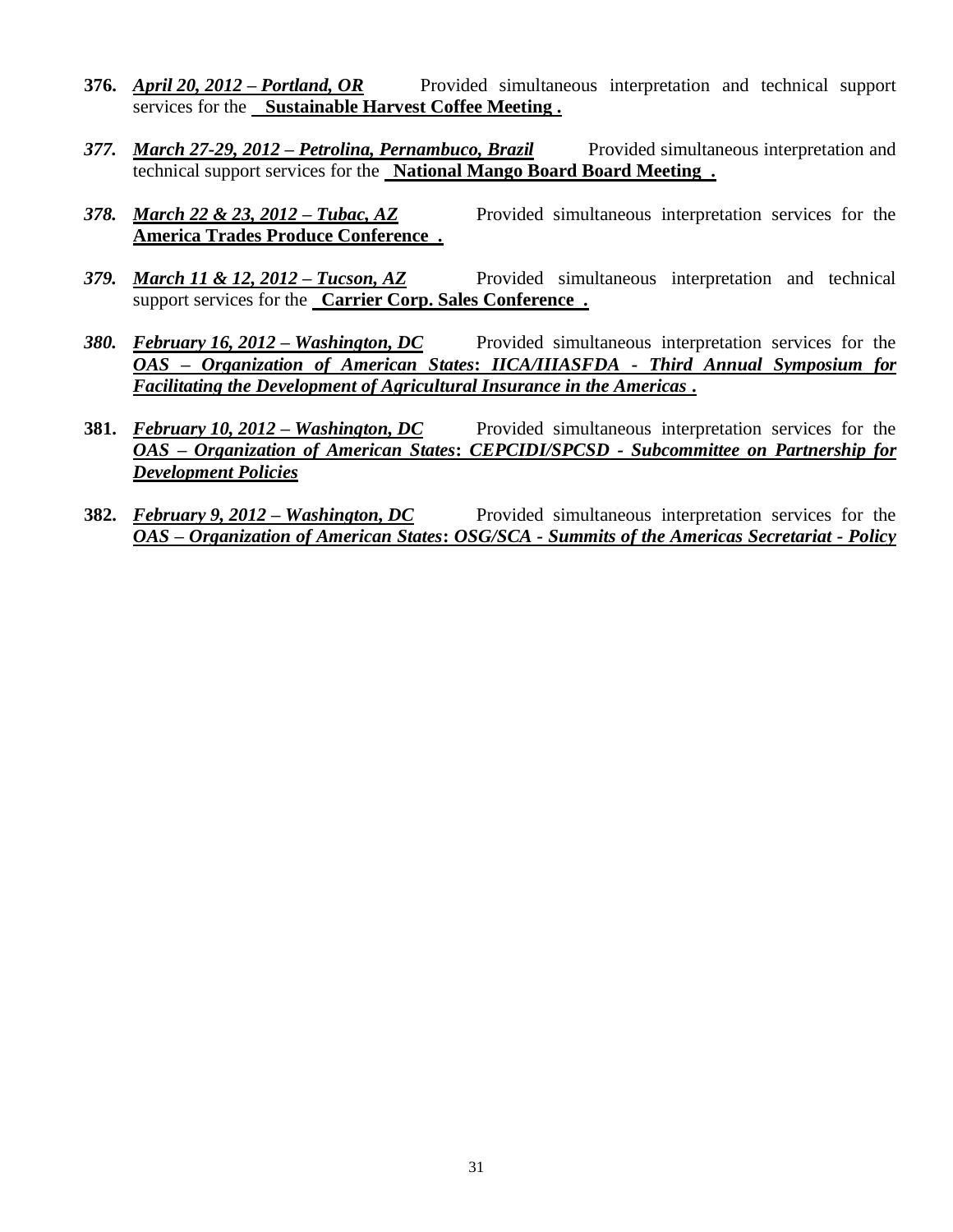- **376.** *April 20, 2012 – Portland, OR* Provided simultaneous interpretation and technical support services for the **Sustainable Harvest Coffee Meeting .**
- *377. March 27-29, 2012 – Petrolina, Pernambuco, Brazil* Provided simultaneous interpretation and technical support services for the **National Mango Board Board Meeting .**
- *378. March 22 & 23, 2012 – Tubac, AZ* Provided simultaneous interpretation services for the **America Trades Produce Conference .**
- *379. March 11 & 12, 2012 – Tucson, AZ* Provided simultaneous interpretation and technical support services for the **Carrier Corp. Sales Conference .**
- *380. February 16, 2012 – Washington, DC* Provided simultaneous interpretation services for the *OAS – Organization of American States***:** *IICA/IIIASFDA - Third Annual Symposium for Facilitating the Development of Agricultural Insurance in the Americas* **.**
- **381.** *February 10, 2012 – Washington, DC* Provided simultaneous interpretation services for the *OAS – Organization of American States***:** *CEPCIDI/SPCSD - Subcommittee on Partnership for Development Policies*
- **382.** *February 9, 2012 – Washington, DC* Provided simultaneous interpretation services for the *OAS – Organization of American States***:** *OSG/SCA - Summits of the Americas Secretariat - Policy*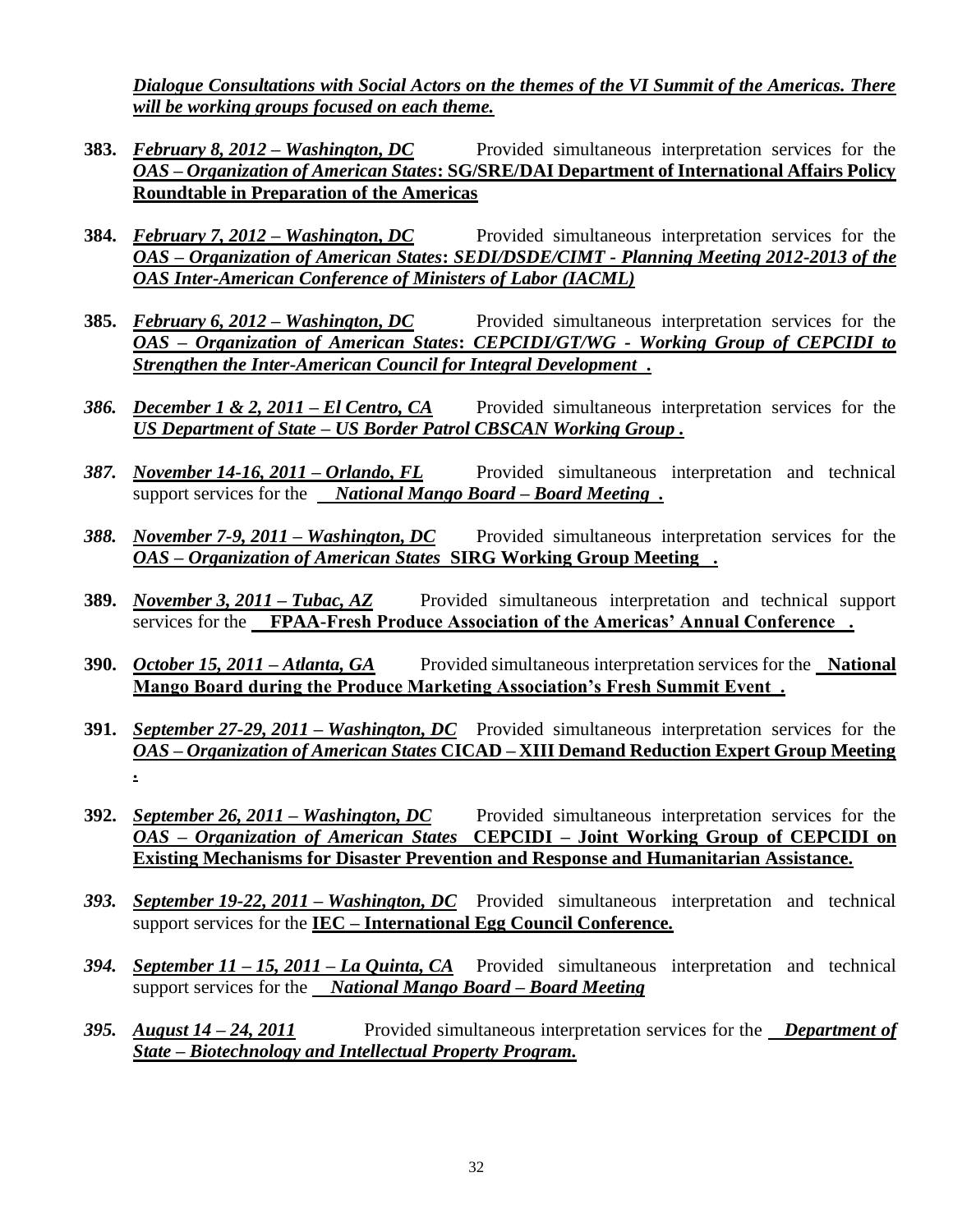*Dialogue Consultations with Social Actors on the themes of the VI Summit of the Americas. There will be working groups focused on each theme.*

- **383.** *February 8, 2012 – Washington, DC* Provided simultaneous interpretation services for the *OAS – Organization of American States***: SG/SRE/DAI Department of International Affairs Policy Roundtable in Preparation of the Americas**
- **384.** *February 7, 2012 – Washington, DC* Provided simultaneous interpretation services for the *OAS – Organization of American States***:** *SEDI/DSDE/CIMT - Planning Meeting 2012-2013 of the OAS Inter-American Conference of Ministers of Labor (IACML)*
- **385.** *February 6, 2012 – Washington, DC* Provided simultaneous interpretation services for the *OAS – Organization of American States***:** *CEPCIDI/GT/WG - Working Group of CEPCIDI to Strengthen the Inter-American Council for Integral Development* **.**
- *386. December 1 & 2, 2011 – El Centro, CA* Provided simultaneous interpretation services for the *US Department of State – US Border Patrol CBSCAN Working Group .*
- *387. November 14-16, 2011 – Orlando, FL* Provided simultaneous interpretation and technical support services for the *National Mango Board – Board Meeting .*
- *388. November 7-9, 2011 – Washington, DC* Provided simultaneous interpretation services for the *OAS – Organization of American States* **SIRG Working Group Meeting .**
- **389.** *November 3, 2011 – Tubac, AZ* Provided simultaneous interpretation and technical support services for the **FPAA-Fresh Produce Association of the Americas' Annual Conference .**
- **390.** *October 15, 2011 – Atlanta, GA* Provided simultaneous interpretation services for the **National Mango Board during the Produce Marketing Association's Fresh Summit Event .**
- **391.** *September 27-29, 2011 – Washington, DC* Provided simultaneous interpretation services for the *OAS – Organization of American States* **CICAD – XIII Demand Reduction Expert Group Meeting .**
- **392.** *September 26, 2011 – Washington, DC* Provided simultaneous interpretation services for the *OAS – Organization of American States* **CEPCIDI – Joint Working Group of CEPCIDI on Existing Mechanisms for Disaster Prevention and Response and Humanitarian Assistance.**
- *393. September 19-22, 2011 – Washington, DC* Provided simultaneous interpretation and technical support services for the **IEC – International Egg Council Conference.**
- *394. September 11 – 15, 2011 – La Quinta, CA* Provided simultaneous interpretation and technical support services for the *National Mango Board – Board Meeting*
- *395. August 14 – 24, 2011* Provided simultaneous interpretation services for the *Department of State – Biotechnology and Intellectual Property Program.*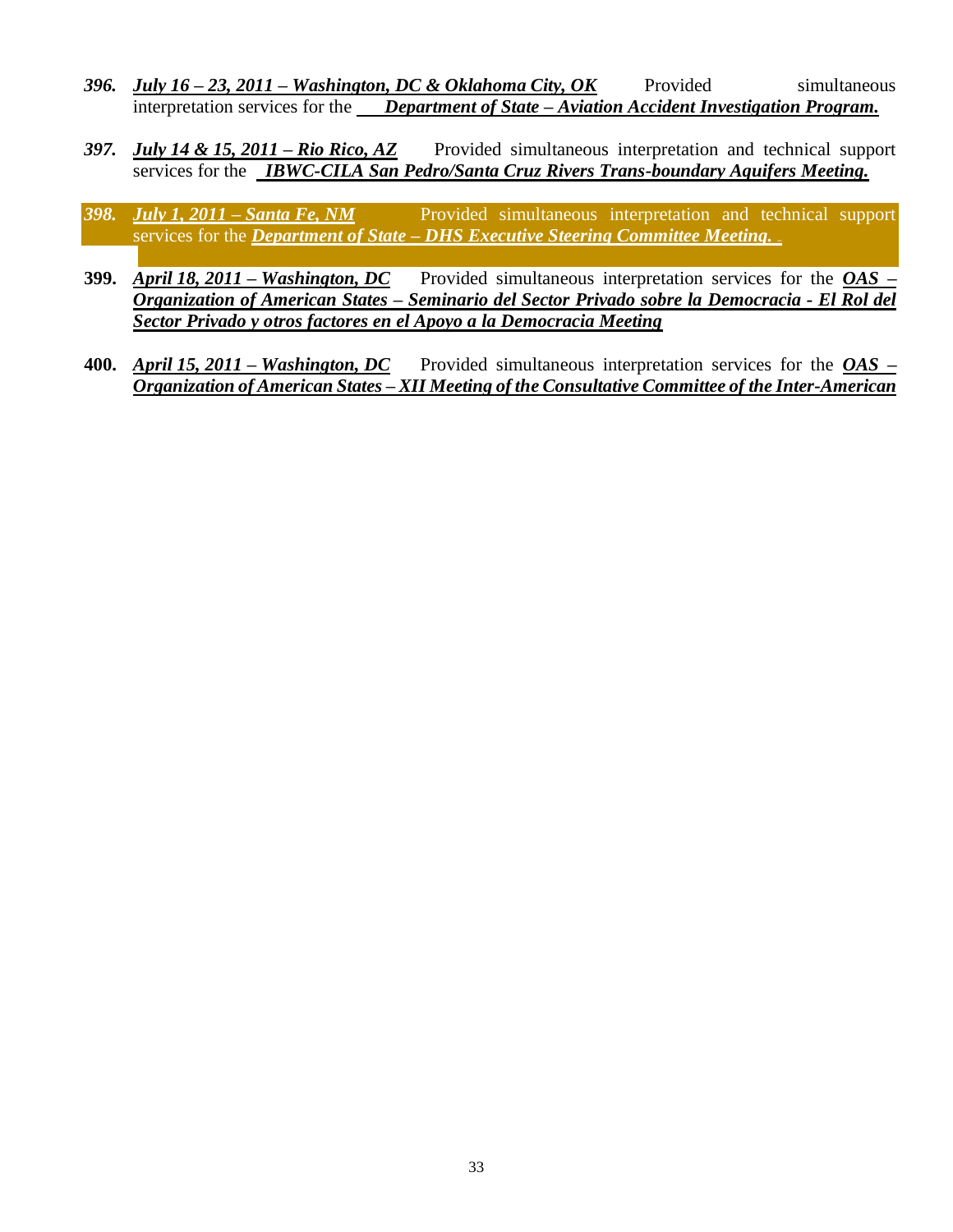- *396. July 16 – 23, 2011 – Washington, DC & Oklahoma City, OK* Provided simultaneous interpretation services for the *Department of State – Aviation Accident Investigation Program.*
- *397. July 14 & 15, 2011 – Rio Rico, AZ* Provided simultaneous interpretation and technical support services for the *IBWC-CILA San Pedro/Santa Cruz Rivers Trans-boundary Aquifers Meeting.*
- *398. July 1, 2011 – Santa Fe, NM* Provided simultaneous interpretation and technical support services for the *Department of State – DHS Executive Steering Committee Meeting. xyz*
- **399.** *April 18, 2011 – Washington, DC* Provided simultaneous interpretation services for the *OAS* **–** *Organization of American States – Seminario del Sector Privado sobre la Democracia - El Rol del Sector Privado y otros factores en el Apoyo a la Democracia Meeting*
- **400.** *April 15, 2011 – Washington, DC* Provided simultaneous interpretation services for the *OAS* **–** *Organization of American States – XII Meeting of the Consultative Committee of the Inter-American*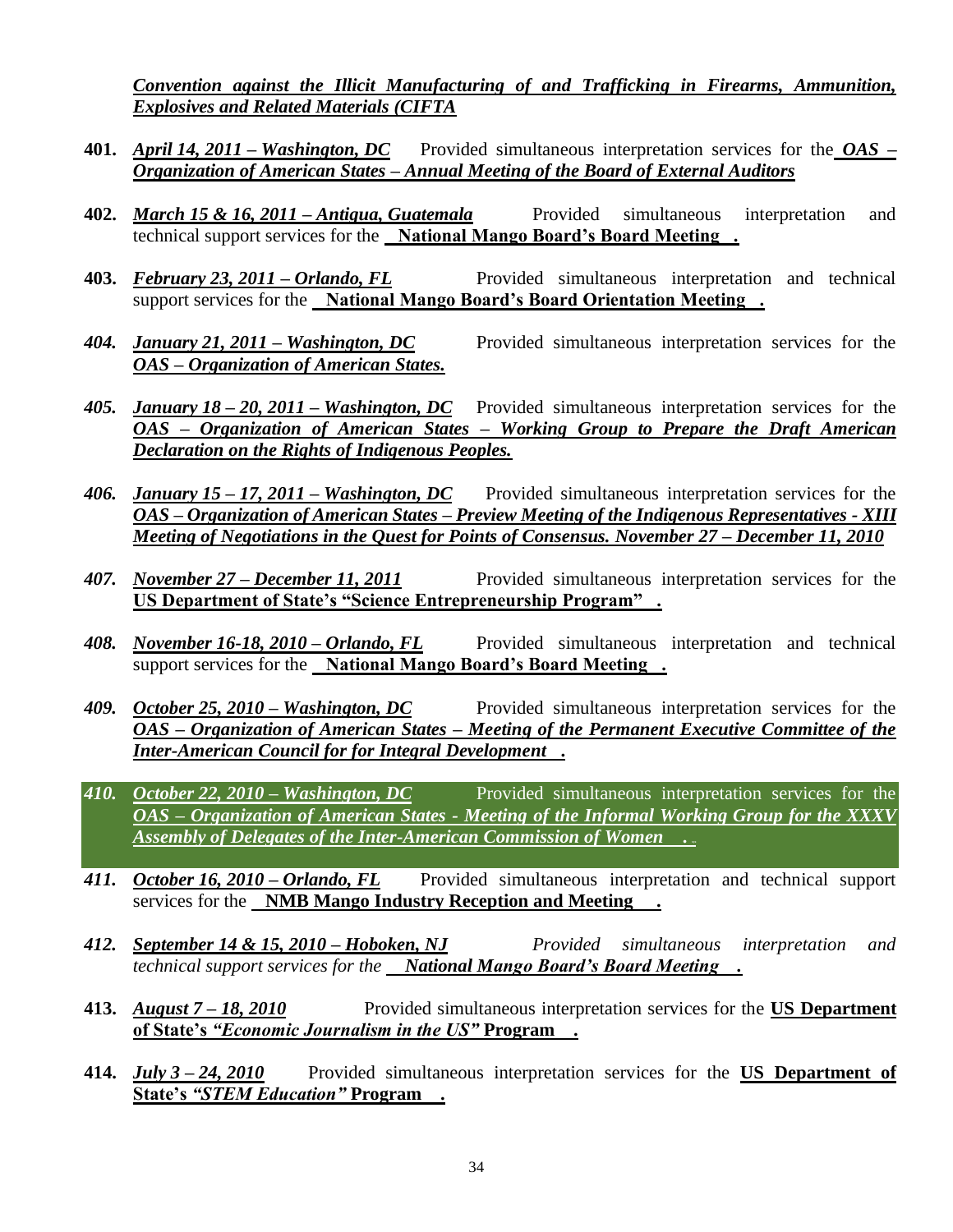*Convention against the Illicit Manufacturing of and Trafficking in Firearms, Ammunition, Explosives and Related Materials (CIFTA*

- **401.** *April 14, 2011 – Washington, DC* Provided simultaneous interpretation services for the *OAS* **–** *Organization of American States – Annual Meeting of the Board of External Auditors*
- **402.** *March 15 & 16, 2011 – Antigua, Guatemala* Provided simultaneous interpretation and technical support services for the **National Mango Board's Board Meeting .**
- **403.** *February 23, 2011 – Orlando, FL* Provided simultaneous interpretation and technical support services for the **National Mango Board's Board Orientation Meeting .**
- *404. January 21, 2011 – Washington, DC* Provided simultaneous interpretation services for the *OAS* **–** *Organization of American States.*
- *405. January 18 – 20, 2011 – Washington, DC* Provided simultaneous interpretation services for the *OAS* **–** *Organization of American States – Working Group to Prepare the Draft American Declaration on the Rights of Indigenous Peoples.*
- *406. January 15 – 17, 2011 – Washington, DC* Provided simultaneous interpretation services for the *OAS* **–** *Organization of American States – Preview Meeting of the Indigenous Representatives - XIII Meeting of Negotiations in the Quest for Points of Consensus. November 27 – December 11, 2010*
- *407. November 27 – December 11, 2011* Provided simultaneous interpretation services for the **US Department of State's "Science Entrepreneurship Program" .**
- *408. November 16-18, 2010 – Orlando, FL* Provided simultaneous interpretation and technical support services for the **National Mango Board's Board Meeting .**
- *409. October 25, 2010 – Washington, DC* Provided simultaneous interpretation services for the *OAS* **–** *Organization of American States – Meeting of the Permanent Executive Committee of the Inter-American Council for for Integral Development* **.**
- *410. October 22, 2010 – Washington, DC* Provided simultaneous interpretation services for the *OAS* **–** *Organization of American States - Meeting of the Informal Working Group for the XXXV Assembly of Delegates of the Inter-American Commission of Women* **. xyz**
- *411. October 16, 2010 – Orlando, FL* Provided simultaneous interpretation and technical support services for the **NMB Mango Industry Reception and Meeting .**
- *412. September 14 & 15, 2010 – Hoboken, NJ Provided simultaneous interpretation and technical support services for the National Mango Board's Board Meeting .*
- **413.** *August 7 – 18, 2010* Provided simultaneous interpretation services for the **US Department of State's** *"Economic Journalism in the US"* **Program .**
- **414.** *July 3 – 24, 2010* Provided simultaneous interpretation services for the **US Department of State's** *"STEM Education"* **Program .**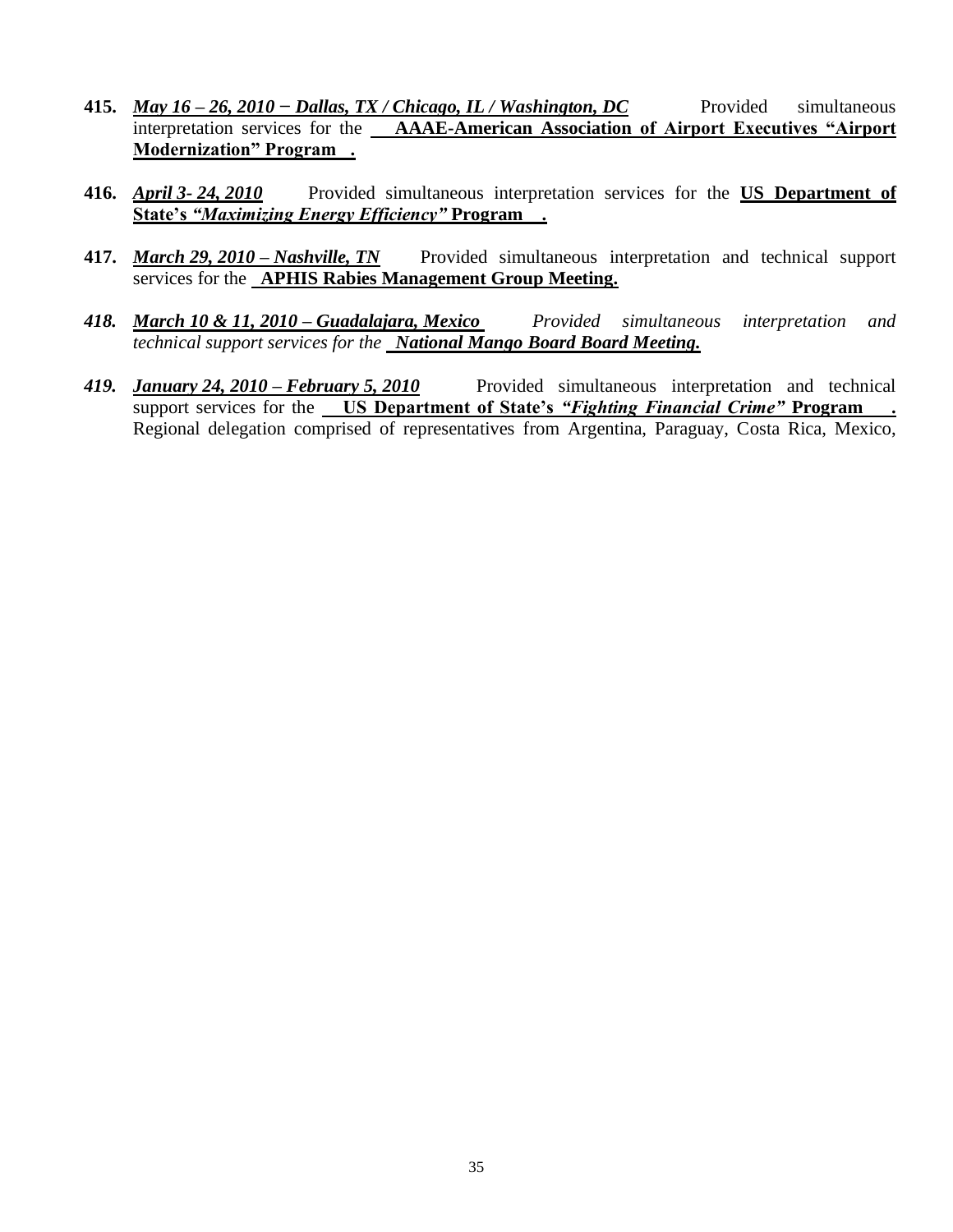- **415.** *May 16 – 26, 2010 − Dallas, TX / Chicago, IL / Washington, DC* Provided simultaneous interpretation services for the **AAAE-American Association of Airport Executives "Airport Modernization" Program .**
- **416.** *April 3- 24, 2010* Provided simultaneous interpretation services for the **US Department of State's** *"Maximizing Energy Efficiency"* **Program .**
- **417.** *March 29, 2010 – Nashville, TN* Provided simultaneous interpretation and technical support services for the **APHIS Rabies Management Group Meeting.**
- *418. March 10 & 11, 2010 – Guadalajara, Mexico Provided simultaneous interpretation and technical support services for the National Mango Board Board Meeting.*
- *419. January 24, 2010 – February 5, 2010* Provided simultaneous interpretation and technical support services for the **US Department of State's** *"Fighting Financial Crime"* **Program .** Regional delegation comprised of representatives from Argentina, Paraguay, Costa Rica, Mexico,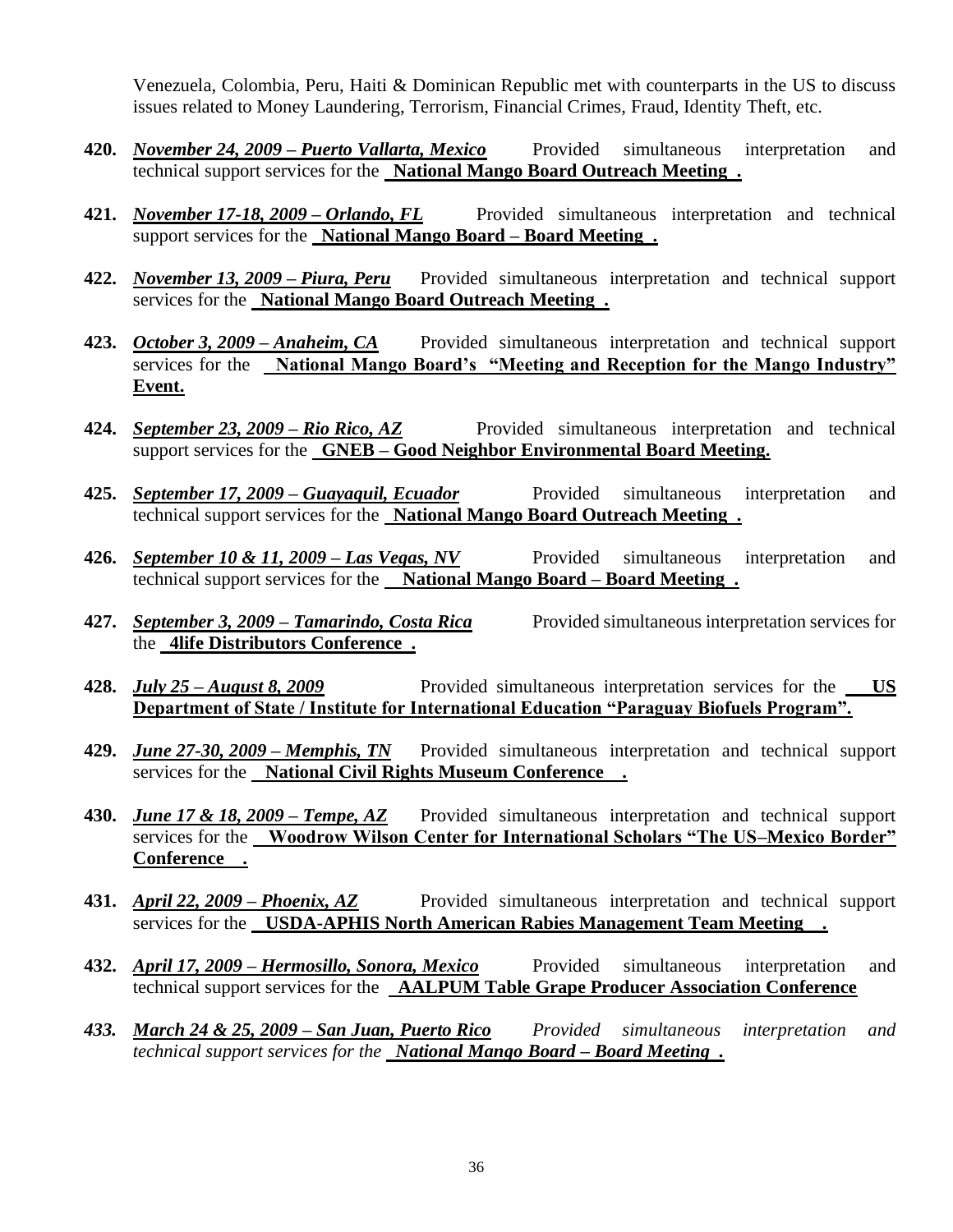Venezuela, Colombia, Peru, Haiti & Dominican Republic met with counterparts in the US to discuss issues related to Money Laundering, Terrorism, Financial Crimes, Fraud, Identity Theft, etc.

- **420.** *November 24, 2009 – Puerto Vallarta, Mexico* Provided simultaneous interpretation and technical support services for the **National Mango Board Outreach Meeting .**
- **421.** *November 17-18, 2009 – Orlando, FL* Provided simultaneous interpretation and technical support services for the **National Mango Board – Board Meeting .**
- **422.** *November 13, 2009 – Piura, Peru* Provided simultaneous interpretation and technical support services for the **National Mango Board Outreach Meeting .**
- **423.** *October 3, 2009 – Anaheim, CA* Provided simultaneous interpretation and technical support services for the **National Mango Board's "Meeting and Reception for the Mango Industry" Event.**
- **424.** *September 23, 2009 – Rio Rico, AZ* Provided simultaneous interpretation and technical support services for the **GNEB – Good Neighbor Environmental Board Meeting.**
- **425.** *September 17, 2009 – Guayaquil, Ecuador* Provided simultaneous interpretation and technical support services for the **National Mango Board Outreach Meeting .**
- **426.** *September 10 & 11, 2009 – Las Vegas, NV* Provided simultaneous interpretation and technical support services for the **National Mango Board – Board Meeting .**
- **427.** *September 3, 2009 – Tamarindo, Costa Rica* Provided simultaneous interpretation services for the **4life Distributors Conference .**
- **428.** *July 25 – August 8, 2009* Provided simultaneous interpretation services for the **US Department of State / Institute for International Education "Paraguay Biofuels Program".**
- **429.** *June 27-30, 2009 – Memphis, TN* Provided simultaneous interpretation and technical support services for the **National Civil Rights Museum Conference .**
- **430.** *June 17 & 18, 2009 – Tempe, AZ* Provided simultaneous interpretation and technical support services for the **Woodrow Wilson Center for International Scholars "The US–Mexico Border" Conference .**
- **431.** *April 22, 2009 – Phoenix, AZ* Provided simultaneous interpretation and technical support services for the **USDA-APHIS North American Rabies Management Team Meeting .**
- **432.** *April 17, 2009 – Hermosillo, Sonora, Mexico* Provided simultaneous interpretation and technical support services for the **AALPUM Table Grape Producer Association Conference**
- *433. March 24 & 25, 2009 – San Juan, Puerto Rico Provided simultaneous interpretation and technical support services for the National Mango Board – Board Meeting .*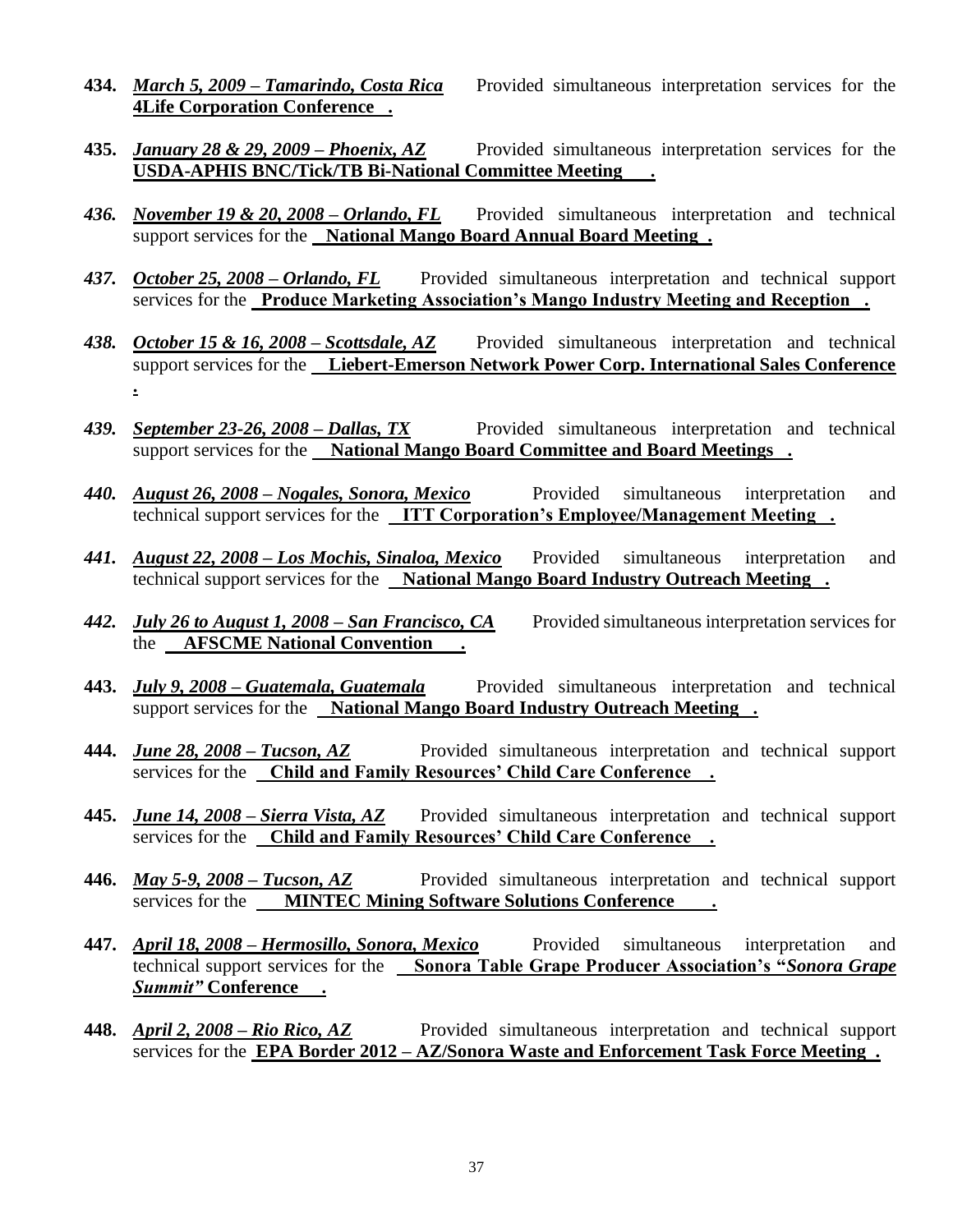- **434.** *March 5, 2009 – Tamarindo, Costa Rica* Provided simultaneous interpretation services for the **4Life Corporation Conference .**
- **435.** *January 28 & 29, 2009 – Phoenix, AZ* Provided simultaneous interpretation services for the **USDA-APHIS BNC/Tick/TB Bi-National Committee Meeting .**
- *436. November 19 & 20, 2008 – Orlando, FL* Provided simultaneous interpretation and technical support services for the **National Mango Board Annual Board Meeting .**
- *437. October 25, 2008 – Orlando, FL* Provided simultaneous interpretation and technical support services for the **Produce Marketing Association's Mango Industry Meeting and Reception .**
- *438. October 15 & 16, 2008 – Scottsdale, AZ* Provided simultaneous interpretation and technical support services for the **Liebert-Emerson Network Power Corp. International Sales Conference .**
- *439. September 23-26, 2008 – Dallas, TX* Provided simultaneous interpretation and technical support services for the **National Mango Board Committee and Board Meetings .**
- *440. August 26, 2008 – Nogales, Sonora, Mexico* Provided simultaneous interpretation and technical support services for the **ITT Corporation's Employee/Management Meeting .**
- *441. August 22, 2008 – Los Mochis, Sinaloa, Mexico* Provided simultaneous interpretation and technical support services for the **National Mango Board Industry Outreach Meeting .**
- *442. July 26 to August 1, 2008 – San Francisco, CA* Provided simultaneous interpretation services for the **AFSCME National Convention .**
- **443.** *July 9, 2008 – Guatemala, Guatemala* Provided simultaneous interpretation and technical support services for the **National Mango Board Industry Outreach Meeting .**
- **444.** *June 28, 2008 – Tucson, AZ* Provided simultaneous interpretation and technical support services for the **Child and Family Resources' Child Care Conference .**
- **445.** *June 14, 2008 – Sierra Vista, AZ* Provided simultaneous interpretation and technical support services for the **Child and Family Resources' Child Care Conference .**
- **446.** *May 5-9, 2008 – Tucson, AZ* Provided simultaneous interpretation and technical support services for the **MINTEC Mining Software Solutions Conference .**
- **447.** *April 18, 2008 – Hermosillo, Sonora, Mexico* Provided simultaneous interpretation and technical support services for the **Sonora Table Grape Producer Association's "***Sonora Grape Summit"* **Conference .**
- **448.** *April 2, 2008 – Rio Rico, AZ* Provided simultaneous interpretation and technical support services for the **EPA Border 2012 – AZ/Sonora Waste and Enforcement Task Force Meeting .**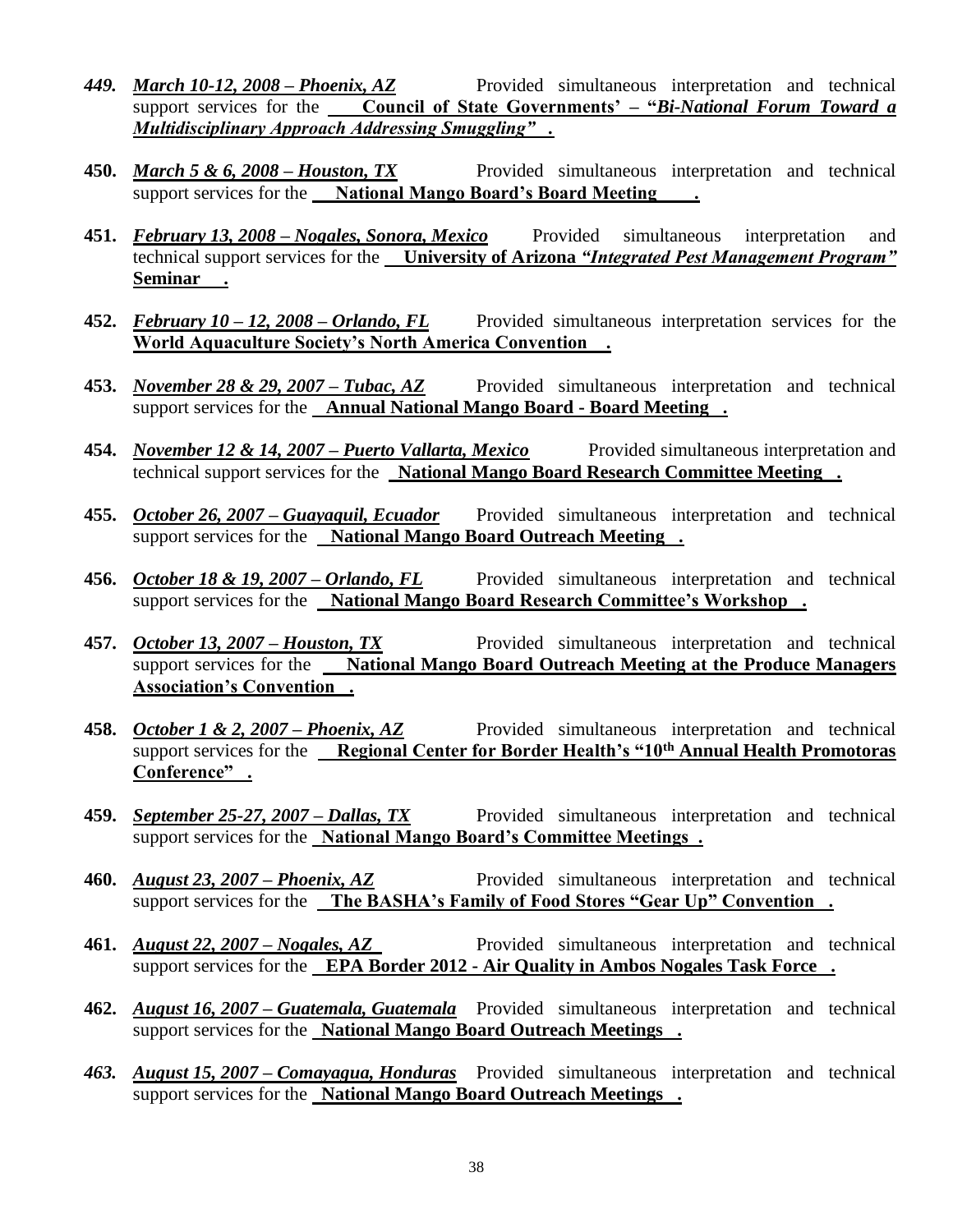- *449. March 10-12, 2008 – Phoenix, AZ* Provided simultaneous interpretation and technical support services for the **Council of State Governments' – "***Bi-National Forum Toward a Multidisciplinary Approach Addressing Smuggling" .*
- **450.** *March* 5 & 6, 2008 *Houston, TX* Provided simultaneous interpretation and technical support services for the **National Mango Board's Board Meeting**.
- **451.** *February 13, 2008 – Nogales, Sonora, Mexico* Provided simultaneous interpretation and technical support services for the **University of Arizona** *"Integrated Pest Management Program"*  **Seminar .**
- **452.** *February 10 – 12, 2008 – Orlando, FL* Provided simultaneous interpretation services for the **World Aquaculture Society's North America Convention .**
- **453.** *November 28 & 29, 2007 – Tubac, AZ* Provided simultaneous interpretation and technical support services for the **Annual National Mango Board - Board Meeting .**
- **454.** *November 12 & 14, 2007 – Puerto Vallarta, Mexico* Provided simultaneous interpretation and technical support services for the **National Mango Board Research Committee Meeting .**
- **455.** *October 26, 2007 – Guayaquil, Ecuador* Provided simultaneous interpretation and technical support services for the **National Mango Board Outreach Meeting .**
- **456.** *October 18 & 19, 2007 – Orlando, FL* Provided simultaneous interpretation and technical support services for the **National Mango Board Research Committee's Workshop .**
- 457. *October 13, 2007 Houston, TX* Provided simultaneous interpretation and technical support services for the **National Mango Board Outreach Meeting at the Produce Managers Association's Convention .**
- **458.** *October 1 & 2, 2007 – Phoenix, AZ* Provided simultaneous interpretation and technical support services for the **Regional Center for Border Health's "10th Annual Health Promotoras Conference" .**
- **459.** *September 25-27, 2007 – Dallas, TX* Provided simultaneous interpretation and technical support services for the **National Mango Board's Committee Meetings .**
- **460.** *August 23, 2007 Phoenix, AZ* Provided simultaneous interpretation and technical support services for the **The BASHA's Family of Food Stores "Gear Up" Convention .**
- **461.** *August 22, 2007 – Nogales, AZ* Provided simultaneous interpretation and technical support services for the **EPA Border 2012 - Air Quality in Ambos Nogales Task Force .**
- **462.** *August 16, 2007 – Guatemala, Guatemala* Provided simultaneous interpretation and technical support services for the **National Mango Board Outreach Meetings .**
- *463. August 15, 2007 – Comayagua, Honduras* Provided simultaneous interpretation and technical support services for the **National Mango Board Outreach Meetings .**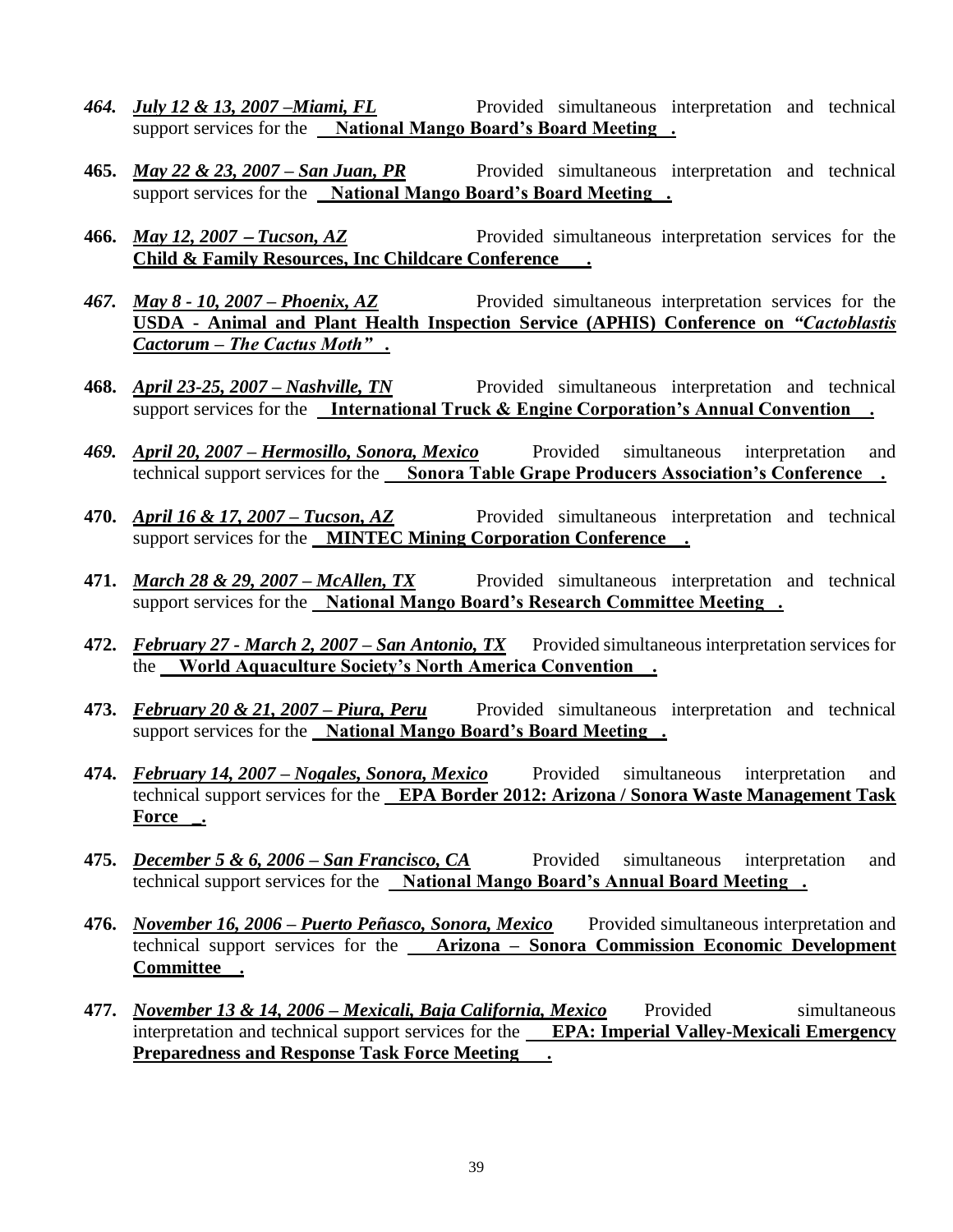- *464. July 12 & 13, 2007 –Miami, FL* Provided simultaneous interpretation and technical support services for the **National Mango Board's Board Meeting .**
- **465.** *May 22 & 23, 2007 – San Juan, PR* Provided simultaneous interpretation and technical support services for the **National Mango Board's Board Meeting .**
- **466.** *May 12, 2007* − *Tucson, AZ* Provided simultaneous interpretation services for the **Child & Family Resources, Inc Childcare Conference .**
- *467. May 8 - 10, 2007 – Phoenix, AZ* Provided simultaneous interpretation services for the **USDA - Animal and Plant Health Inspection Service (APHIS) Conference on** *"Cactoblastis Cactorum – The Cactus Moth" .*
- **468.** *April 23-25, 2007 – Nashville, TN* Provided simultaneous interpretation and technical support services for the **International Truck & Engine Corporation's Annual Convention .**
- *469. April 20, 2007 – Hermosillo, Sonora, Mexico* Provided simultaneous interpretation and technical support services for the **Sonora Table Grape Producers Association's Conference .**
- **470.** *April 16 & 17, 2007 – Tucson, AZ* Provided simultaneous interpretation and technical support services for the **MINTEC Mining Corporation Conference .**
- **471.** *March 28 & 29, 2007 – McAllen, TX* Provided simultaneous interpretation and technical support services for the **National Mango Board's Research Committee Meeting .**
- **472.** *February 27 - March 2, 2007 – San Antonio, TX* Provided simultaneous interpretation services for the **World Aquaculture Society's North America Convention .**
- **473.** *February 20 & 21, 2007 – Piura, Peru* Provided simultaneous interpretation and technical support services for the **National Mango Board's Board Meeting .**
- **474.** *February 14, 2007 – Nogales, Sonora, Mexico* Provided simultaneous interpretation and technical support services for the **EPA Border 2012: Arizona / Sonora Waste Management Task Force \_.**
- **475.** *December 5 & 6, 2006 – San Francisco, CA* Provided simultaneous interpretation and technical support services for the **National Mango Board's Annual Board Meeting .**
- **476.** *November 16, 2006 – Puerto Peñasco, Sonora, Mexico* Provided simultaneous interpretation and technical support services for the **Arizona – Sonora Commission Economic Development Committee .**
- **477.** *November 13 & 14, 2006 – Mexicali, Baja California, Mexico* Provided simultaneous interpretation and technical support services for the **EPA: Imperial Valley-Mexicali Emergency Preparedness and Response Task Force Meeting .**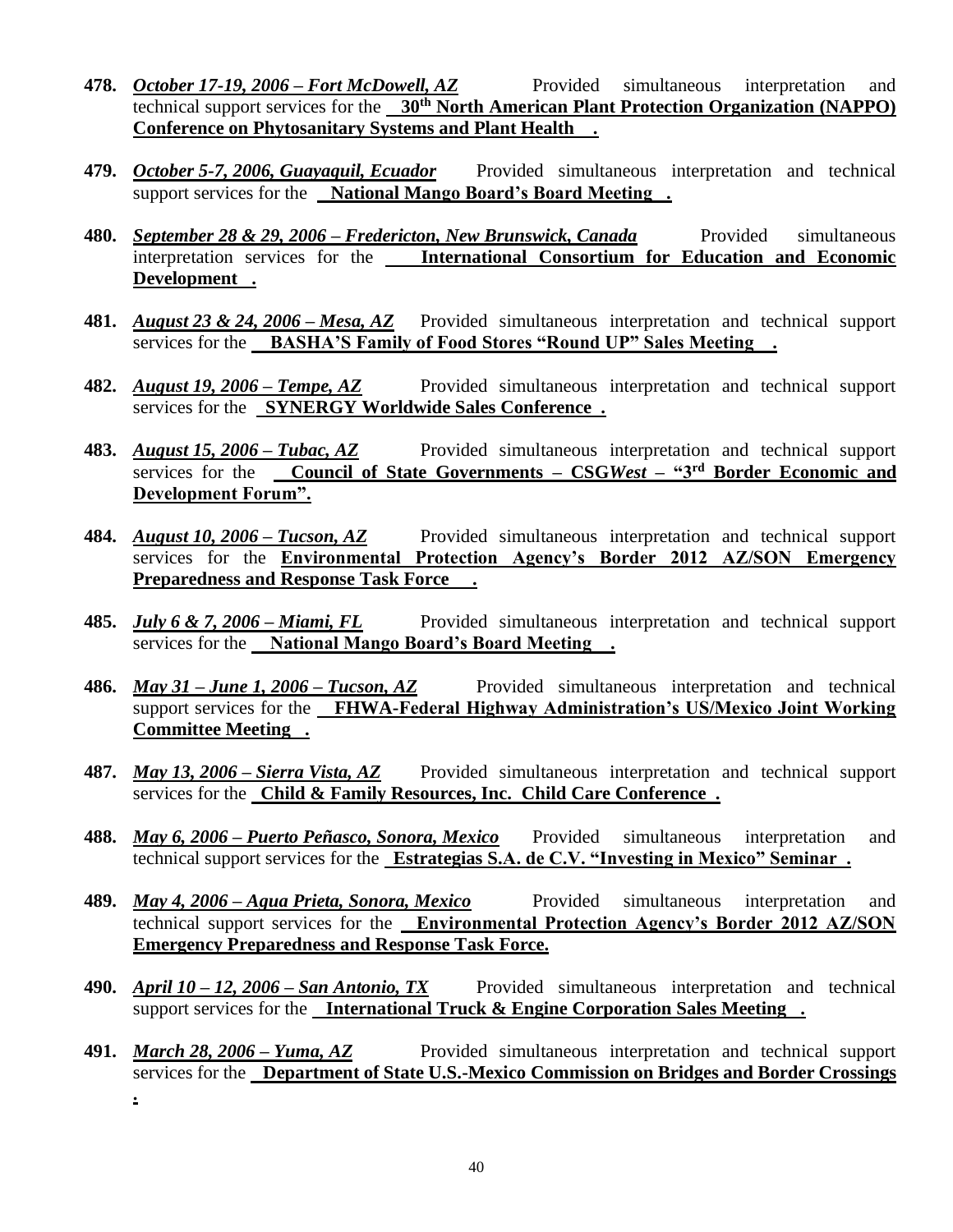- **478.** *October 17-19, 2006 – Fort McDowell, AZ* Provided simultaneous interpretation and technical support services for the **30th North American Plant Protection Organization (NAPPO) Conference on Phytosanitary Systems and Plant Health .**
- **479.** *October 5-7, 2006, Guayaquil, Ecuador* Provided simultaneous interpretation and technical support services for the **National Mango Board's Board Meeting .**
- **480.** *<u>September 28 & 29, 2006 Fredericton, New Brunswick, Canada* Provided simultaneous</u> interpretation services for the **International Consortium for Education and Economic Development .**
- **481.** *August 23 & 24, 2006 – Mesa, AZ* Provided simultaneous interpretation and technical support services for the **BASHA'S Family of Food Stores "Round UP" Sales Meeting .**
- **482.** *August 19, 2006 – Tempe, AZ* Provided simultaneous interpretation and technical support services for the **SYNERGY Worldwide Sales Conference .**
- **483.** *August 15, 2006 – Tubac, AZ* Provided simultaneous interpretation and technical support services for the **Council of State Governments – CSG***West* **– "3rd Border Economic and Development Forum".**
- **484.** *August 10, 2006 – Tucson, AZ* Provided simultaneous interpretation and technical support services for the **Environmental Protection Agency's Border 2012 AZ/SON Emergency Preparedness and Response Task Force .**
- **485.** *July 6 & 7, 2006 – Miami, FL* Provided simultaneous interpretation and technical support services for the **National Mango Board's Board Meeting .**
- **486.** *May 31 – June 1, 2006 – Tucson, AZ* Provided simultaneous interpretation and technical support services for the **FHWA-Federal Highway Administration's US/Mexico Joint Working Committee Meeting .**
- **487.** *May 13, 2006 – Sierra Vista, AZ* Provided simultaneous interpretation and technical support services for the **Child & Family Resources, Inc. Child Care Conference .**
- **488.** *May 6, 2006 – Puerto Peñasco, Sonora, Mexico* Provided simultaneous interpretation and technical support services for the **Estrategias S.A. de C.V. "Investing in Mexico" Seminar .**
- **489.** *May 4, 2006 – Agua Prieta, Sonora, Mexico* Provided simultaneous interpretation and technical support services for the **Environmental Protection Agency's Border 2012 AZ/SON Emergency Preparedness and Response Task Force.**
- **490.** *April 10 – 12, 2006 – San Antonio, TX* Provided simultaneous interpretation and technical support services for the **International Truck & Engine Corporation Sales Meeting .**
- **491.** *March 28, 2006 – Yuma, AZ* Provided simultaneous interpretation and technical support services for the **Department of State U.S.-Mexico Commission on Bridges and Border Crossings .**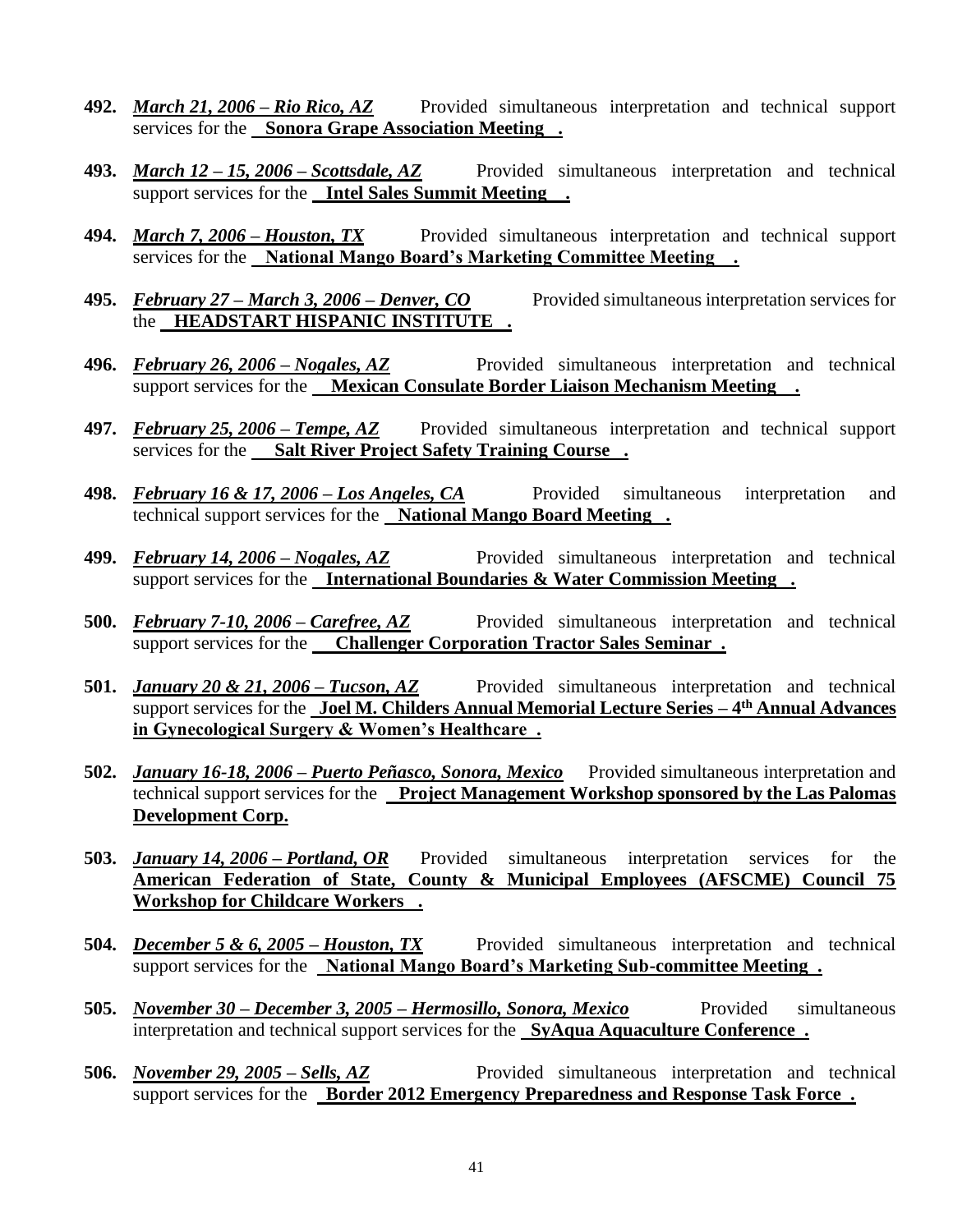- **492.** *March 21, 2006 – Rio Rico, AZ* Provided simultaneous interpretation and technical support services for the **Sonora Grape Association Meeting .**
- **493.** *March 12 – 15, 2006 – Scottsdale, AZ* Provided simultaneous interpretation and technical support services for the **Intel Sales Summit Meeting .**
- **494.** *March 7, 2006 – Houston, TX* Provided simultaneous interpretation and technical support services for the **National Mango Board's Marketing Committee Meeting .**
- **495.** *February 27 – March 3, 2006 – Denver, CO* Provided simultaneous interpretation services for the **HEADSTART HISPANIC INSTITUTE .**
- **496.** *February 26, 2006 – Nogales, AZ* Provided simultaneous interpretation and technical support services for the **Mexican Consulate Border Liaison Mechanism Meeting .**
- **497.** *February 25, 2006 – Tempe, AZ* Provided simultaneous interpretation and technical support services for the **Salt River Project Safety Training Course .**
- **498.** *February 16 & 17, 2006 – Los Angeles, CA* Provided simultaneous interpretation and technical support services for the **National Mango Board Meeting .**
- **499.** *February 14, 2006 – Nogales, AZ* Provided simultaneous interpretation and technical support services for the **International Boundaries & Water Commission Meeting .**
- **500.** *February 7-10, 2006 – Carefree, AZ* Provided simultaneous interpretation and technical support services for the **Challenger Corporation Tractor Sales Seminar .**
- **501.** *January 20 & 21, 2006 Tucson, AZ* Provided simultaneous interpretation and technical support services for the **Joel M. Childers Annual Memorial Lecture Series – 4 th Annual Advances in Gynecological Surgery & Women's Healthcare .**
- **502.** *January 16-18, 2006 – Puerto Peñasco, Sonora, Mexico* Provided simultaneous interpretation and technical support services for the **Project Management Workshop sponsored by the Las Palomas Development Corp.**
- **503.** *January 14, 2006 – Portland, OR* Provided simultaneous interpretation services for the **American Federation of State, County & Municipal Employees (AFSCME) Council 75 Workshop for Childcare Workers .**
- **504.** *December 5 & 6, 2005 – Houston, TX* Provided simultaneous interpretation and technical support services for the **National Mango Board's Marketing Sub-committee Meeting .**
- **505.** *<u>November 30 December 3, 2005 Hermosillo, Sonora, Mexico* Provided simultaneous</u> interpretation and technical support services for the **SyAqua Aquaculture Conference .**
- **506.** *November 29, 2005 – Sells, AZ* Provided simultaneous interpretation and technical support services for the **Border 2012 Emergency Preparedness and Response Task Force .**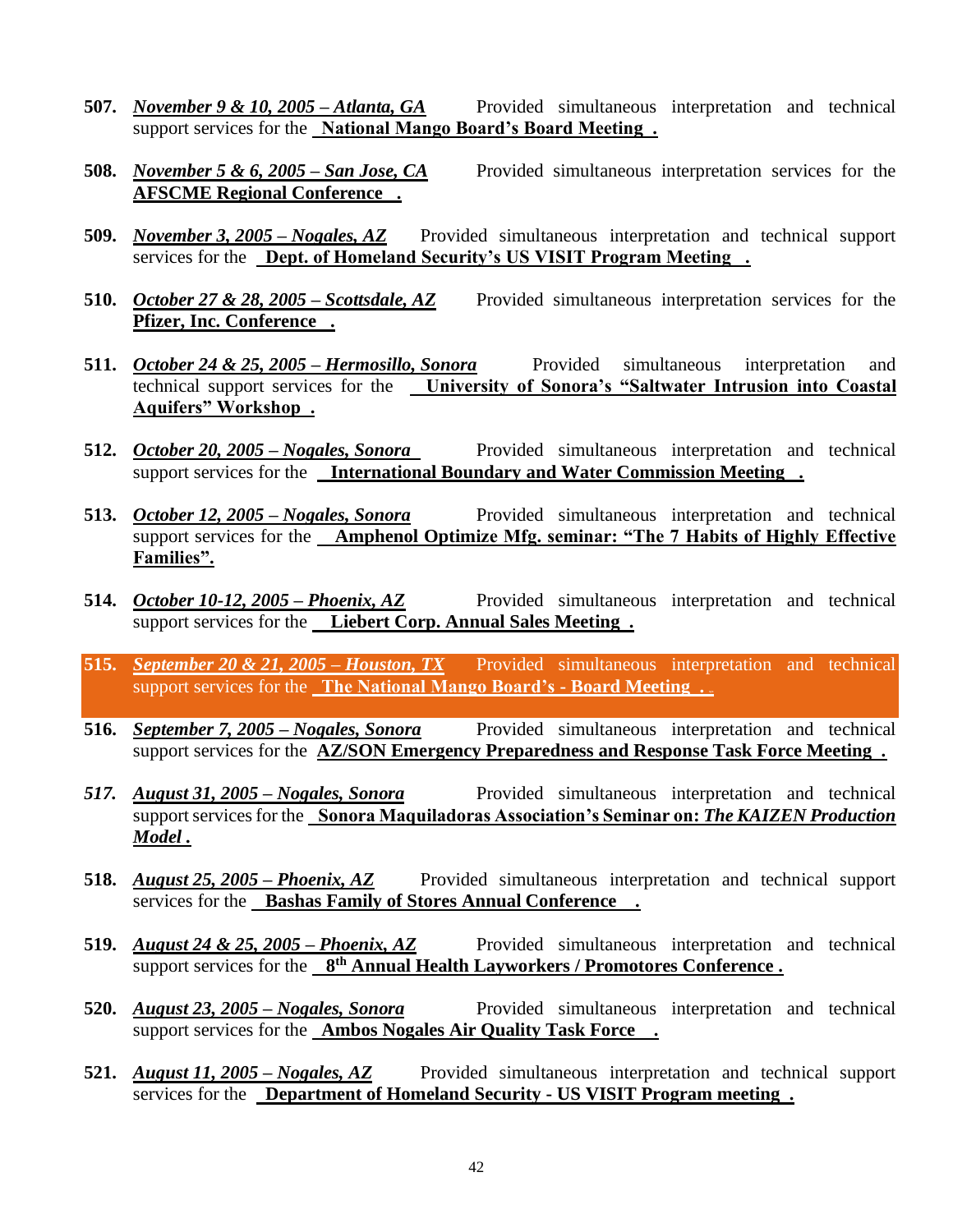- **507.** *November 9 & 10, 2005 – Atlanta, GA* Provided simultaneous interpretation and technical support services for the **National Mango Board's Board Meeting .**
- **508.** *November 5 & 6, 2005 – San Jose, CA* Provided simultaneous interpretation services for the **AFSCME Regional Conference .**
- **509.** *November 3, 2005 – Nogales, AZ* Provided simultaneous interpretation and technical support services for the **Dept. of Homeland Security's US VISIT Program Meeting .**
- **510.** *October 27 & 28, 2005 – Scottsdale, AZ* Provided simultaneous interpretation services for the **Pfizer, Inc. Conference .**
- **511.** *October 24 & 25, 2005 – Hermosillo, Sonora* Provided simultaneous interpretation and technical support services for the **University of Sonora's "Saltwater Intrusion into Coastal Aquifers" Workshop .**
- 512. **October 20, 2005 Nogales, Sonora** Provided simultaneous interpretation and technical support services for the **International Boundary and Water Commission Meeting .**
- **513.** *October 12, 2005 – Nogales, Sonora* Provided simultaneous interpretation and technical support services for the **Amphenol Optimize Mfg. seminar: "The 7 Habits of Highly Effective Families".**
- **514.** *October 10-12, 2005 – Phoenix, AZ* Provided simultaneous interpretation and technical support services for the **Liebert Corp. Annual Sales Meeting .**
- **515.** *September 20 & 21, 2005 Houston, TX* Provided simultaneous interpretation and technical support services for the **The National Mango Board's - Board Meeting . xyz**
- **516.** *September 7, 2005 – Nogales, Sonora* Provided simultaneous interpretation and technical support services for the **AZ/SON Emergency Preparedness and Response Task Force Meeting .**
- *517. August 31, 2005 – Nogales, Sonora* Provided simultaneous interpretation and technical support services for the **Sonora Maquiladoras Association's Seminar on:** *The KAIZEN Production Model .*
- **518.** *August 25, 2005 – Phoenix, AZ* Provided simultaneous interpretation and technical support services for the **Bashas Family of Stores Annual Conference .**
- **519.** *August 24 & 25, 2005 – Phoenix, AZ* Provided simultaneous interpretation and technical support services for the **8<sup>th</sup> Annual Health Layworkers / Promotores Conference.**
- **520.** *August 23, 2005 – Nogales, Sonora* Provided simultaneous interpretation and technical support services for the **Ambos Nogales Air Quality Task Force .**
- **521.** *August 11, 2005 – Nogales, AZ* Provided simultaneous interpretation and technical support services for the **Department of Homeland Security - US VISIT Program meeting .**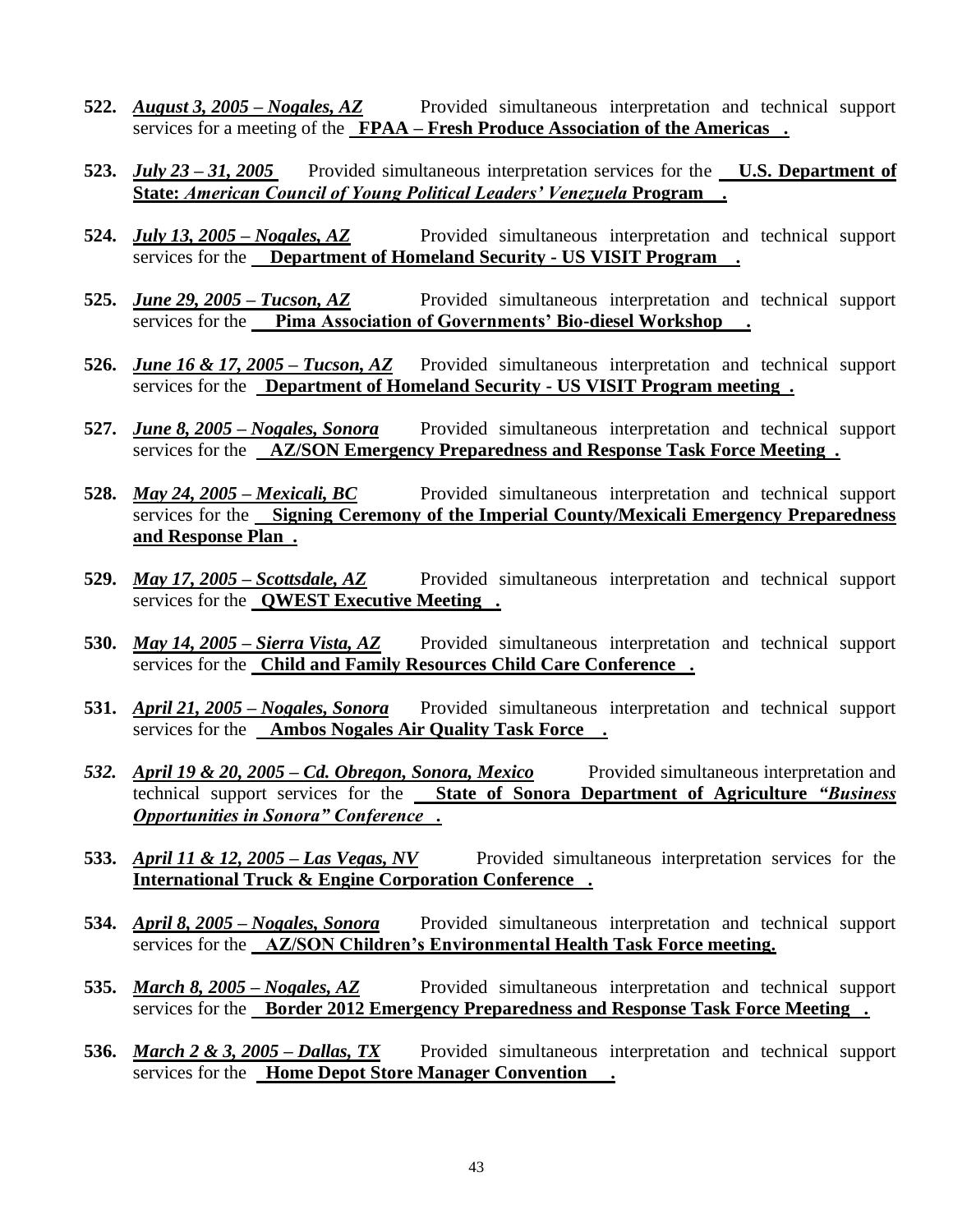- **522.** *August 3, 2005 – Nogales, AZ* Provided simultaneous interpretation and technical support services for a meeting of the **FPAA – Fresh Produce Association of the Americas .**
- **523.** *July 23 – 31, 2005* Provided simultaneous interpretation services for the **U.S. Department of State:** *American Council of Young Political Leaders' Venezuela* **Program .**
- **524.** *July 13, 2005 – Nogales, AZ* Provided simultaneous interpretation and technical support services for the **Department of Homeland Security - US VISIT Program .**
- **525.** *June 29, 2005 – Tucson, AZ* Provided simultaneous interpretation and technical support services for the **Pima Association of Governments' Bio-diesel Workshop .**
- **526.** *June 16 & 17, 2005 – Tucson, AZ* Provided simultaneous interpretation and technical support services for the **Department of Homeland Security - US VISIT Program meeting .**
- **527.** *June 8, 2005 – Nogales, Sonora* Provided simultaneous interpretation and technical support services for the **AZ/SON Emergency Preparedness and Response Task Force Meeting .**
- **528.** *May 24, 2005 – Mexicali, BC* Provided simultaneous interpretation and technical support services for the **Signing Ceremony of the Imperial County/Mexicali Emergency Preparedness and Response Plan .**
- **529.** *May 17, 2005 – Scottsdale, AZ* Provided simultaneous interpretation and technical support services for the **QWEST Executive Meeting .**
- **530.** *May 14, 2005 – Sierra Vista, AZ* Provided simultaneous interpretation and technical support services for the **Child and Family Resources Child Care Conference .**
- **531.** *April 21, 2005 – Nogales, Sonora* Provided simultaneous interpretation and technical support services for the **Ambos Nogales Air Quality Task Force .**
- *532. April 19 & 20, 2005 – Cd. Obregon, Sonora, Mexico* Provided simultaneous interpretation and technical support services for the **State of Sonora Department of Agriculture** *"Business Opportunities in Sonora" Conference .*
- **533.** *April 11 & 12, 2005 – Las Vegas, NV* Provided simultaneous interpretation services for the **International Truck & Engine Corporation Conference .**
- **534.** *April 8, 2005 – Nogales, Sonora* Provided simultaneous interpretation and technical support services for the **AZ/SON Children's Environmental Health Task Force meeting.**
- **535.** *March 8, 2005 – Nogales, AZ* Provided simultaneous interpretation and technical support services for the **Border 2012 Emergency Preparedness and Response Task Force Meeting.**
- **536.** *March 2 & 3, 2005 – Dallas, TX* Provided simultaneous interpretation and technical support services for the **Home Depot Store Manager Convention .**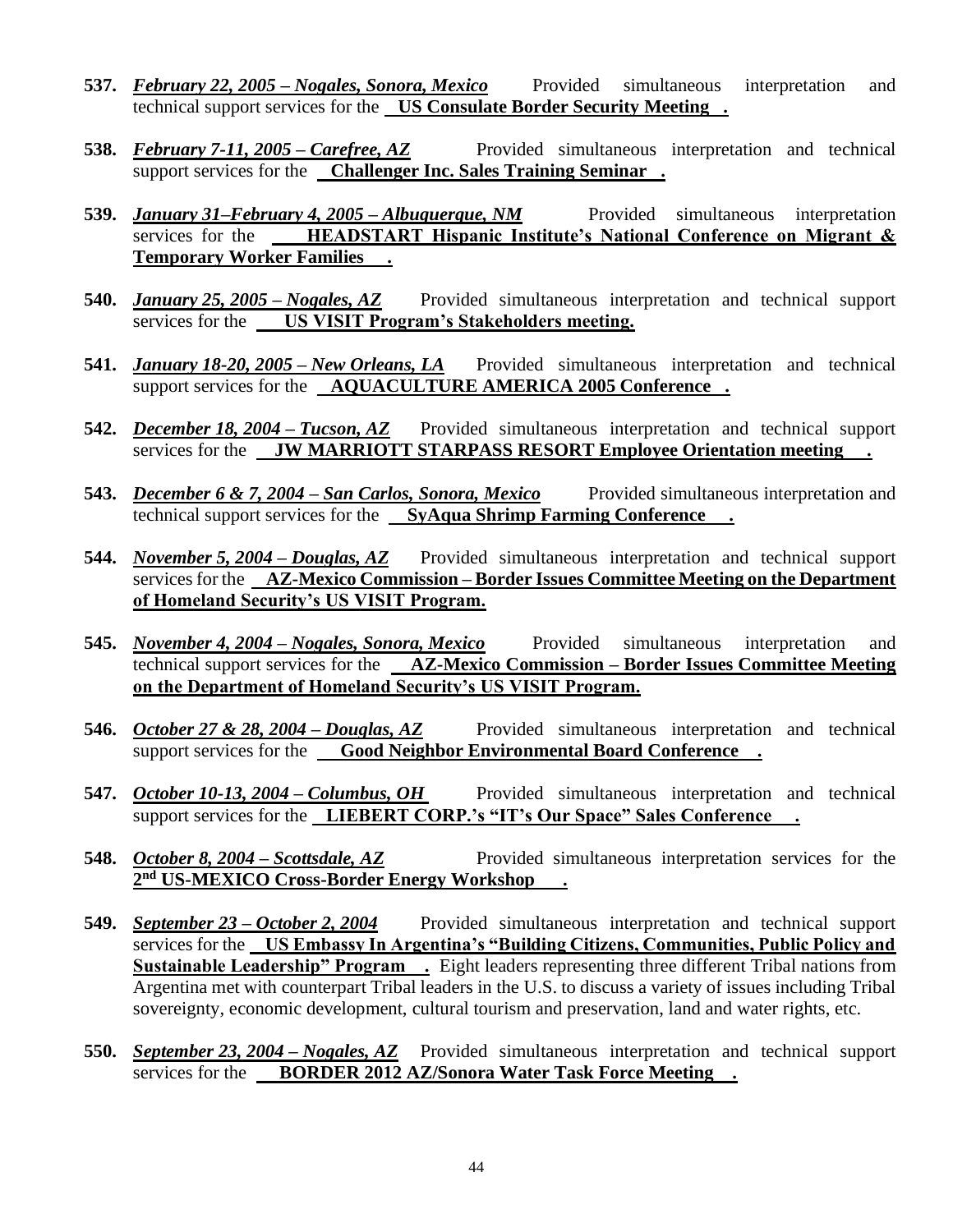- **537.** *February 22, 2005 – Nogales, Sonora, Mexico* Provided simultaneous interpretation and technical support services for the **US Consulate Border Security Meeting .**
- **538.** *February 7-11, 2005 – Carefree, AZ* Provided simultaneous interpretation and technical support services for the **Challenger Inc. Sales Training Seminar .**
- **539.** *January 31–February 4, 2005 – Albuquerque, NM* Provided simultaneous interpretation services for the **HEADSTART Hispanic Institute's National Conference on Migrant & Temporary Worker Families .**
- **540.** *January 25, 2005 – Nogales, AZ* Provided simultaneous interpretation and technical support services for the **US VISIT Program's Stakeholders meeting.**
- **541.** *January 18-20, 2005 – New Orleans, LA* Provided simultaneous interpretation and technical support services for the **AQUACULTURE AMERICA 2005 Conference .**
- **542.** *December 18, 2004 – Tucson, AZ* Provided simultaneous interpretation and technical support services for the **JW MARRIOTT STARPASS RESORT Employee Orientation meeting .**
- **543.** *December 6 & 7, 2004 – San Carlos, Sonora, Mexico* Provided simultaneous interpretation and technical support services for the **SyAqua Shrimp Farming Conference .**
- **544.** *November 5, 2004 – Douglas, AZ* Provided simultaneous interpretation and technical support services for the **AZ-Mexico Commission – Border Issues Committee Meeting on the Department of Homeland Security's US VISIT Program.**
- **545.** *November 4, 2004 – Nogales, Sonora, Mexico* Provided simultaneous interpretation and technical support services for the **AZ-Mexico Commission – Border Issues Committee Meeting on the Department of Homeland Security's US VISIT Program.**
- **546.** *October 27 & 28, 2004 – Douglas, AZ* Provided simultaneous interpretation and technical support services for the **Good Neighbor Environmental Board Conference**.
- **547.** *October 10-13, 2004 Columbus, OH* Provided simultaneous interpretation and technical support services for the **LIEBERT CORP.'s "IT's Our Space" Sales Conference .**
- **548.** *October 8, 2004 – Scottsdale, AZ* Provided simultaneous interpretation services for the **2 nd US-MEXICO Cross-Border Energy Workshop .**
- **549.** *September 23 – October 2, 2004* Provided simultaneous interpretation and technical support services for the **US Embassy In Argentina's "Building Citizens, Communities, Public Policy and Sustainable Leadership" Program .** Eight leaders representing three different Tribal nations from Argentina met with counterpart Tribal leaders in the U.S. to discuss a variety of issues including Tribal sovereignty, economic development, cultural tourism and preservation, land and water rights, etc.
- **550.** *September 23, 2004 – Nogales, AZ* Provided simultaneous interpretation and technical support services for the **BORDER 2012 AZ/Sonora Water Task Force Meeting .**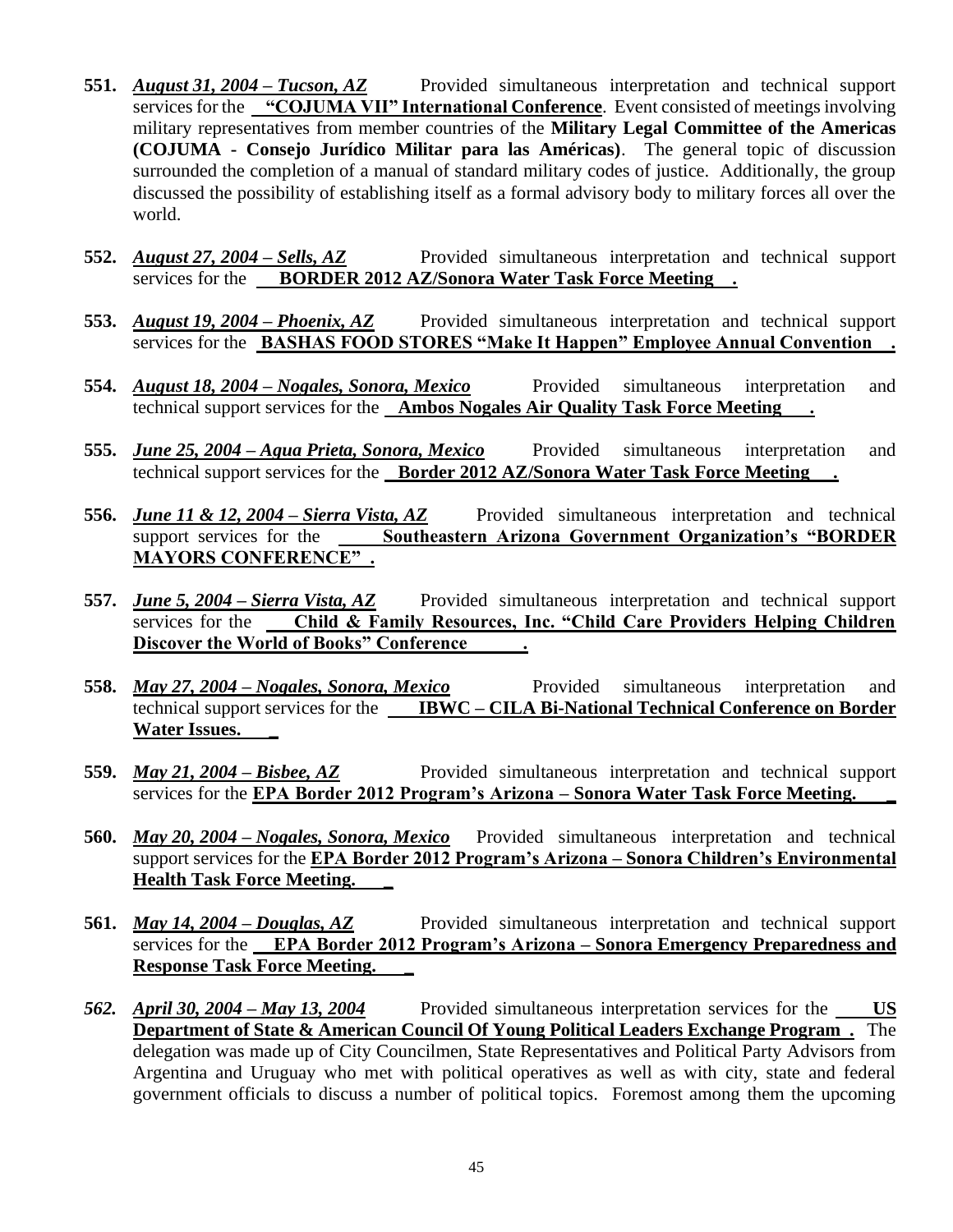- **551.** *August 31, 2004 – Tucson, AZ* Provided simultaneous interpretation and technical support services for the **"COJUMA VII" International Conference**. Event consisted of meetings involving military representatives from member countries of the **Military Legal Committee of the Americas (COJUMA - Consejo Jurídico Militar para las Américas)**. The general topic of discussion surrounded the completion of a manual of standard military codes of justice. Additionally, the group discussed the possibility of establishing itself as a formal advisory body to military forces all over the world.
- **552.** *August 27, 2004 – Sells, AZ* Provided simultaneous interpretation and technical support services for the **BORDER 2012 AZ/Sonora Water Task Force Meeting**.
- **553.** *August 19, 2004 – Phoenix, AZ* Provided simultaneous interpretation and technical support services for the **BASHAS FOOD STORES "Make It Happen" Employee Annual Convention .**
- **554.** *August 18, 2004 – Nogales, Sonora, Mexico* Provided simultaneous interpretation and technical support services for the **Ambos Nogales Air Quality Task Force Meeting .**
- **555.** *June 25, 2004 – Agua Prieta, Sonora, Mexico* Provided simultaneous interpretation and technical support services for the **Border 2012 AZ/Sonora Water Task Force Meeting .**
- **556.** *June 11 & 12, 2004 – Sierra Vista, AZ* Provided simultaneous interpretation and technical support services for the **Southeastern Arizona Government Organization's "BORDER MAYORS CONFERENCE" .**
- **557.** *June 5, 2004 – Sierra Vista, AZ* Provided simultaneous interpretation and technical support services for the **Child & Family Resources, Inc. "Child Care Providers Helping Children Discover the World of Books" Conference .**
- **558.** *May 27, 2004 – Nogales, Sonora, Mexico* Provided simultaneous interpretation and technical support services for the **IBWC – CILA Bi-National Technical Conference on Border Water Issues. \_**
- **559.** *May 21, 2004 – Bisbee, AZ* Provided simultaneous interpretation and technical support services for the **EPA Border 2012 Program's Arizona – Sonora Water Task Force Meeting. \_**
- **560.** *May 20, 2004 – Nogales, Sonora, Mexico* Provided simultaneous interpretation and technical support services for the **EPA Border 2012 Program's Arizona – Sonora Children's Environmental Health Task Force Meeting. \_**
- **561.** *May 14, 2004 – Douglas, AZ* Provided simultaneous interpretation and technical support services for the **EPA Border 2012 Program's Arizona – Sonora Emergency Preparedness and Response Task Force Meeting. \_**
- *562. April 30, 2004 – May 13, 2004* Provided simultaneous interpretation services for the **US Department of State & American Council Of Young Political Leaders Exchange Program .** The delegation was made up of City Councilmen, State Representatives and Political Party Advisors from Argentina and Uruguay who met with political operatives as well as with city, state and federal government officials to discuss a number of political topics. Foremost among them the upcoming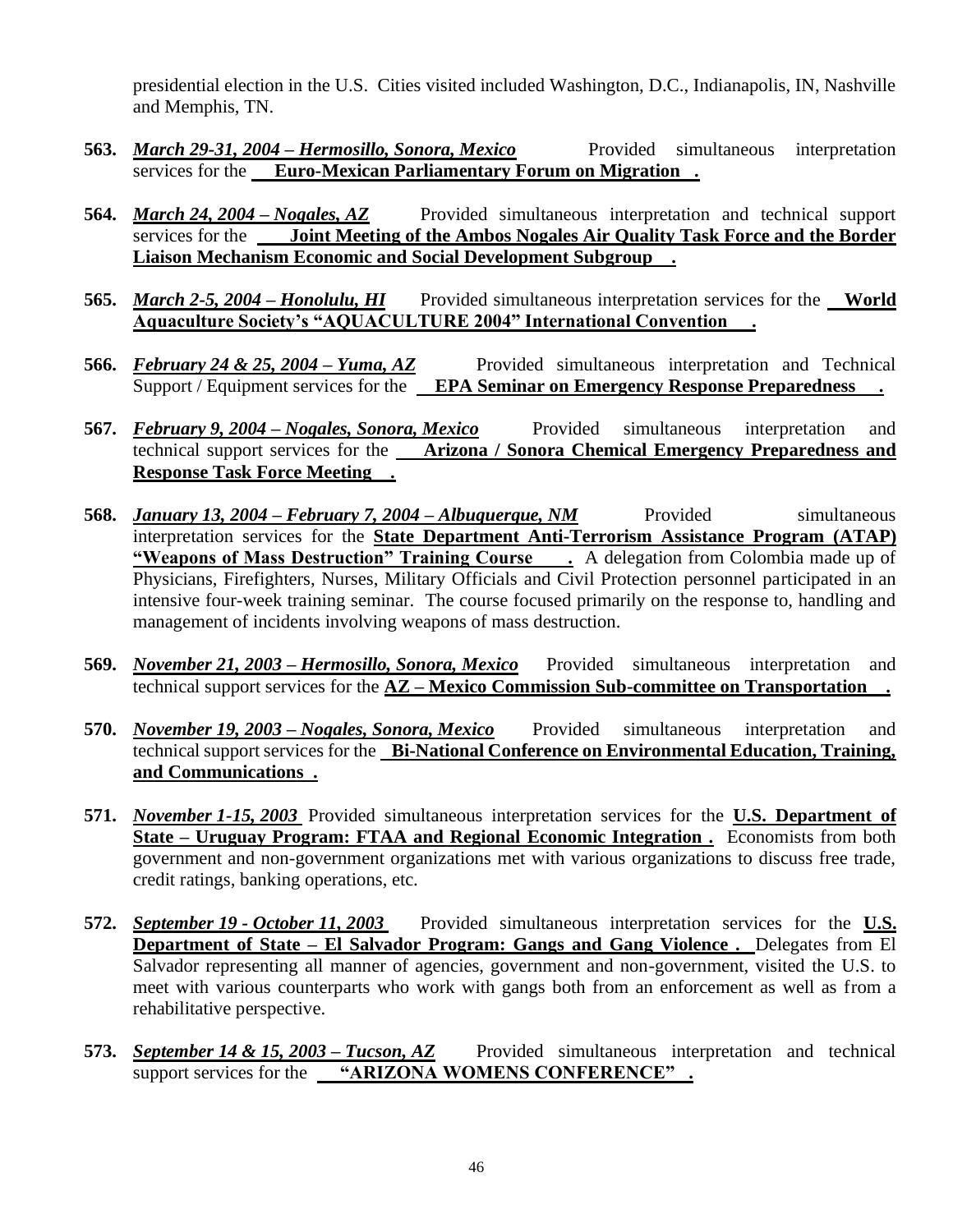presidential election in the U.S. Cities visited included Washington, D.C., Indianapolis, IN, Nashville and Memphis, TN.

- **563.** *March 29-31, 2004 – Hermosillo, Sonora, Mexico* Provided simultaneous interpretation services for the **Euro-Mexican Parliamentary Forum on Migration**.
- **564.** *March 24, 2004 – Nogales, AZ* Provided simultaneous interpretation and technical support services for the **Joint Meeting of the Ambos Nogales Air Quality Task Force and the Border Liaison Mechanism Economic and Social Development Subgroup .**
- **565.** *March 2-5, 2004 – Honolulu, HI* Provided simultaneous interpretation services for the **World Aquaculture Society's "AQUACULTURE 2004" International Convention .**
- **566.** *February 24 & 25, 2004 – Yuma, AZ* Provided simultaneous interpretation and Technical Support / Equipment services for the **EPA Seminar on Emergency Response Preparedness .**
- **567.** *February 9, 2004 – Nogales, Sonora, Mexico* Provided simultaneous interpretation and technical support services for the **Arizona / Sonora Chemical Emergency Preparedness and Response Task Force Meeting .**
- **568.** *January 13, 2004 – February 7, 2004 – Albuquerque, NM* Provided simultaneous interpretation services for the **State Department Anti-Terrorism Assistance Program (ATAP) "Weapons of Mass Destruction" Training Course .** A delegation from Colombia made up of Physicians, Firefighters, Nurses, Military Officials and Civil Protection personnel participated in an intensive four-week training seminar. The course focused primarily on the response to, handling and management of incidents involving weapons of mass destruction.
- **569.** *November 21, 2003 – Hermosillo, Sonora, Mexico* Provided simultaneous interpretation and technical support services for the **AZ – Mexico Commission Sub-committee on Transportation .**
- **570.** *November 19, 2003 – Nogales, Sonora, Mexico* Provided simultaneous interpretation and technical support services for the **Bi-National Conference on Environmental Education, Training, and Communications .**
- **571.** *November 1-15, 2003* Provided simultaneous interpretation services for the **U.S. Department of State – Uruguay Program: FTAA and Regional Economic Integration .** Economists from both government and non-government organizations met with various organizations to discuss free trade, credit ratings, banking operations, etc.
- **572.** *September 19 - October 11, 2003* Provided simultaneous interpretation services for the **U.S. Department of State – El Salvador Program: Gangs and Gang Violence .** Delegates from El Salvador representing all manner of agencies, government and non-government, visited the U.S. to meet with various counterparts who work with gangs both from an enforcement as well as from a rehabilitative perspective.
- **573.** *September 14 & 15, 2003 – Tucson, AZ* Provided simultaneous interpretation and technical support services for the **"ARIZONA WOMENS CONFERENCE" .**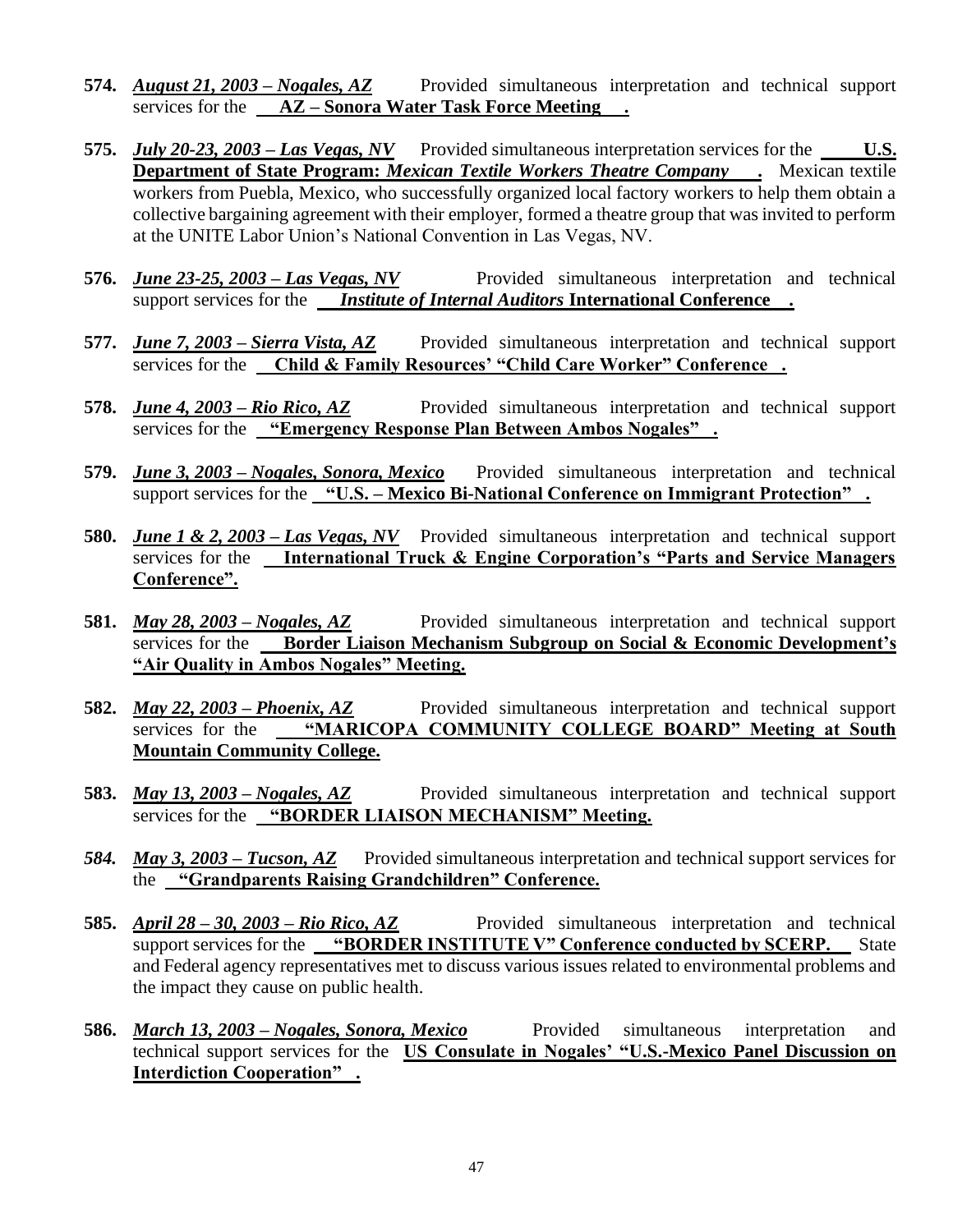- **574.** *August 21, 2003 – Nogales, AZ* Provided simultaneous interpretation and technical support services for the **AZ – Sonora Water Task Force Meeting .**
- **575.** *July 20-23, 2003 – Las Vegas, NV* Provided simultaneous interpretation services for the **U.S. Department of State Program:** *Mexican Textile Workers Theatre Company* **.** Mexican textile workers from Puebla, Mexico, who successfully organized local factory workers to help them obtain a collective bargaining agreement with their employer, formed a theatre group that was invited to perform at the UNITE Labor Union's National Convention in Las Vegas, NV.
- 576. *June 23-25, 2003 Las Vegas, NV* Provided simultaneous interpretation and technical support services for the *Institute of Internal Auditors* **International Conference .**
- **577.** *June 7, 2003 – Sierra Vista, AZ* Provided simultaneous interpretation and technical support services for the **Child & Family Resources' "Child Care Worker" Conference .**
- **578.** *June 4, 2003 – Rio Rico, AZ* Provided simultaneous interpretation and technical support services for the **"Emergency Response Plan Between Ambos Nogales" .**
- **579.** *June 3, 2003 – Nogales, Sonora, Mexico* Provided simultaneous interpretation and technical support services for the **"U.S. – Mexico Bi-National Conference on Immigrant Protection" .**
- **580.** *June 1 & 2, 2003 – Las Vegas, NV* Provided simultaneous interpretation and technical support services for the **International Truck & Engine Corporation's "Parts and Service Managers Conference".**
- **581.** *May 28, 2003 – Nogales, AZ* Provided simultaneous interpretation and technical support services for the **Border Liaison Mechanism Subgroup on Social & Economic Development's "Air Quality in Ambos Nogales" Meeting.**
- **582.** *May 22, 2003 – Phoenix, AZ* Provided simultaneous interpretation and technical support services for the **"MARICOPA COMMUNITY COLLEGE BOARD" Meeting at South Mountain Community College.**
- **583.** *May 13, 2003 – Nogales, AZ* Provided simultaneous interpretation and technical support services for the **"BORDER LIAISON MECHANISM" Meeting.**
- *584. May 3, 2003 – Tucson, AZ* Provided simultaneous interpretation and technical support services for the **"Grandparents Raising Grandchildren" Conference.**
- **585.** *April 28 – 30, 2003 – Rio Rico, AZ* Provided simultaneous interpretation and technical support services for the **"BORDER INSTITUTE V"** Conference conducted by **SCERP.** State and Federal agency representatives met to discuss various issues related to environmental problems and the impact they cause on public health.
- **586.** *March 13, 2003 – Nogales, Sonora, Mexico* Provided simultaneous interpretation and technical support services for the **US Consulate in Nogales' "U.S.-Mexico Panel Discussion on Interdiction Cooperation" .**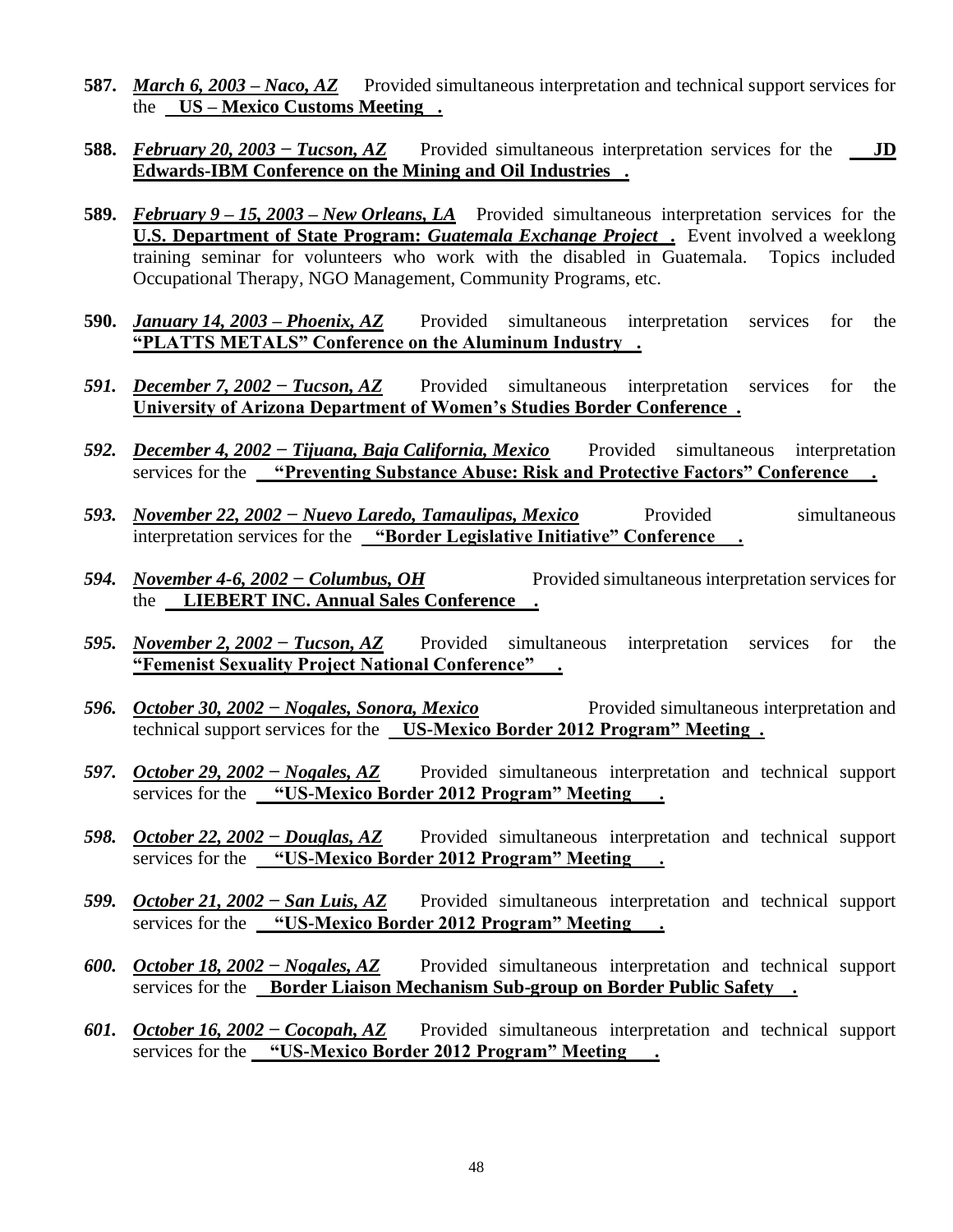- **587.** *March 6, 2003 – Naco, AZ* Provided simultaneous interpretation and technical support services for the **US – Mexico Customs Meeting .**
- **588.** *February 20, 2003 − Tucson, AZ* Provided simultaneous interpretation services for the **JD Edwards-IBM Conference on the Mining and Oil Industries .**
- **589.** *February 9 – 15, 2003 – New Orleans, LA* Provided simultaneous interpretation services for the **<u>U.S. Department of State Program:** *Guatemala Exchange Project* . Event involved a weeklong</u> training seminar for volunteers who work with the disabled in Guatemala. Topics included Occupational Therapy, NGO Management, Community Programs, etc.
- **590.** *January 14, 2003 – Phoenix, AZ* Provided simultaneous interpretation services for the **"PLATTS METALS" Conference on the Aluminum Industry .**
- *591. December 7, 2002 − Tucson, AZ* Provided simultaneous interpretation services for the **University of Arizona Department of Women's Studies Border Conference .**
- *592. December 4, 2002 − Tijuana, Baja California, Mexico* Provided simultaneous interpretation services for the **"Preventing Substance Abuse: Risk and Protective Factors" Conference .**
- *593. November 22, 2002 − Nuevo Laredo, Tamaulipas, Mexico* Provided simultaneous interpretation services for the **"Border Legislative Initiative" Conference .**
- *594. November 4-6, 2002 − Columbus, OH* Provided simultaneous interpretation services for the **LIEBERT INC. Annual Sales Conference .**
- *595. November 2, 2002 − Tucson, AZ* Provided simultaneous interpretation services for the **"Femenist Sexuality Project National Conference" .**
- *596. October 30, 2002 − Nogales, Sonora, Mexico* Provided simultaneous interpretation and technical support services for the **US-Mexico Border 2012 Program" Meeting .**
- *597. October 29, 2002 − Nogales, AZ* Provided simultaneous interpretation and technical support services for the **"US-Mexico Border 2012 Program" Meeting .**
- *598. October 22, 2002 − Douglas, AZ* Provided simultaneous interpretation and technical support services for the **"US-Mexico Border 2012 Program" Meeting .**
- *599. October 21, 2002 − San Luis, AZ* Provided simultaneous interpretation and technical support services for the **"US-Mexico Border 2012 Program" Meeting .**
- *600. October 18, 2002 − Nogales, AZ* Provided simultaneous interpretation and technical support services for the **Border Liaison Mechanism Sub-group on Border Public Safety .**
- *601. October 16, 2002 − Cocopah, AZ* Provided simultaneous interpretation and technical support services for the **"US-Mexico Border 2012 Program" Meeting .**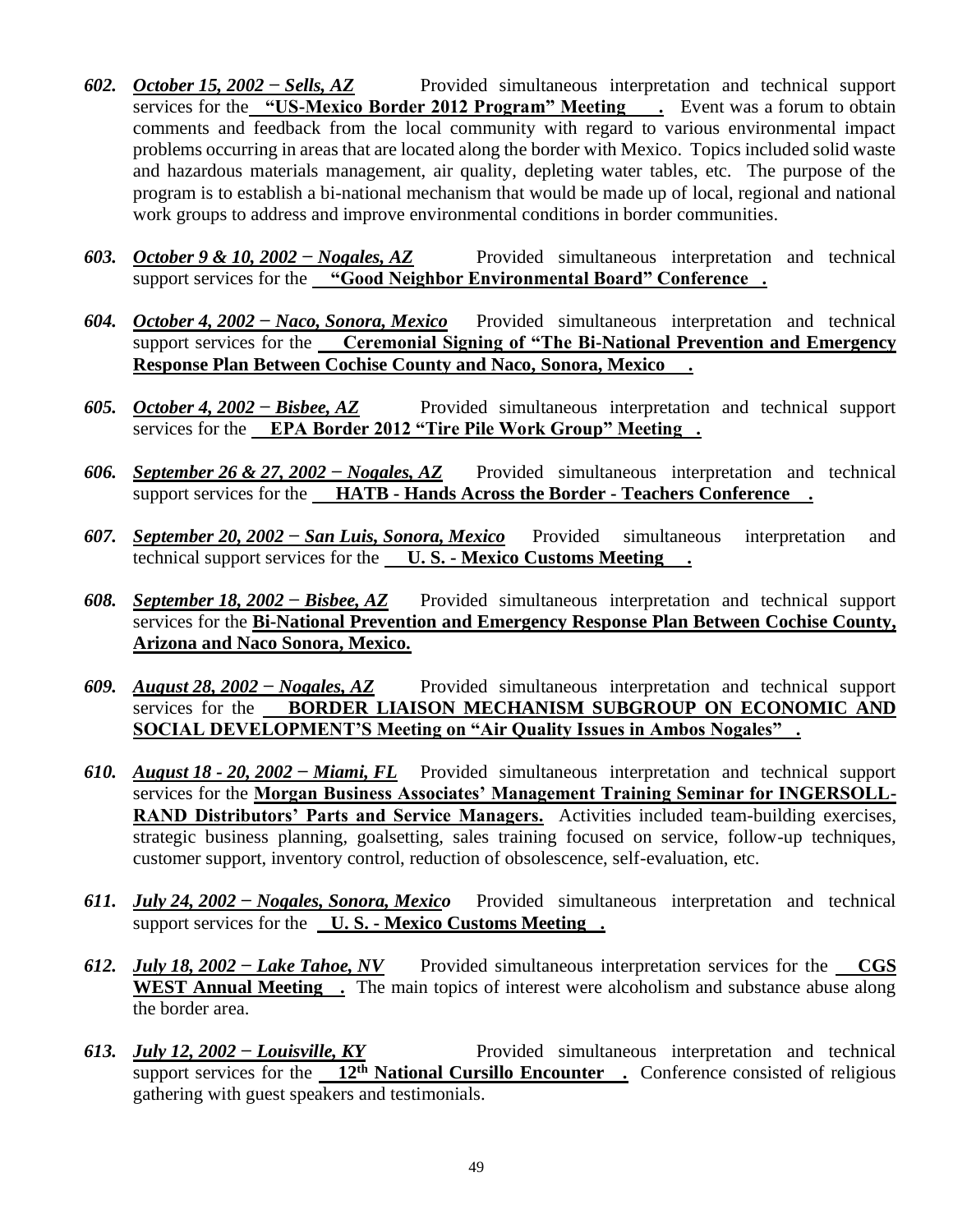- *602. October 15, 2002 − Sells, AZ* Provided simultaneous interpretation and technical support services for the "US-Mexico Border 2012 Program" Meeting . Event was a forum to obtain comments and feedback from the local community with regard to various environmental impact problems occurring in areas that are located along the border with Mexico. Topics included solid waste and hazardous materials management, air quality, depleting water tables, etc. The purpose of the program is to establish a bi-national mechanism that would be made up of local, regional and national work groups to address and improve environmental conditions in border communities.
- *603. October 9 & 10, 2002 − Nogales, AZ* Provided simultaneous interpretation and technical support services for the **"Good Neighbor Environmental Board" Conference.**
- *604. October 4, 2002 − Naco, Sonora, Mexico* Provided simultaneous interpretation and technical support services for the **Ceremonial Signing of "The Bi-National Prevention and Emergency Response Plan Between Cochise County and Naco, Sonora, Mexico .**
- *605. October 4, 2002 − Bisbee, AZ* Provided simultaneous interpretation and technical support services for the **EPA Border 2012 "Tire Pile Work Group" Meeting .**
- *606. September 26 & 27, 2002 − Nogales, AZ* Provided simultaneous interpretation and technical support services for the **HATB - Hands Across the Border - Teachers Conference .**
- *607. September 20, 2002 − San Luis, Sonora, Mexico* Provided simultaneous interpretation and technical support services for the **U. S. - Mexico Customs Meeting .**
- *608. September 18, 2002 − Bisbee, AZ* Provided simultaneous interpretation and technical support services for the **Bi-National Prevention and Emergency Response Plan Between Cochise County, Arizona and Naco Sonora, Mexico.**
- *609. August 28, 2002 − Nogales, AZ* Provided simultaneous interpretation and technical support services for the **BORDER LIAISON MECHANISM SUBGROUP ON ECONOMIC AND SOCIAL DEVELOPMENT'S Meeting on "Air Quality Issues in Ambos Nogales" .**
- *610. August 18 - 20, 2002 − Miami, FL* Provided simultaneous interpretation and technical support services for the **Morgan Business Associates' Management Training Seminar for INGERSOLL-RAND Distributors' Parts and Service Managers.** Activities included team-building exercises, strategic business planning, goalsetting, sales training focused on service, follow-up techniques, customer support, inventory control, reduction of obsolescence, self-evaluation, etc.
- *611. July 24, 2002 − Nogales, Sonora, Mexico* Provided simultaneous interpretation and technical support services for the **U. S. - Mexico Customs Meeting .**
- *612. July 18, 2002 − Lake Tahoe, NV* Provided simultaneous interpretation services for the CGS **WEST Annual Meeting .** The main topics of interest were alcoholism and substance abuse along the border area.
- *613. July 12, 2002 − Louisville, KY* Provided simultaneous interpretation and technical support services for the 12<sup>th</sup> National Cursillo Encounter . Conference consisted of religious gathering with guest speakers and testimonials.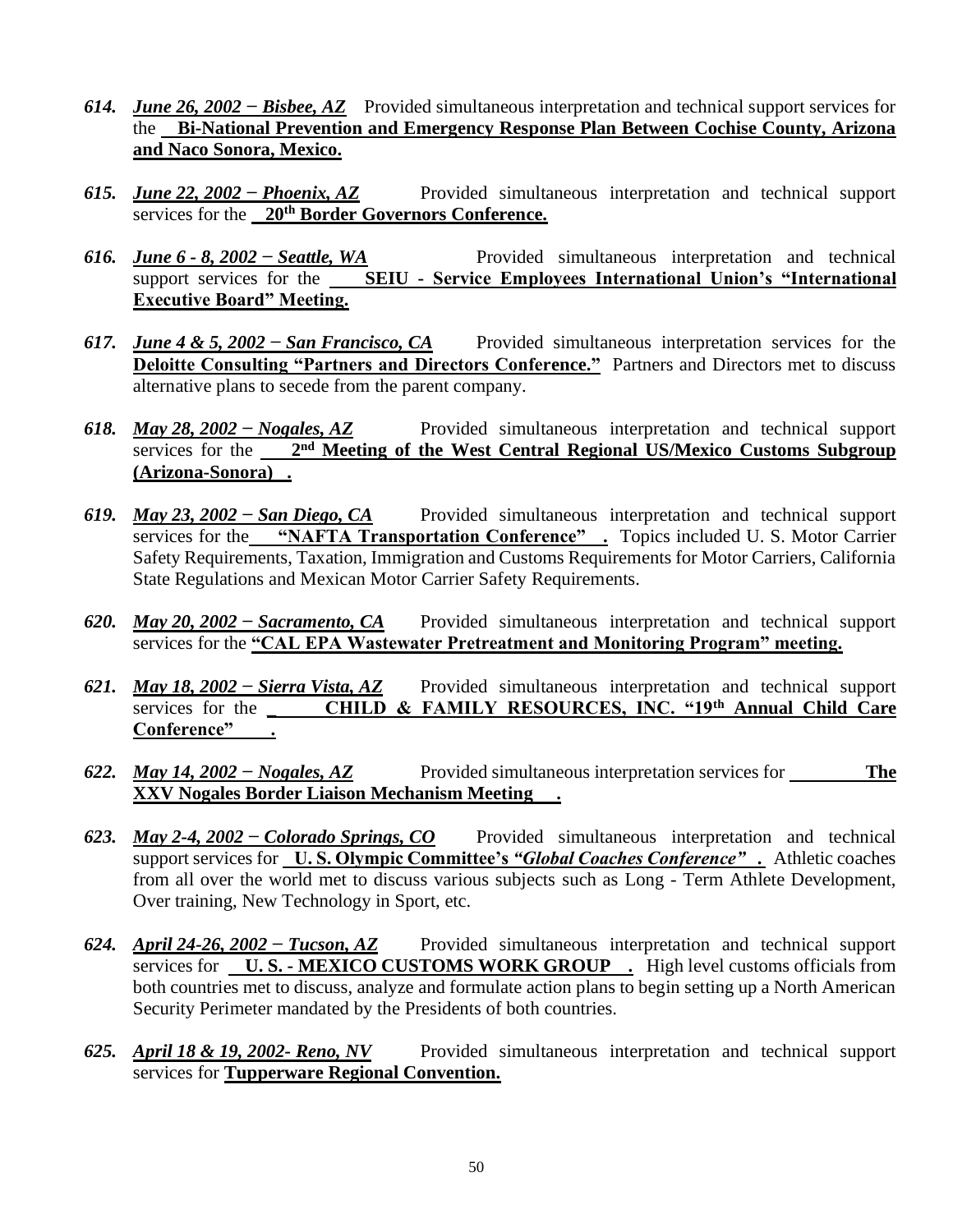- *614. June 26, 2002 − Bisbee, AZ* Provided simultaneous interpretation and technical support services for the **Bi-National Prevention and Emergency Response Plan Between Cochise County, Arizona and Naco Sonora, Mexico.**
- *615. June 22, 2002 − Phoenix, AZ* Provided simultaneous interpretation and technical support services for the **20th Border Governors Conference.**
- *616. June 6 - 8, 2002 − Seattle, WA* Provided simultaneous interpretation and technical support services for the **SEIU - Service Employees International Union's "International Executive Board" Meeting.**
- *617. June 4 & 5, 2002 − San Francisco, CA* Provided simultaneous interpretation services for the **Deloitte Consulting "Partners and Directors Conference."** Partners and Directors met to discuss alternative plans to secede from the parent company.
- *618. May 28, 2002 − Nogales, AZ* Provided simultaneous interpretation and technical support services for the 2<sup>nd</sup> Meeting of the West Central Regional US/Mexico Customs Subgroup **(Arizona-Sonora) .**
- *619. May 23, 2002 − San Diego, CA* Provided simultaneous interpretation and technical support services for the **"NAFTA Transportation Conference"** . Topics included U.S. Motor Carrier Safety Requirements, Taxation, Immigration and Customs Requirements for Motor Carriers, California State Regulations and Mexican Motor Carrier Safety Requirements.
- *620. May 20, 2002 − Sacramento, CA* Provided simultaneous interpretation and technical support services for the **"CAL EPA Wastewater Pretreatment and Monitoring Program" meeting.**
- *621. May 18, 2002 − Sierra Vista, AZ* Provided simultaneous interpretation and technical support services for the \_ **CHILD & FAMILY RESOURCES, INC. "19th Annual Child Care Conference" .**
- *622. May 14, 2002 − Nogales, AZ* Provided simultaneous interpretation services for **The XXV Nogales Border Liaison Mechanism Meeting .**
- *623. May 2-4, 2002 − Colorado Springs, CO* Provided simultaneous interpretation and technical support services for **U. S. Olympic Committee's** *"Global Coaches Conference"* **.** Athletic coaches from all over the world met to discuss various subjects such as Long - Term Athlete Development, Over training, New Technology in Sport, etc.
- *624. April 24-26, 2002 − Tucson, AZ* Provided simultaneous interpretation and technical support services for **U. S. - MEXICO CUSTOMS WORK GROUP .** High level customs officials from both countries met to discuss, analyze and formulate action plans to begin setting up a North American Security Perimeter mandated by the Presidents of both countries.
- *625. April 18 & 19, 2002- Reno, NV* Provided simultaneous interpretation and technical support services for **Tupperware Regional Convention.**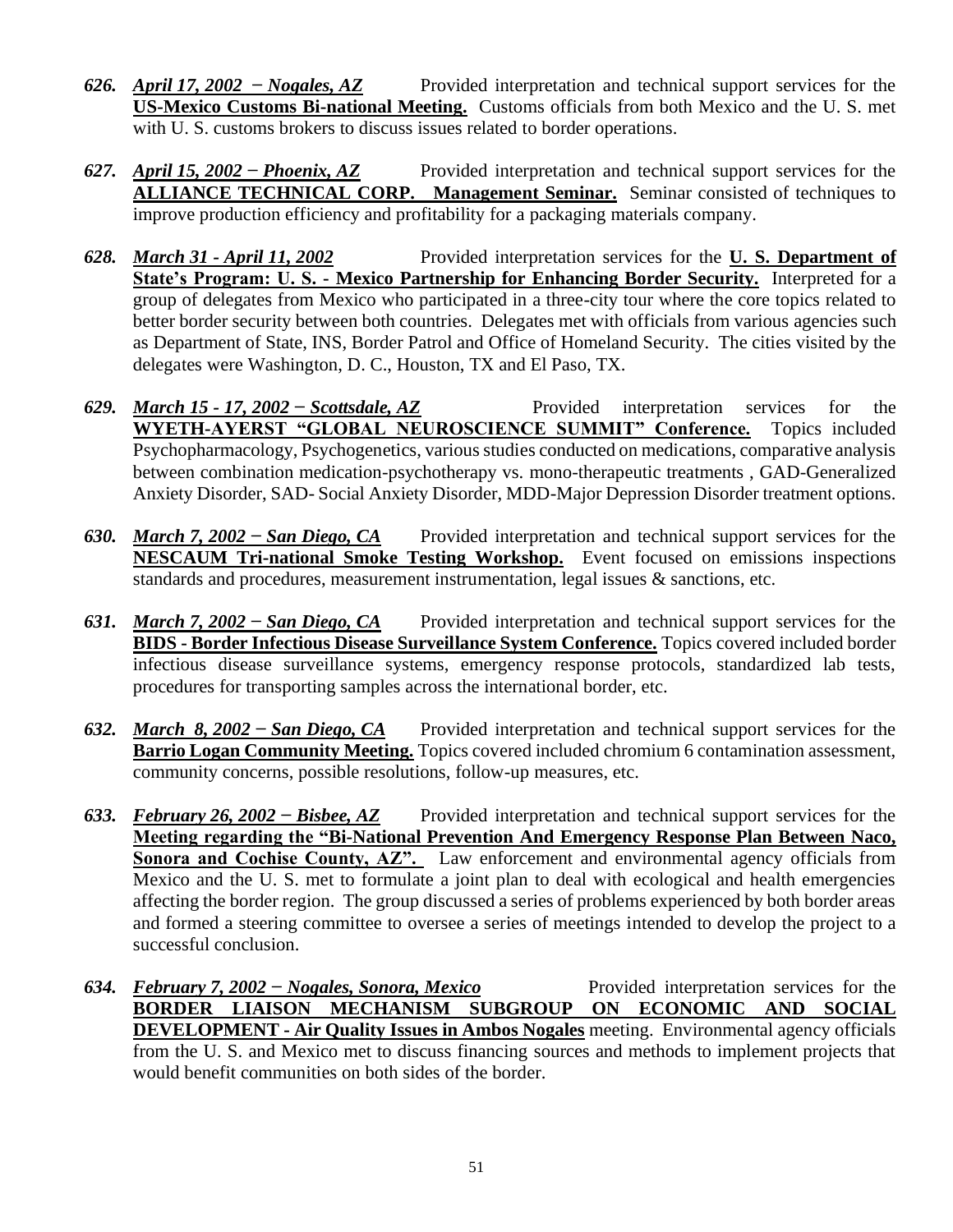- *626. April 17, 2002 − Nogales, AZ* Provided interpretation and technical support services for the **US-Mexico Customs Bi-national Meeting.** Customs officials from both Mexico and the U. S. met with U. S. customs brokers to discuss issues related to border operations.
- *627. April 15, 2002 − Phoenix, AZ* Provided interpretation and technical support services for the **ALLIANCE TECHNICAL CORP. Management Seminar.** Seminar consisted of techniques to improve production efficiency and profitability for a packaging materials company.
- *628. March 31 - April 11, 2002* Provided interpretation services for the **U. S. Department of State's Program: U. S. - Mexico Partnership for Enhancing Border Security.** Interpreted for a group of delegates from Mexico who participated in a three-city tour where the core topics related to better border security between both countries. Delegates met with officials from various agencies such as Department of State, INS, Border Patrol and Office of Homeland Security. The cities visited by the delegates were Washington, D. C., Houston, TX and El Paso, TX.
- *629. March 15 - 17, 2002 − Scottsdale, AZ* Provided interpretation services for the **WYETH-AYERST "GLOBAL NEUROSCIENCE SUMMIT" Conference.** Topics included Psychopharmacology, Psychogenetics, various studies conducted on medications, comparative analysis between combination medication-psychotherapy vs. mono-therapeutic treatments , GAD-Generalized Anxiety Disorder, SAD- Social Anxiety Disorder, MDD-Major Depression Disorder treatment options.
- *630. March 7, 2002 − San Diego, CA* Provided interpretation and technical support services for the **NESCAUM Tri-national Smoke Testing Workshop.** Event focused on emissions inspections standards and procedures, measurement instrumentation, legal issues & sanctions, etc.
- *631. March 7, 2002 − San Diego, CA* Provided interpretation and technical support services for the **BIDS - Border Infectious Disease Surveillance System Conference.** Topics covered included border infectious disease surveillance systems, emergency response protocols, standardized lab tests, procedures for transporting samples across the international border, etc.
- *632. March 8, 2002 − San Diego, CA* Provided interpretation and technical support services for the **Barrio Logan Community Meeting.** Topics covered included chromium 6 contamination assessment, community concerns, possible resolutions, follow-up measures, etc.
- *633. February 26, 2002 − Bisbee, AZ* Provided interpretation and technical support services for the **Meeting regarding the "Bi-National Prevention And Emergency Response Plan Between Naco, Sonora and Cochise County, AZ".** Law enforcement and environmental agency officials from Mexico and the U. S. met to formulate a joint plan to deal with ecological and health emergencies affecting the border region. The group discussed a series of problems experienced by both border areas and formed a steering committee to oversee a series of meetings intended to develop the project to a successful conclusion.
- *634. February 7, 2002 − Nogales, Sonora, Mexico* Provided interpretation services for the **BORDER LIAISON MECHANISM SUBGROUP ON ECONOMIC AND SOCIAL DEVELOPMENT - Air Quality Issues in Ambos Nogales** meeting. Environmental agency officials from the U. S. and Mexico met to discuss financing sources and methods to implement projects that would benefit communities on both sides of the border.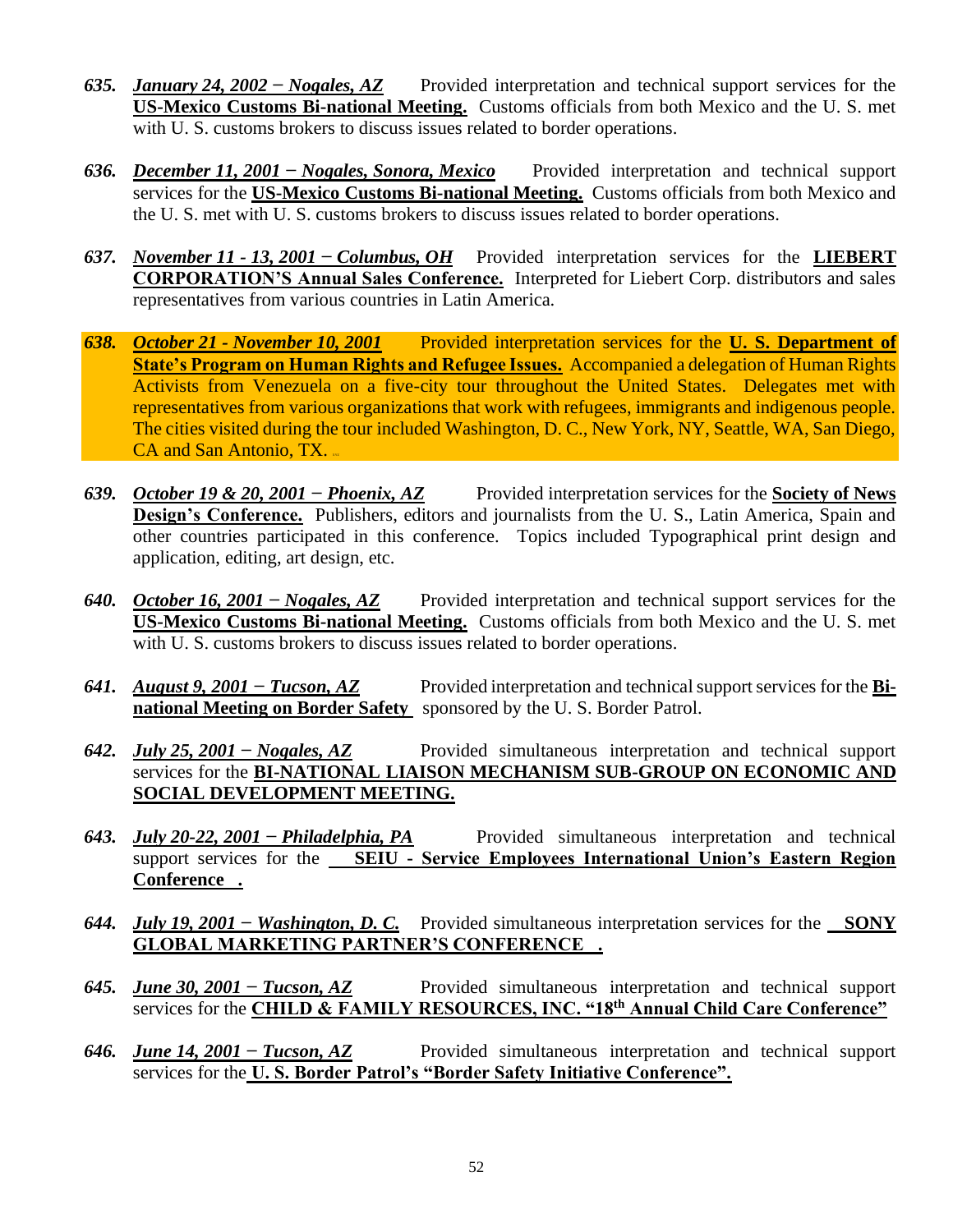- *635. January 24, 2002 − Nogales, AZ* Provided interpretation and technical support services for the **US-Mexico Customs Bi-national Meeting.** Customs officials from both Mexico and the U. S. met with U. S. customs brokers to discuss issues related to border operations.
- *636. December 11, 2001 − Nogales, Sonora, Mexico* Provided interpretation and technical support services for the **US-Mexico Customs Bi-national Meeting.** Customs officials from both Mexico and the U. S. met with U. S. customs brokers to discuss issues related to border operations.
- *637. November 11 - 13, 2001 − Columbus, OH* Provided interpretation services for the **LIEBERT CORPORATION'S Annual Sales Conference.** Interpreted for Liebert Corp. distributors and sales representatives from various countries in Latin America.
- *638. October 21 - November 10, 2001* Provided interpretation services for the **U. S. Department of State's Program on Human Rights and Refugee Issues.** Accompanied a delegation of Human Rights Activists from Venezuela on a five-city tour throughout the United States. Delegates met with representatives from various organizations that work with refugees, immigrants and indigenous people. The cities visited during the tour included Washington, D. C., New York, NY, Seattle, WA, San Diego,  $CA$  and San Antonio, TX.
- *639. October 19 & 20, 2001 − Phoenix, AZ* Provided interpretation services for the **Society of News Design's Conference.** Publishers, editors and journalists from the U. S., Latin America, Spain and other countries participated in this conference. Topics included Typographical print design and application, editing, art design, etc.
- *640. October 16, 2001 − Nogales, AZ* Provided interpretation and technical support services for the **US-Mexico Customs Bi-national Meeting.** Customs officials from both Mexico and the U. S. met with U. S. customs brokers to discuss issues related to border operations.
- *641. August 9, 2001 − Tucson, AZ* Provided interpretation and technical support services for the **Binational Meeting on Border Safety** sponsored by the U.S. Border Patrol.
- *642. July 25, 2001 − Nogales, AZ* Provided simultaneous interpretation and technical support services for the **BI-NATIONAL LIAISON MECHANISM SUB-GROUP ON ECONOMIC AND SOCIAL DEVELOPMENT MEETING.**
- *643. July 20-22, 2001 − Philadelphia, PA* Provided simultaneous interpretation and technical support services for the **SEIU - Service Employees International Union's Eastern Region Conference .**
- *644. July 19, 2001 − Washington, D. C.* Provided simultaneous interpretation services for the **SONY GLOBAL MARKETING PARTNER'S CONFERENCE .**
- *645. June 30, 2001 − Tucson, AZ* Provided simultaneous interpretation and technical support services for the **CHILD & FAMILY RESOURCES, INC. "18th Annual Child Care Conference"**
- *646. June 14, 2001 − Tucson, AZ* Provided simultaneous interpretation and technical support services for the **U. S. Border Patrol's "Border Safety Initiative Conference".**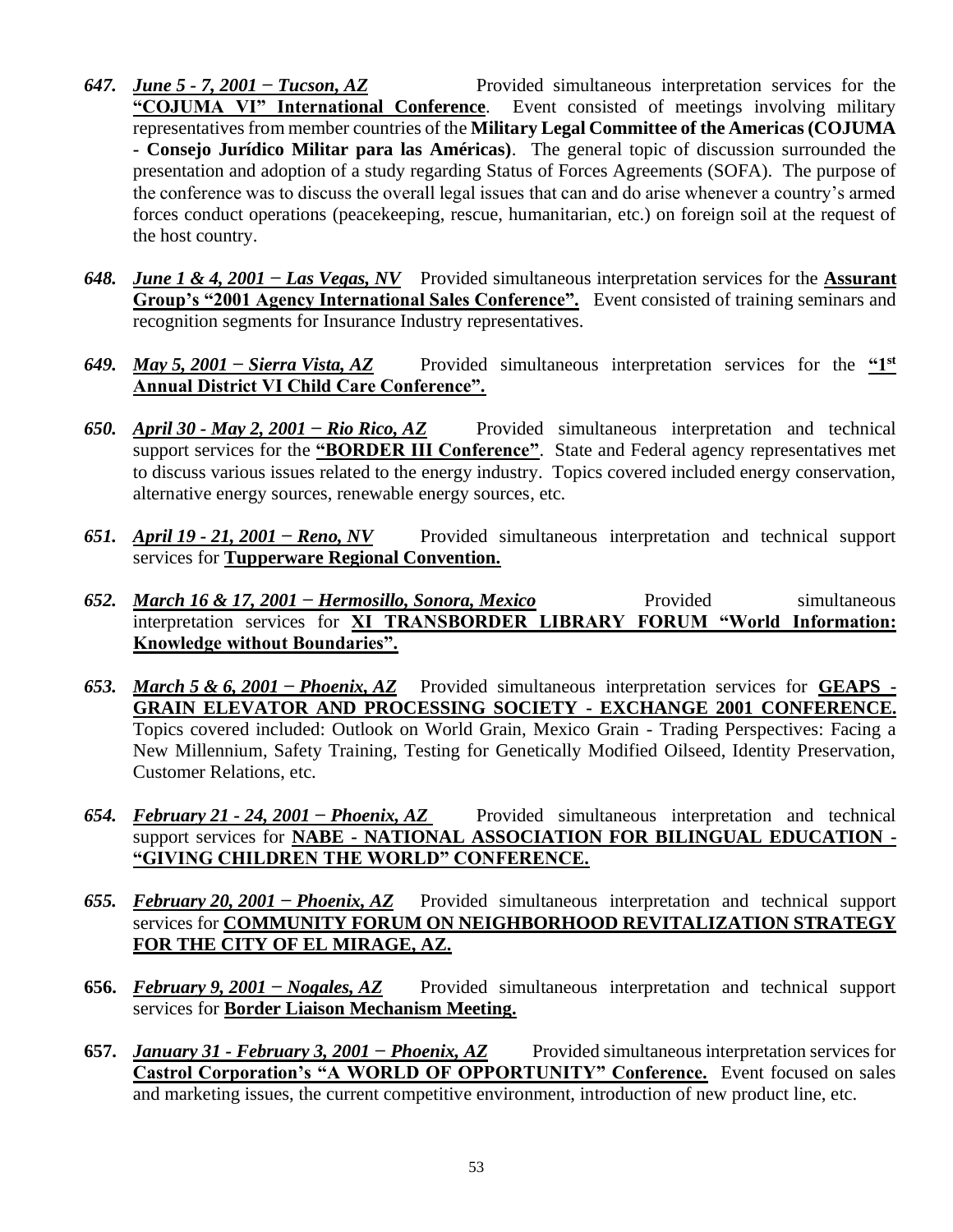- *647. June 5 - 7, 2001 − Tucson, AZ* Provided simultaneous interpretation services for the **"COJUMA VI" International Conference**. Event consisted of meetings involving military representatives from member countries of the **Military Legal Committee of the Americas (COJUMA - Consejo Jurídico Militar para las Américas)**. The general topic of discussion surrounded the presentation and adoption of a study regarding Status of Forces Agreements (SOFA). The purpose of the conference was to discuss the overall legal issues that can and do arise whenever a country's armed forces conduct operations (peacekeeping, rescue, humanitarian, etc.) on foreign soil at the request of the host country.
- *648. June 1 & 4, 2001 − Las Vegas, NV* Provided simultaneous interpretation services for the **Assurant Group's "2001 Agency International Sales Conference".** Event consisted of training seminars and recognition segments for Insurance Industry representatives.
- *649. May 5, 2001 − Sierra Vista, AZ* Provided simultaneous interpretation services for the **"1st Annual District VI Child Care Conference".**
- *650. April 30 - May 2, 2001 − Rio Rico, AZ* Provided simultaneous interpretation and technical support services for the **"BORDER III Conference"**. State and Federal agency representatives met to discuss various issues related to the energy industry. Topics covered included energy conservation, alternative energy sources, renewable energy sources, etc.
- *651. April 19 - 21, 2001 − Reno, NV* Provided simultaneous interpretation and technical support services for **Tupperware Regional Convention.**
- *652. March 16 & 17, 2001 − Hermosillo, Sonora, Mexico* Provided simultaneous interpretation services for **XI TRANSBORDER LIBRARY FORUM "World Information: Knowledge without Boundaries".**
- *653. March 5 & 6, 2001 − Phoenix, AZ* Provided simultaneous interpretation services for **GEAPS - GRAIN ELEVATOR AND PROCESSING SOCIETY - EXCHANGE 2001 CONFERENCE.** Topics covered included: Outlook on World Grain, Mexico Grain - Trading Perspectives: Facing a New Millennium, Safety Training, Testing for Genetically Modified Oilseed, Identity Preservation, Customer Relations, etc.
- *654. February 21 - 24, 2001 − Phoenix, AZ* Provided simultaneous interpretation and technical support services for **NABE - NATIONAL ASSOCIATION FOR BILINGUAL EDUCATION - "GIVING CHILDREN THE WORLD" CONFERENCE.**
- *655. February 20, 2001 − Phoenix, AZ* Provided simultaneous interpretation and technical support services for **COMMUNITY FORUM ON NEIGHBORHOOD REVITALIZATION STRATEGY FOR THE CITY OF EL MIRAGE, AZ.**
- **656.** *February 9, 2001 − Nogales, AZ* Provided simultaneous interpretation and technical support services for **Border Liaison Mechanism Meeting.**
- **657.** *January 31 - February 3, 2001 − Phoenix, AZ* Provided simultaneous interpretation services for **Castrol Corporation's "A WORLD OF OPPORTUNITY" Conference.** Event focused on sales and marketing issues, the current competitive environment, introduction of new product line, etc.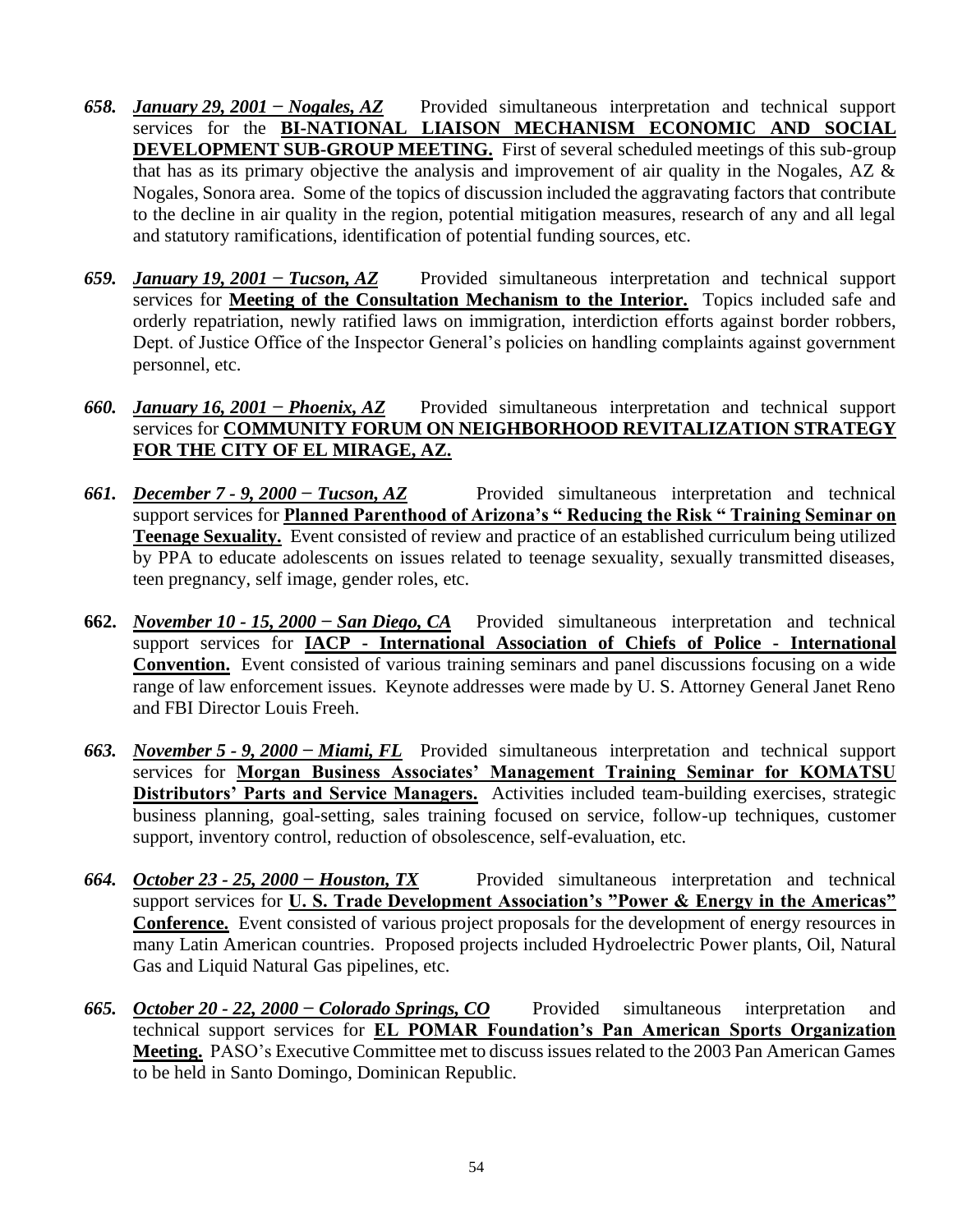- *658. January 29, 2001 − Nogales, AZ* Provided simultaneous interpretation and technical support services for the **BI-NATIONAL LIAISON MECHANISM ECONOMIC AND SOCIAL DEVELOPMENT SUB-GROUP MEETING.** First of several scheduled meetings of this sub-group that has as its primary objective the analysis and improvement of air quality in the Nogales, AZ & Nogales, Sonora area. Some of the topics of discussion included the aggravating factors that contribute to the decline in air quality in the region, potential mitigation measures, research of any and all legal and statutory ramifications, identification of potential funding sources, etc.
- *659. January 19, 2001 − Tucson, AZ* Provided simultaneous interpretation and technical support services for **Meeting of the Consultation Mechanism to the Interior.** Topics included safe and orderly repatriation, newly ratified laws on immigration, interdiction efforts against border robbers, Dept. of Justice Office of the Inspector General's policies on handling complaints against government personnel, etc.
- *660. January 16, 2001 − Phoenix, AZ* Provided simultaneous interpretation and technical support services for **COMMUNITY FORUM ON NEIGHBORHOOD REVITALIZATION STRATEGY FOR THE CITY OF EL MIRAGE, AZ.**
- *661. December 7 - 9, 2000 − Tucson, AZ* Provided simultaneous interpretation and technical support services for **Planned Parenthood of Arizona's " Reducing the Risk " Training Seminar on Teenage Sexuality.** Event consisted of review and practice of an established curriculum being utilized by PPA to educate adolescents on issues related to teenage sexuality, sexually transmitted diseases, teen pregnancy, self image, gender roles, etc.
- **662.** *November 10 - 15, 2000 − San Diego, CA* Provided simultaneous interpretation and technical support services for **IACP - International Association of Chiefs of Police - International Convention.** Event consisted of various training seminars and panel discussions focusing on a wide range of law enforcement issues. Keynote addresses were made by U. S. Attorney General Janet Reno and FBI Director Louis Freeh.
- *663. November 5 - 9, 2000 − Miami, FL* Provided simultaneous interpretation and technical support services for **Morgan Business Associates' Management Training Seminar for KOMATSU Distributors' Parts and Service Managers.** Activities included team-building exercises, strategic business planning, goal-setting, sales training focused on service, follow-up techniques, customer support, inventory control, reduction of obsolescence, self-evaluation, etc.
- *664. October 23 - 25, 2000 − Houston, TX* Provided simultaneous interpretation and technical support services for **U. S. Trade Development Association's "Power & Energy in the Americas" Conference.** Event consisted of various project proposals for the development of energy resources in many Latin American countries. Proposed projects included Hydroelectric Power plants, Oil, Natural Gas and Liquid Natural Gas pipelines, etc.
- *665. October 20 - 22, 2000 − Colorado Springs, CO* Provided simultaneous interpretation and technical support services for **EL POMAR Foundation's Pan American Sports Organization Meeting.** PASO's Executive Committee met to discuss issues related to the 2003 Pan American Games to be held in Santo Domingo, Dominican Republic.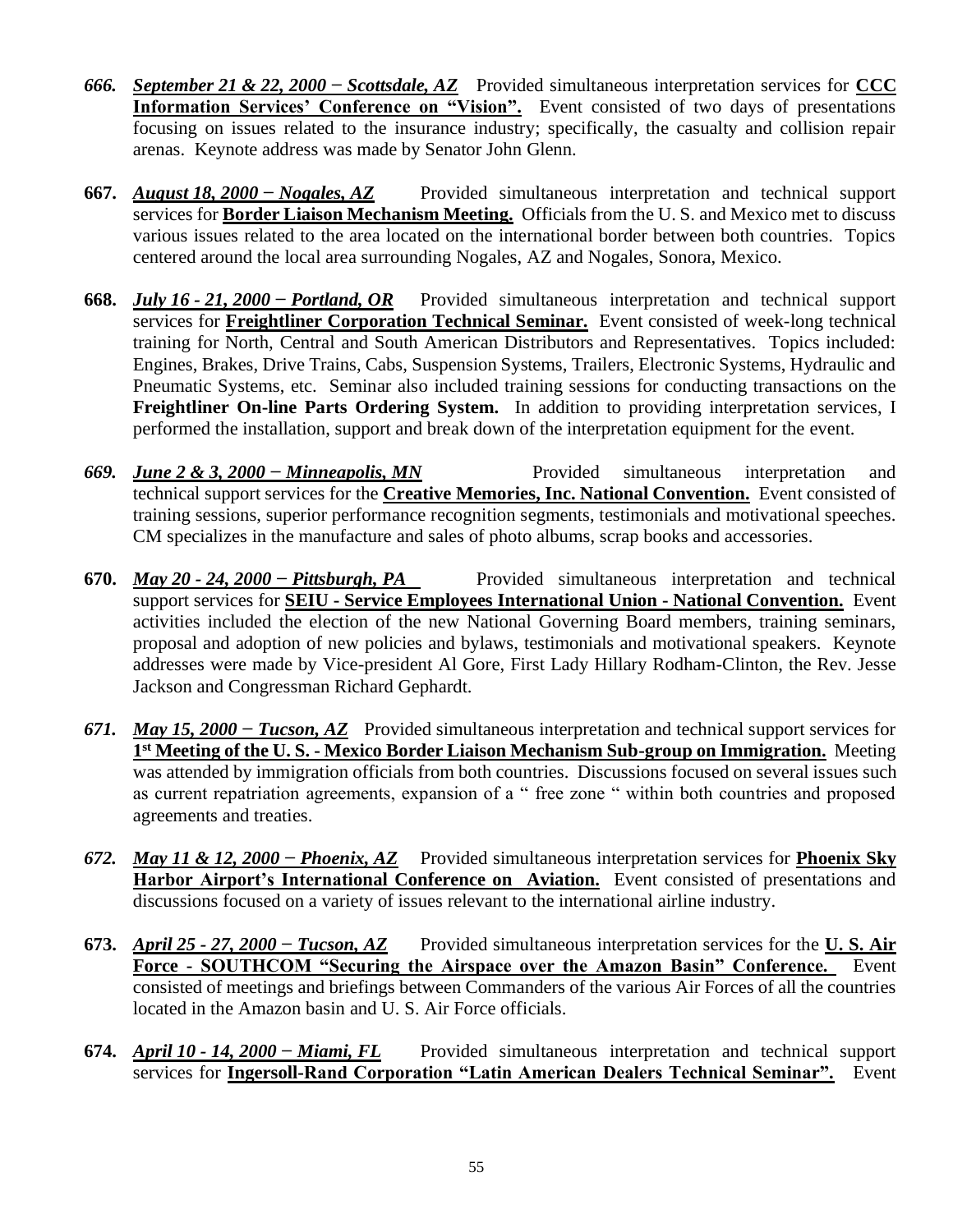- *666. September 21 & 22, 2000 − Scottsdale, AZ* Provided simultaneous interpretation services for **CCC Information Services' Conference on "Vision".** Event consisted of two days of presentations focusing on issues related to the insurance industry; specifically, the casualty and collision repair arenas. Keynote address was made by Senator John Glenn.
- **667.** *August 18, 2000 − Nogales, AZ* Provided simultaneous interpretation and technical support services for **Border Liaison Mechanism Meeting.** Officials from the U. S. and Mexico met to discuss various issues related to the area located on the international border between both countries. Topics centered around the local area surrounding Nogales, AZ and Nogales, Sonora, Mexico.
- **668.** *July 16 - 21, 2000 − Portland, OR* Provided simultaneous interpretation and technical support services for **Freightliner Corporation Technical Seminar.** Event consisted of week-long technical training for North, Central and South American Distributors and Representatives. Topics included: Engines, Brakes, Drive Trains, Cabs, Suspension Systems, Trailers, Electronic Systems, Hydraulic and Pneumatic Systems, etc. Seminar also included training sessions for conducting transactions on the **Freightliner On-line Parts Ordering System.** In addition to providing interpretation services, I performed the installation, support and break down of the interpretation equipment for the event.
- *669. June 2 & 3, 2000 − Minneapolis, MN* Provided simultaneous interpretation and technical support services for the **Creative Memories, Inc. National Convention.** Event consisted of training sessions, superior performance recognition segments, testimonials and motivational speeches. CM specializes in the manufacture and sales of photo albums, scrap books and accessories.
- **670.** *May 20 - 24, 2000 − Pittsburgh, PA* Provided simultaneous interpretation and technical support services for **SEIU - Service Employees International Union - National Convention.** Event activities included the election of the new National Governing Board members, training seminars, proposal and adoption of new policies and bylaws, testimonials and motivational speakers. Keynote addresses were made by Vice-president Al Gore, First Lady Hillary Rodham-Clinton, the Rev. Jesse Jackson and Congressman Richard Gephardt.
- *671. May 15, 2000* − *Tucson, AZ* Provided simultaneous interpretation and technical support services for **1 st Meeting of the U. S. - Mexico Border Liaison Mechanism Sub-group on Immigration.** Meeting was attended by immigration officials from both countries. Discussions focused on several issues such as current repatriation agreements, expansion of a " free zone " within both countries and proposed agreements and treaties.
- *672. May 11 & 12, 2000 − Phoenix, AZ* Provided simultaneous interpretation services for **Phoenix Sky Harbor Airport's International Conference on Aviation.** Event consisted of presentations and discussions focused on a variety of issues relevant to the international airline industry.
- **673.** *April 25 - 27, 2000 − Tucson, AZ* Provided simultaneous interpretation services for the **U. S. Air Force - SOUTHCOM "Securing the Airspace over the Amazon Basin" Conference.** Event consisted of meetings and briefings between Commanders of the various Air Forces of all the countries located in the Amazon basin and U. S. Air Force officials.
- **674.** *April 10 - 14, 2000 − Miami, FL* Provided simultaneous interpretation and technical support services for **Ingersoll-Rand Corporation "Latin American Dealers Technical Seminar".** Event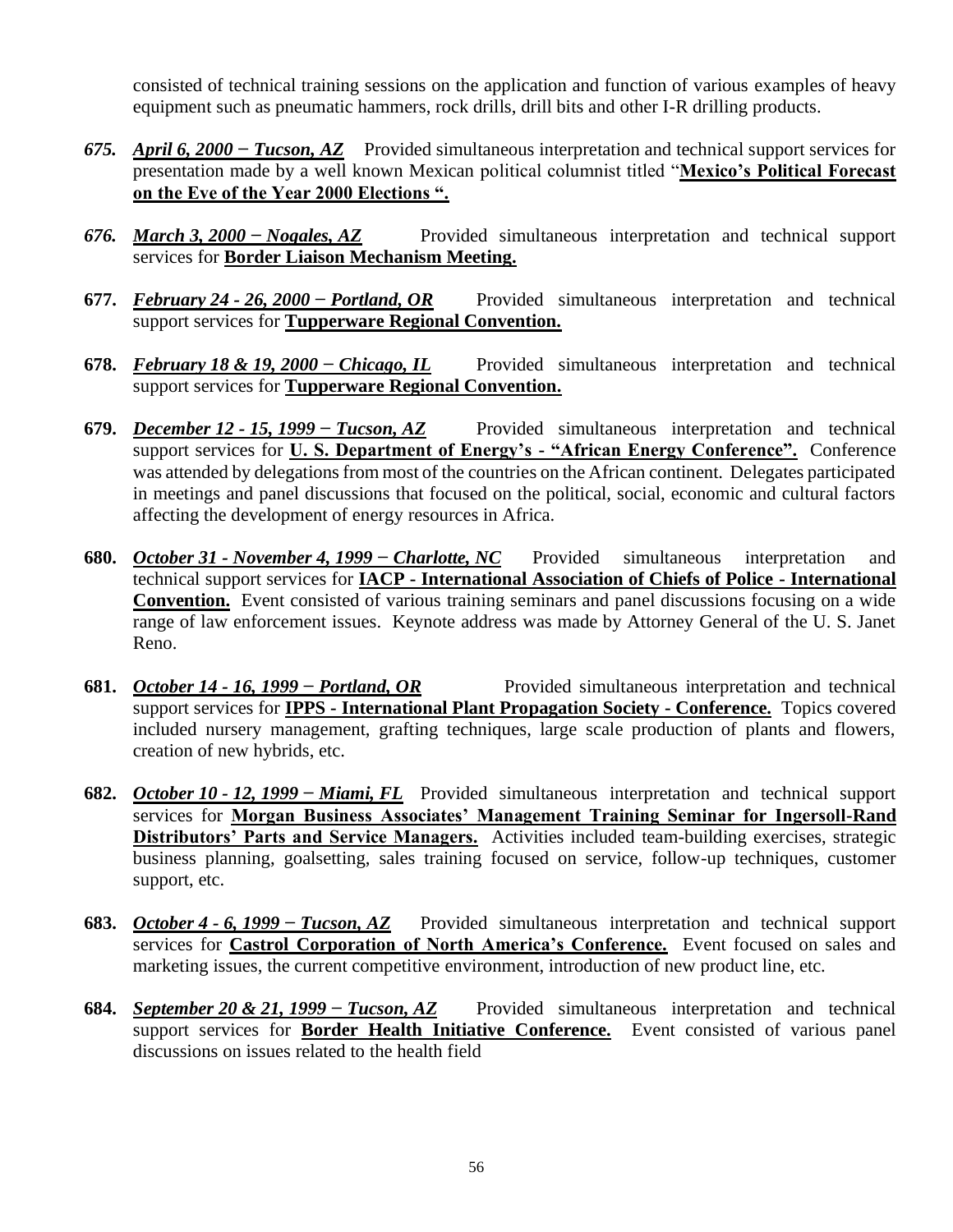consisted of technical training sessions on the application and function of various examples of heavy equipment such as pneumatic hammers, rock drills, drill bits and other I-R drilling products.

- *675. April 6, 2000 − Tucson, AZ* Provided simultaneous interpretation and technical support services for presentation made by a well known Mexican political columnist titled "**Mexico's Political Forecast on the Eve of the Year 2000 Elections ".**
- *676. March 3, 2000 − Nogales, AZ* Provided simultaneous interpretation and technical support services for **Border Liaison Mechanism Meeting.**
- **677.** *February 24 - 26, 2000 − Portland, OR* Provided simultaneous interpretation and technical support services for **Tupperware Regional Convention.**
- **678.** *February 18 & 19, 2000 − Chicago, IL* Provided simultaneous interpretation and technical support services for **Tupperware Regional Convention.**
- **679.** *December 12 - 15, 1999 − Tucson, AZ* Provided simultaneous interpretation and technical support services for **U. S. Department of Energy's - "African Energy Conference".** Conference was attended by delegations from most of the countries on the African continent. Delegates participated in meetings and panel discussions that focused on the political, social, economic and cultural factors affecting the development of energy resources in Africa.
- **680.** *October 31 - November 4, 1999 − Charlotte, NC* Provided simultaneous interpretation and technical support services for **IACP - International Association of Chiefs of Police - International Convention.** Event consisted of various training seminars and panel discussions focusing on a wide range of law enforcement issues. Keynote address was made by Attorney General of the U. S. Janet Reno.
- **681.** *October 14 - 16, 1999 − Portland, OR* Provided simultaneous interpretation and technical support services for **IPPS - International Plant Propagation Society - Conference.** Topics covered included nursery management, grafting techniques, large scale production of plants and flowers, creation of new hybrids, etc.
- **682.** *October 10 - 12, 1999 − Miami, FL* Provided simultaneous interpretation and technical support services for **Morgan Business Associates' Management Training Seminar for Ingersoll-Rand Distributors' Parts and Service Managers.** Activities included team-building exercises, strategic business planning, goalsetting, sales training focused on service, follow-up techniques, customer support, etc.
- **683.** *October 4 - 6, 1999 − Tucson, AZ* Provided simultaneous interpretation and technical support services for **Castrol Corporation of North America's Conference.** Event focused on sales and marketing issues, the current competitive environment, introduction of new product line, etc.
- **684.** *September 20 & 21, 1999 − Tucson, AZ* Provided simultaneous interpretation and technical support services for **Border Health Initiative Conference.** Event consisted of various panel discussions on issues related to the health field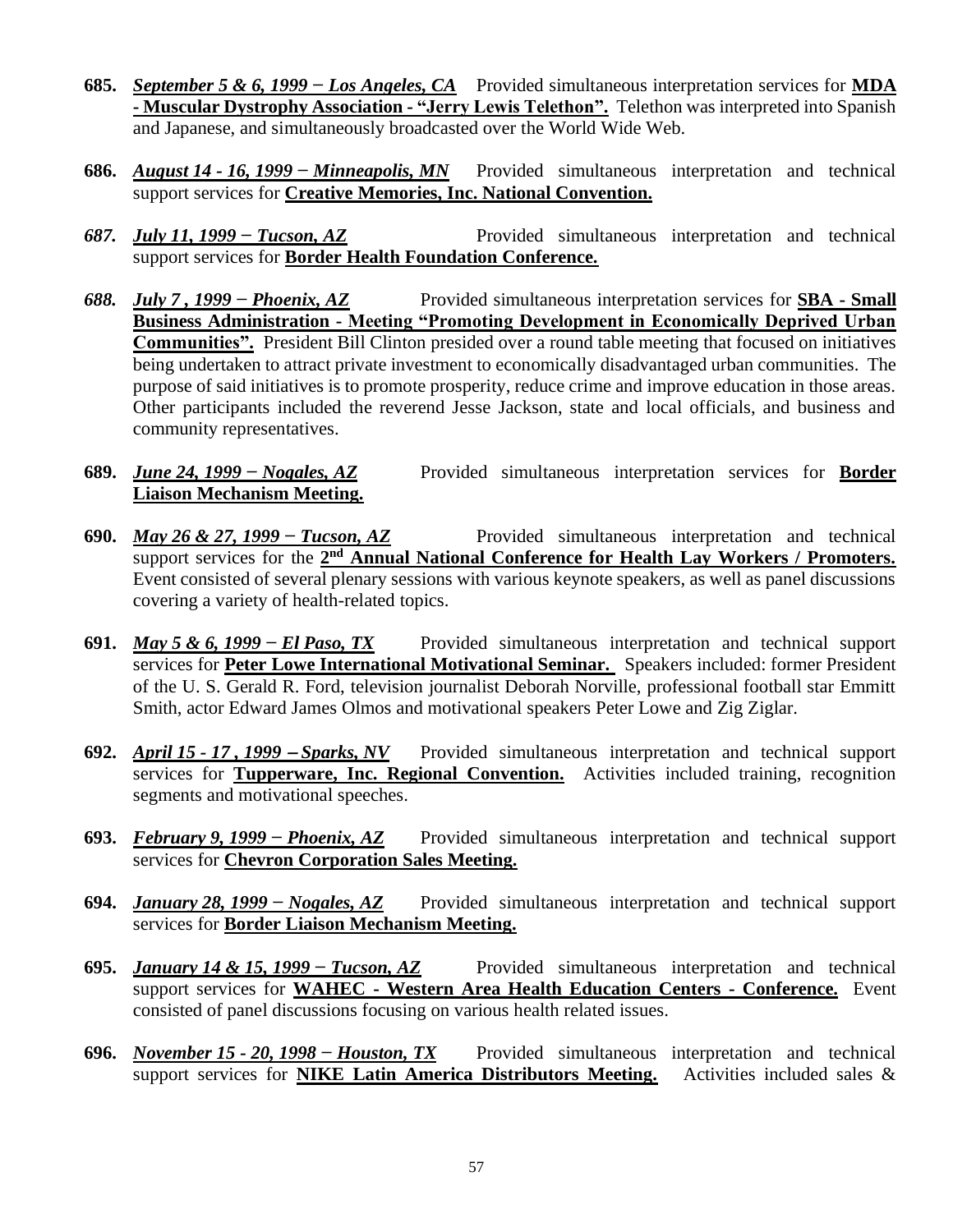- **685.** *September 5 & 6, 1999 − Los Angeles, CA* Provided simultaneous interpretation services for **MDA - Muscular Dystrophy Association - "Jerry Lewis Telethon".** Telethon was interpreted into Spanish and Japanese, and simultaneously broadcasted over the World Wide Web.
- **686.** *August 14 - 16, 1999 − Minneapolis, MN* Provided simultaneous interpretation and technical support services for **Creative Memories, Inc. National Convention.**
- *687. July 11, 1999 − Tucson, AZ* Provided simultaneous interpretation and technical support services for **Border Health Foundation Conference.**
- *688. July 7 , 1999 − Phoenix, AZ* Provided simultaneous interpretation services for **SBA - Small Business Administration - Meeting "Promoting Development in Economically Deprived Urban Communities".** President Bill Clinton presided over a round table meeting that focused on initiatives being undertaken to attract private investment to economically disadvantaged urban communities. The purpose of said initiatives is to promote prosperity, reduce crime and improve education in those areas. Other participants included the reverend Jesse Jackson, state and local officials, and business and community representatives.
- **689.** *June 24, 1999 − Nogales, AZ* Provided simultaneous interpretation services for **Border Liaison Mechanism Meeting.**
- **690.** *May 26 & 27, 1999 − Tucson, AZ* Provided simultaneous interpretation and technical support services for the 2<sup>nd</sup> Annual National Conference for Health Lay Workers / Promoters. Event consisted of several plenary sessions with various keynote speakers, as well as panel discussions covering a variety of health-related topics.
- **691.** *May 5 & 6, 1999 − El Paso, TX* Provided simultaneous interpretation and technical support services for **Peter Lowe International Motivational Seminar.** Speakers included: former President of the U. S. Gerald R. Ford, television journalist Deborah Norville, professional football star Emmitt Smith, actor Edward James Olmos and motivational speakers Peter Lowe and Zig Ziglar.
- **692.** *April 15 - 17 , 1999* <sup>−</sup> *Sparks, NV* Provided simultaneous interpretation and technical support services for **Tupperware, Inc. Regional Convention.** Activities included training, recognition segments and motivational speeches.
- **693.** *February 9, 1999 − Phoenix, AZ* Provided simultaneous interpretation and technical support services for **Chevron Corporation Sales Meeting.**
- **694.** *January 28, 1999 − Nogales, AZ* Provided simultaneous interpretation and technical support services for **Border Liaison Mechanism Meeting.**
- **695.** *January 14 & 15, 1999 − Tucson, AZ* Provided simultaneous interpretation and technical support services for **WAHEC - Western Area Health Education Centers - Conference.** Event consisted of panel discussions focusing on various health related issues.
- **696.** *November 15 - 20, 1998 − Houston, TX* Provided simultaneous interpretation and technical support services for **NIKE Latin America Distributors Meeting.** Activities included sales &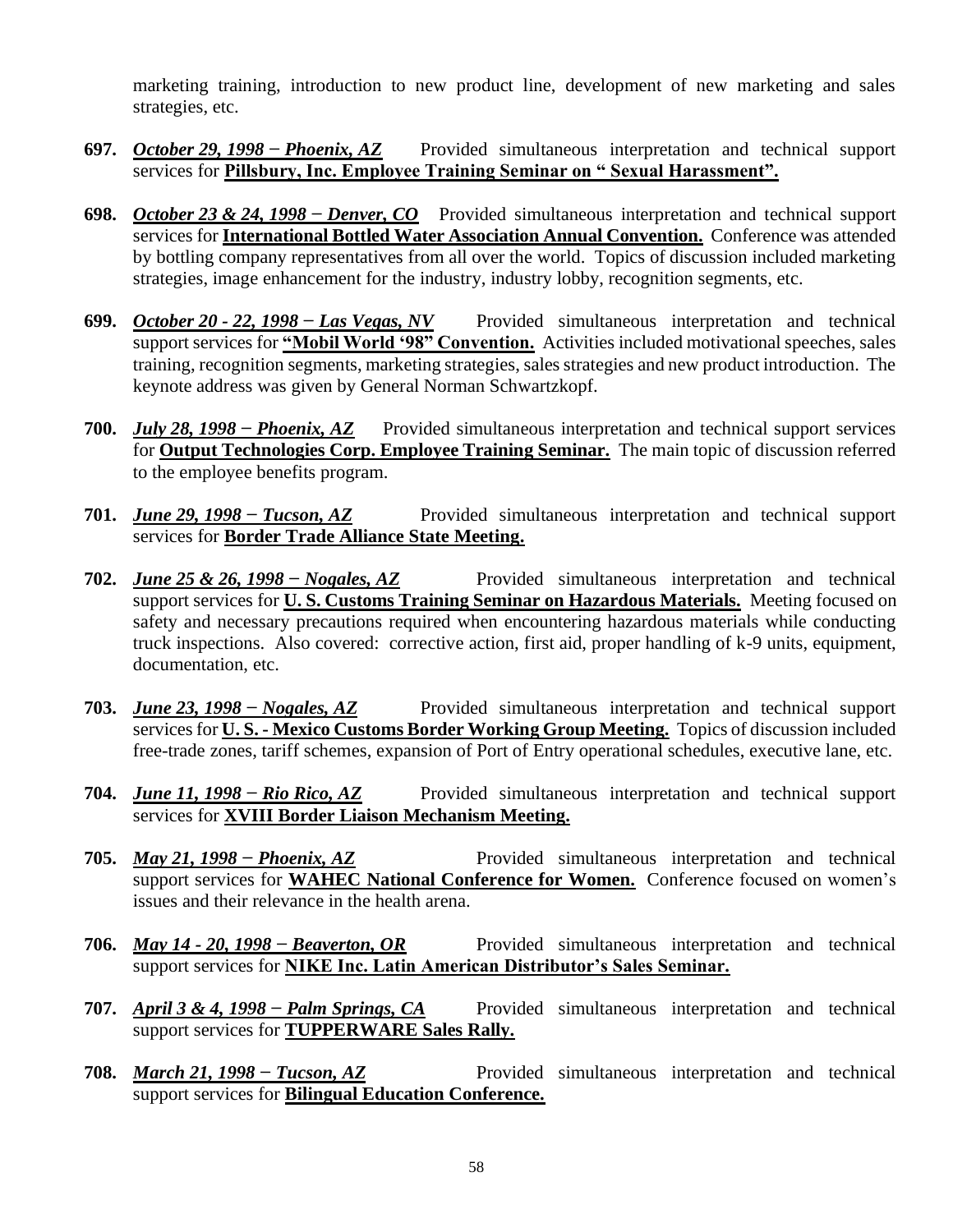marketing training, introduction to new product line, development of new marketing and sales strategies, etc.

- **697.** *October 29, 1998 − Phoenix, AZ* Provided simultaneous interpretation and technical support services for **Pillsbury, Inc. Employee Training Seminar on " Sexual Harassment".**
- **698.** *October 23 & 24, 1998 − Denver, CO* Provided simultaneous interpretation and technical support services for **International Bottled Water Association Annual Convention.** Conference was attended by bottling company representatives from all over the world. Topics of discussion included marketing strategies, image enhancement for the industry, industry lobby, recognition segments, etc.
- **699.** *October 20 - 22, 1998 − Las Vegas, NV* Provided simultaneous interpretation and technical support services for **"Mobil World '98" Convention.** Activities included motivational speeches, sales training, recognition segments, marketing strategies, sales strategies and new product introduction. The keynote address was given by General Norman Schwartzkopf.
- **700.** *July 28, 1998 − Phoenix, AZ* Provided simultaneous interpretation and technical support services for **Output Technologies Corp. Employee Training Seminar.** The main topic of discussion referred to the employee benefits program.
- **701.** *June 29, 1998 − Tucson, AZ* Provided simultaneous interpretation and technical support services for **Border Trade Alliance State Meeting.**
- **702.** *June 25 & 26, 1998 − Nogales, AZ* Provided simultaneous interpretation and technical support services for **U. S. Customs Training Seminar on Hazardous Materials.** Meeting focused on safety and necessary precautions required when encountering hazardous materials while conducting truck inspections. Also covered: corrective action, first aid, proper handling of k-9 units, equipment, documentation, etc.
- **703.** *June 23, 1998 − Nogales, AZ* Provided simultaneous interpretation and technical support services for **U. S. - Mexico Customs Border Working Group Meeting.** Topics of discussion included free-trade zones, tariff schemes, expansion of Port of Entry operational schedules, executive lane, etc.
- **704.** *June 11, 1998 − Rio Rico, AZ* Provided simultaneous interpretation and technical support services for **XVIII Border Liaison Mechanism Meeting.**
- **705.** *May 21, 1998 − Phoenix, AZ* Provided simultaneous interpretation and technical support services for **WAHEC National Conference for Women.** Conference focused on women's issues and their relevance in the health arena.
- **706.** *May 14 - 20, 1998 − Beaverton, OR* Provided simultaneous interpretation and technical support services for **NIKE Inc. Latin American Distributor's Sales Seminar.**
- **707.** *April 3 & 4, 1998 − Palm Springs, CA* Provided simultaneous interpretation and technical support services for **TUPPERWARE Sales Rally.**
- **708.** *March* 21, 1998 − Tucson, AZ Provided simultaneous interpretation and technical support services for **Bilingual Education Conference.**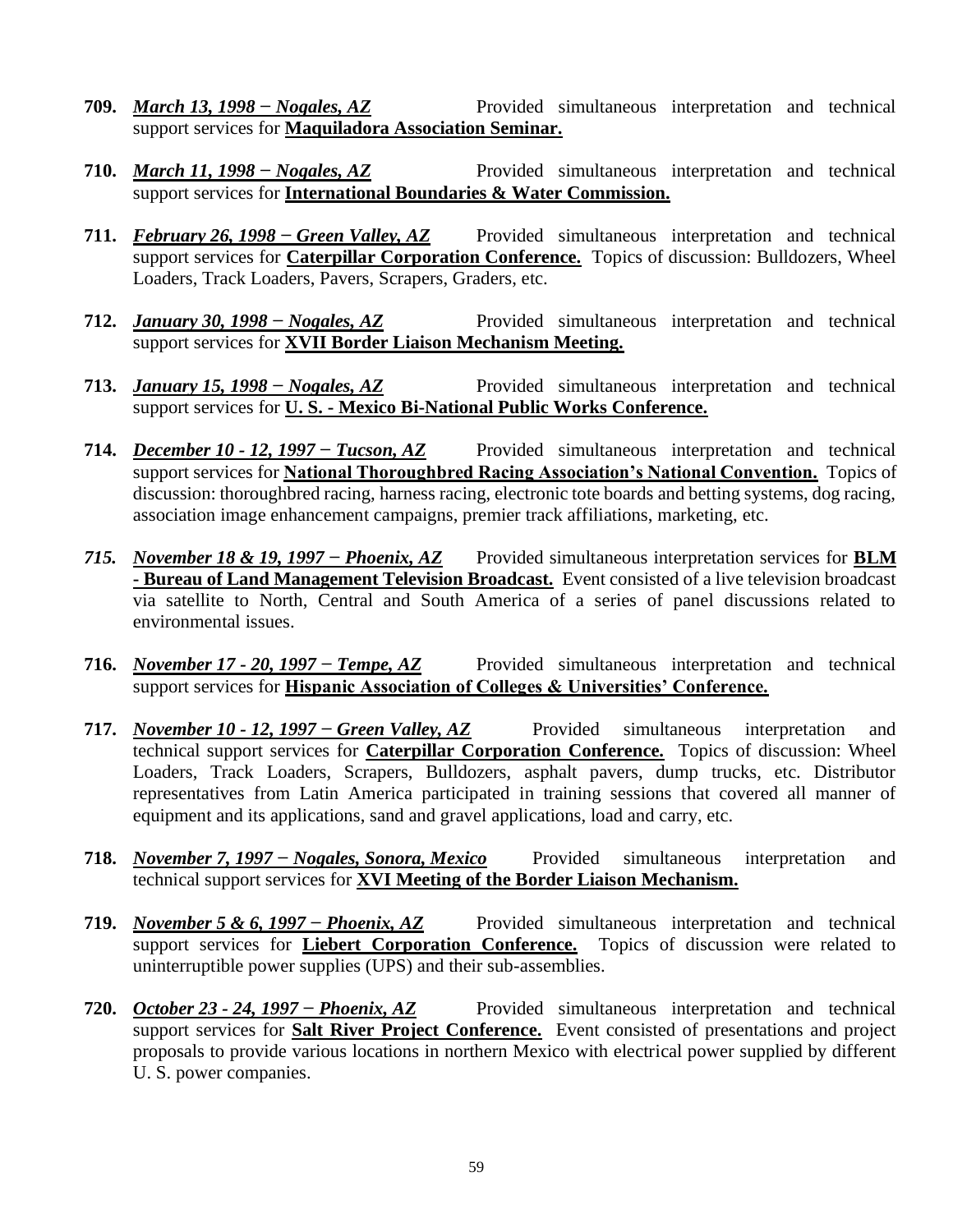- **709.** *March 13, 1998 − Nogales, AZ* Provided simultaneous interpretation and technical support services for **Maquiladora Association Seminar.**
- **710.** *March 11, 1998* − *Nogales, AZ* Provided simultaneous interpretation and technical support services for **International Boundaries & Water Commission.**
- **711.** *February 26, 1998 − Green Valley, AZ* Provided simultaneous interpretation and technical support services for **Caterpillar Corporation Conference.** Topics of discussion: Bulldozers, Wheel Loaders, Track Loaders, Pavers, Scrapers, Graders, etc.
- **712.** *January 30, 1998 − Nogales, AZ* Provided simultaneous interpretation and technical support services for **XVII Border Liaison Mechanism Meeting.**
- **713.** *January 15, 1998 − Nogales, AZ* Provided simultaneous interpretation and technical support services for **U. S. - Mexico Bi-National Public Works Conference.**
- **714.** *December 10 - 12, 1997 − Tucson, AZ* Provided simultaneous interpretation and technical support services for **National Thoroughbred Racing Association's National Convention.** Topics of discussion: thoroughbred racing, harness racing, electronic tote boards and betting systems, dog racing, association image enhancement campaigns, premier track affiliations, marketing, etc.
- *715. November 18 & 19, 1997 − Phoenix, AZ* Provided simultaneous interpretation services for **BLM - Bureau of Land Management Television Broadcast.** Event consisted of a live television broadcast via satellite to North, Central and South America of a series of panel discussions related to environmental issues.
- **716.** *November 17 - 20, 1997 − Tempe, AZ* Provided simultaneous interpretation and technical support services for **Hispanic Association of Colleges & Universities' Conference.**
- **717.** *November 10 - 12, 1997 − Green Valley, AZ* Provided simultaneous interpretation and technical support services for **Caterpillar Corporation Conference.** Topics of discussion: Wheel Loaders, Track Loaders, Scrapers, Bulldozers, asphalt pavers, dump trucks, etc. Distributor representatives from Latin America participated in training sessions that covered all manner of equipment and its applications, sand and gravel applications, load and carry, etc.
- **718.** *November 7, 1997 − Nogales, Sonora, Mexico* Provided simultaneous interpretation and technical support services for **XVI Meeting of the Border Liaison Mechanism.**
- **719.** *November 5 & 6, 1997 − Phoenix, AZ* Provided simultaneous interpretation and technical support services for **Liebert Corporation Conference.** Topics of discussion were related to uninterruptible power supplies (UPS) and their sub-assemblies.
- **720.** *October 23 - 24, 1997 − Phoenix, AZ* Provided simultaneous interpretation and technical support services for **Salt River Project Conference.** Event consisted of presentations and project proposals to provide various locations in northern Mexico with electrical power supplied by different U. S. power companies.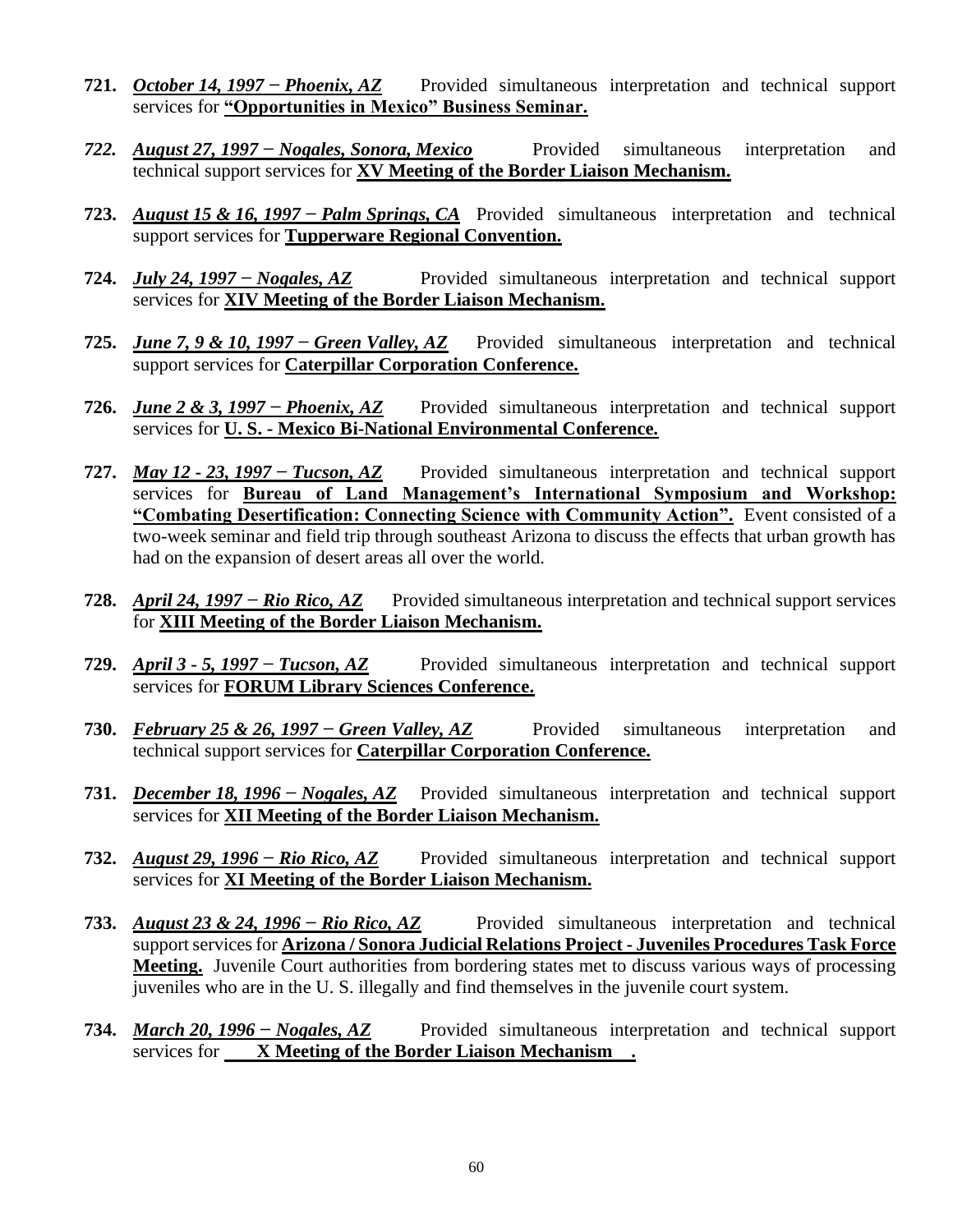- **721.** *October 14, 1997 − Phoenix, AZ* Provided simultaneous interpretation and technical support services for **"Opportunities in Mexico" Business Seminar.**
- *722. August 27, 1997 − Nogales, Sonora, Mexico* Provided simultaneous interpretation and technical support services for **XV Meeting of the Border Liaison Mechanism.**
- **723.** *August 15 & 16, 1997 − Palm Springs, CA* Provided simultaneous interpretation and technical support services for **Tupperware Regional Convention.**
- **724.** *July 24, 1997 − Nogales, AZ* Provided simultaneous interpretation and technical support services for **XIV Meeting of the Border Liaison Mechanism.**
- **725.** *June 7, 9 & 10, 1997 − Green Valley, AZ* Provided simultaneous interpretation and technical support services for **Caterpillar Corporation Conference.**
- **726.** *June 2 & 3, 1997 − Phoenix, AZ* Provided simultaneous interpretation and technical support services for **U. S. - Mexico Bi-National Environmental Conference.**
- **727.** *May 12 - 23, 1997 − Tucson, AZ* Provided simultaneous interpretation and technical support services for **Bureau of Land Management's International Symposium and Workshop: "Combating Desertification: Connecting Science with Community Action".** Event consisted of a two-week seminar and field trip through southeast Arizona to discuss the effects that urban growth has had on the expansion of desert areas all over the world.
- **728.** *April 24, 1997 − Rio Rico, AZ* Provided simultaneous interpretation and technical support services for **XIII Meeting of the Border Liaison Mechanism.**
- **729.** *April 3 - 5, 1997 − Tucson, AZ* Provided simultaneous interpretation and technical support services for **FORUM Library Sciences Conference.**
- **730.** *February 25 & 26, 1997 − Green Valley, AZ* Provided simultaneous interpretation and technical support services for **Caterpillar Corporation Conference.**
- **731.** *December 18, 1996 − Nogales, AZ* Provided simultaneous interpretation and technical support services for **XII Meeting of the Border Liaison Mechanism.**
- **732.** *August 29, 1996 − Rio Rico, AZ* Provided simultaneous interpretation and technical support services for **XI Meeting of the Border Liaison Mechanism.**
- **733.** *August 23 & 24, 1996 − Rio Rico, AZ* Provided simultaneous interpretation and technical support services for **Arizona / Sonora Judicial Relations Project - Juveniles Procedures Task Force Meeting.** Juvenile Court authorities from bordering states met to discuss various ways of processing juveniles who are in the U. S. illegally and find themselves in the juvenile court system.
- **734.** *March 20, 1996 − Nogales, AZ* Provided simultaneous interpretation and technical support services for **X Meeting of the Border Liaison Mechanism .**